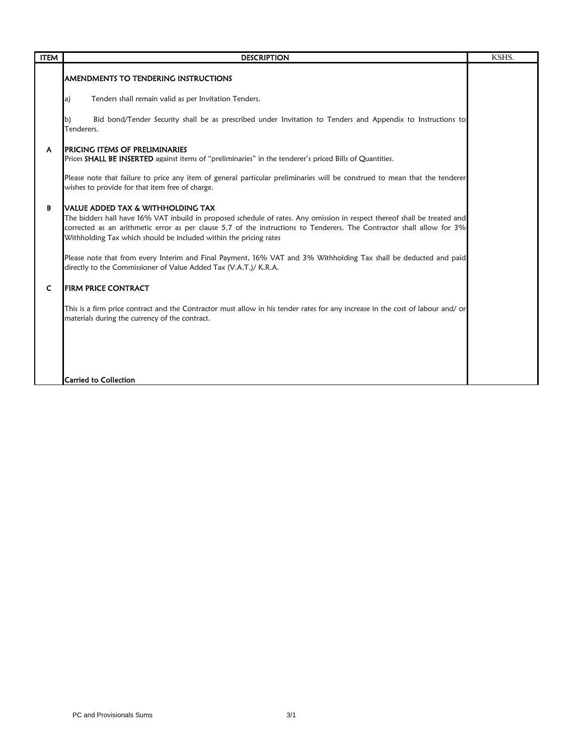| <b>ITEM</b> | <b>DESCRIPTION</b>                                                                                                                                                                                                                                                                                                                                                                                                                                                                                                                                     | KSHS. |
|-------------|--------------------------------------------------------------------------------------------------------------------------------------------------------------------------------------------------------------------------------------------------------------------------------------------------------------------------------------------------------------------------------------------------------------------------------------------------------------------------------------------------------------------------------------------------------|-------|
|             | AMENDMENTS TO TENDERING INSTRUCTIONS                                                                                                                                                                                                                                                                                                                                                                                                                                                                                                                   |       |
|             | Tenders shall remain valid as per Invitation Tenders.<br>a)                                                                                                                                                                                                                                                                                                                                                                                                                                                                                            |       |
|             | Bid bond/Tender Security shall be as prescribed under Invitation to Tenders and Appendix to Instructions to<br>b)<br>Tenderers.                                                                                                                                                                                                                                                                                                                                                                                                                        |       |
| A           | <b>IPRICING ITEMS OF PRELIMINARIES</b><br>Prices SHALL BE INSERTED against items of "preliminaries" in the tenderer's priced Bills of Quantities.                                                                                                                                                                                                                                                                                                                                                                                                      |       |
|             | Please note that failure to price any item of general particular preliminaries will be construed to mean that the tenderer<br>wishes to provide for that item free of charge.                                                                                                                                                                                                                                                                                                                                                                          |       |
| В           | IVALUE ADDED TAX & WITHHOLDING TAX<br>The bidders hall have 16% VAT inbuild in proposed schedule of rates. Any omission in respect thereof shall be treated and<br>corrected as an arithmetic error as per clause 5.7 of the instructions to Tenderers. The Contractor shall allow for 3%<br>Withholding Tax which should be included within the pricing rates<br>Please note that from every Interim and Final Payment, 16% VAT and 3% Withholding Tax shall be deducted and paid<br>directly to the Commissioner of Value Added Tax (V.A.T.)/ K.R.A. |       |
| C           | <b>FIRM PRICE CONTRACT</b>                                                                                                                                                                                                                                                                                                                                                                                                                                                                                                                             |       |
|             | This is a firm price contract and the Contractor must allow in his tender rates for any increase in the cost of labour and/or<br>materials during the currency of the contract.                                                                                                                                                                                                                                                                                                                                                                        |       |
|             |                                                                                                                                                                                                                                                                                                                                                                                                                                                                                                                                                        |       |
|             | <b>Carried to Collection</b>                                                                                                                                                                                                                                                                                                                                                                                                                                                                                                                           |       |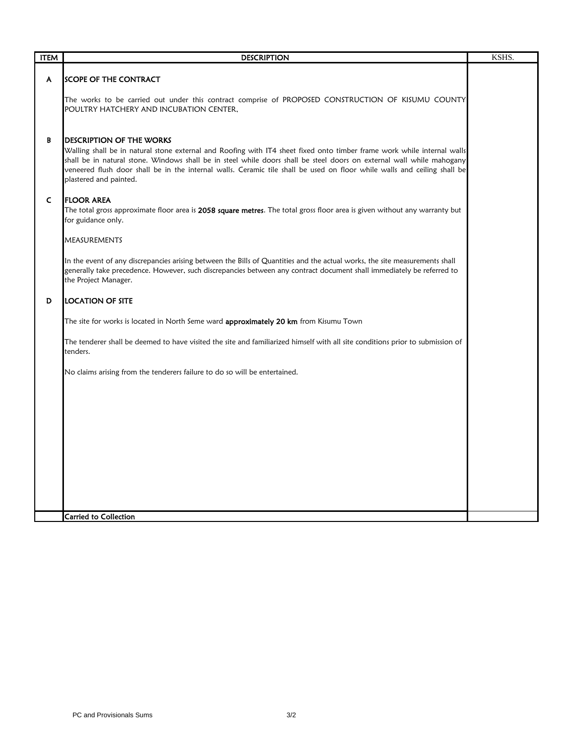| <b>ITEM</b>  | <b>DESCRIPTION</b>                                                                                                                                                                                                                                                                                                                                                                                                                        | KSHS. |
|--------------|-------------------------------------------------------------------------------------------------------------------------------------------------------------------------------------------------------------------------------------------------------------------------------------------------------------------------------------------------------------------------------------------------------------------------------------------|-------|
| A            | <b>SCOPE OF THE CONTRACT</b>                                                                                                                                                                                                                                                                                                                                                                                                              |       |
|              | The works to be carried out under this contract comprise of PROPOSED CONSTRUCTION OF KISUMU COUNTY<br>POULTRY HATCHERY AND INCUBATION CENTER,                                                                                                                                                                                                                                                                                             |       |
| В            | <b>DESCRIPTION OF THE WORKS</b><br>Walling shall be in natural stone external and Roofing with IT4 sheet fixed onto timber frame work while internal walls<br>shall be in natural stone. Windows shall be in steel while doors shall be steel doors on external wall while mahogany<br>veneered flush door shall be in the internal walls. Ceramic tile shall be used on floor while walls and ceiling shall be<br>plastered and painted. |       |
| $\mathsf{C}$ | <b>FLOOR AREA</b><br>The total gross approximate floor area is 2058 square metres. The total gross floor area is given without any warranty but<br>for guidance only.                                                                                                                                                                                                                                                                     |       |
|              | <b>MEASUREMENTS</b>                                                                                                                                                                                                                                                                                                                                                                                                                       |       |
|              | In the event of any discrepancies arising between the Bills of Quantities and the actual works, the site measurements shall<br>generally take precedence. However, such discrepancies between any contract document shall immediately be referred to<br>the Project Manager.                                                                                                                                                              |       |
| D            | <b>LOCATION OF SITE</b>                                                                                                                                                                                                                                                                                                                                                                                                                   |       |
|              | The site for works is located in North Seme ward <b>approximately 20 km</b> from Kisumu Town                                                                                                                                                                                                                                                                                                                                              |       |
|              | The tenderer shall be deemed to have visited the site and familiarized himself with all site conditions prior to submission of<br>tenders.                                                                                                                                                                                                                                                                                                |       |
|              | No claims arising from the tenderers failure to do so will be entertained.                                                                                                                                                                                                                                                                                                                                                                |       |
|              |                                                                                                                                                                                                                                                                                                                                                                                                                                           |       |
|              |                                                                                                                                                                                                                                                                                                                                                                                                                                           |       |
|              |                                                                                                                                                                                                                                                                                                                                                                                                                                           |       |
|              |                                                                                                                                                                                                                                                                                                                                                                                                                                           |       |
|              |                                                                                                                                                                                                                                                                                                                                                                                                                                           |       |
|              | Carried to Collection                                                                                                                                                                                                                                                                                                                                                                                                                     |       |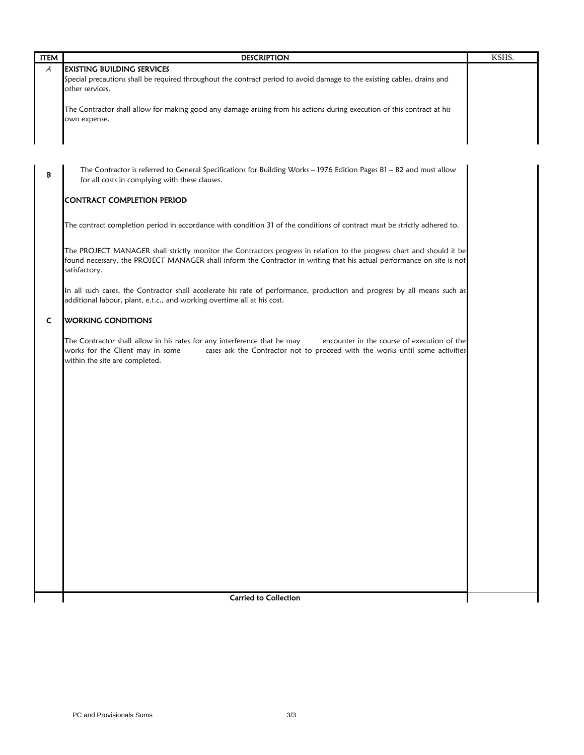| A<br><b>EXISTING BUILDING SERVICES</b><br>Special precautions shall be required throughout the contract period to avoid damage to the existing cables, drains and<br>other services.<br>The Contractor shall allow for making good any damage arising from his actions during execution of this contract at his<br>own expense.<br>The Contractor is referred to General Specifications for Building Works - 1976 Edition Pages B1 - B2 and must allow<br>B<br>for all costs in complying with these clauses.<br>CONTRACT COMPLETION PERIOD<br>The contract completion period in accordance with condition 31 of the conditions of contract must be strictly adhered to.<br>The PROJECT MANAGER shall strictly monitor the Contractors progress in relation to the progress chart and should it be<br>found necessary, the PROJECT MANAGER shall inform the Contractor in writing that his actual performance on site is not<br>satisfactory.<br>In all such cases, the Contractor shall accelerate his rate of performance, production and progress by all means such as<br>additional labour, plant, e.t.c., and working overtime all at his cost.<br><b>WORKING CONDITIONS</b><br>C<br>The Contractor shall allow in his rates for any interference that he may<br>encounter in the course of execution of the<br>works for the Client may in some<br>cases ask the Contractor not to proceed with the works until some activities<br>within the site are completed.<br><b>Carried to Collection</b> | <b>ITEM</b> | <b>DESCRIPTION</b> | KSHS. |
|---------------------------------------------------------------------------------------------------------------------------------------------------------------------------------------------------------------------------------------------------------------------------------------------------------------------------------------------------------------------------------------------------------------------------------------------------------------------------------------------------------------------------------------------------------------------------------------------------------------------------------------------------------------------------------------------------------------------------------------------------------------------------------------------------------------------------------------------------------------------------------------------------------------------------------------------------------------------------------------------------------------------------------------------------------------------------------------------------------------------------------------------------------------------------------------------------------------------------------------------------------------------------------------------------------------------------------------------------------------------------------------------------------------------------------------------------------------------------------------------------------|-------------|--------------------|-------|
|                                                                                                                                                                                                                                                                                                                                                                                                                                                                                                                                                                                                                                                                                                                                                                                                                                                                                                                                                                                                                                                                                                                                                                                                                                                                                                                                                                                                                                                                                                         |             |                    |       |
|                                                                                                                                                                                                                                                                                                                                                                                                                                                                                                                                                                                                                                                                                                                                                                                                                                                                                                                                                                                                                                                                                                                                                                                                                                                                                                                                                                                                                                                                                                         |             |                    |       |
|                                                                                                                                                                                                                                                                                                                                                                                                                                                                                                                                                                                                                                                                                                                                                                                                                                                                                                                                                                                                                                                                                                                                                                                                                                                                                                                                                                                                                                                                                                         |             |                    |       |
|                                                                                                                                                                                                                                                                                                                                                                                                                                                                                                                                                                                                                                                                                                                                                                                                                                                                                                                                                                                                                                                                                                                                                                                                                                                                                                                                                                                                                                                                                                         |             |                    |       |
|                                                                                                                                                                                                                                                                                                                                                                                                                                                                                                                                                                                                                                                                                                                                                                                                                                                                                                                                                                                                                                                                                                                                                                                                                                                                                                                                                                                                                                                                                                         |             |                    |       |
|                                                                                                                                                                                                                                                                                                                                                                                                                                                                                                                                                                                                                                                                                                                                                                                                                                                                                                                                                                                                                                                                                                                                                                                                                                                                                                                                                                                                                                                                                                         |             |                    |       |
|                                                                                                                                                                                                                                                                                                                                                                                                                                                                                                                                                                                                                                                                                                                                                                                                                                                                                                                                                                                                                                                                                                                                                                                                                                                                                                                                                                                                                                                                                                         |             |                    |       |
|                                                                                                                                                                                                                                                                                                                                                                                                                                                                                                                                                                                                                                                                                                                                                                                                                                                                                                                                                                                                                                                                                                                                                                                                                                                                                                                                                                                                                                                                                                         |             |                    |       |
|                                                                                                                                                                                                                                                                                                                                                                                                                                                                                                                                                                                                                                                                                                                                                                                                                                                                                                                                                                                                                                                                                                                                                                                                                                                                                                                                                                                                                                                                                                         |             |                    |       |
|                                                                                                                                                                                                                                                                                                                                                                                                                                                                                                                                                                                                                                                                                                                                                                                                                                                                                                                                                                                                                                                                                                                                                                                                                                                                                                                                                                                                                                                                                                         |             |                    |       |
|                                                                                                                                                                                                                                                                                                                                                                                                                                                                                                                                                                                                                                                                                                                                                                                                                                                                                                                                                                                                                                                                                                                                                                                                                                                                                                                                                                                                                                                                                                         |             |                    |       |
|                                                                                                                                                                                                                                                                                                                                                                                                                                                                                                                                                                                                                                                                                                                                                                                                                                                                                                                                                                                                                                                                                                                                                                                                                                                                                                                                                                                                                                                                                                         |             |                    |       |
|                                                                                                                                                                                                                                                                                                                                                                                                                                                                                                                                                                                                                                                                                                                                                                                                                                                                                                                                                                                                                                                                                                                                                                                                                                                                                                                                                                                                                                                                                                         |             |                    |       |
|                                                                                                                                                                                                                                                                                                                                                                                                                                                                                                                                                                                                                                                                                                                                                                                                                                                                                                                                                                                                                                                                                                                                                                                                                                                                                                                                                                                                                                                                                                         |             |                    |       |
|                                                                                                                                                                                                                                                                                                                                                                                                                                                                                                                                                                                                                                                                                                                                                                                                                                                                                                                                                                                                                                                                                                                                                                                                                                                                                                                                                                                                                                                                                                         |             |                    |       |
|                                                                                                                                                                                                                                                                                                                                                                                                                                                                                                                                                                                                                                                                                                                                                                                                                                                                                                                                                                                                                                                                                                                                                                                                                                                                                                                                                                                                                                                                                                         |             |                    |       |
|                                                                                                                                                                                                                                                                                                                                                                                                                                                                                                                                                                                                                                                                                                                                                                                                                                                                                                                                                                                                                                                                                                                                                                                                                                                                                                                                                                                                                                                                                                         |             |                    |       |
|                                                                                                                                                                                                                                                                                                                                                                                                                                                                                                                                                                                                                                                                                                                                                                                                                                                                                                                                                                                                                                                                                                                                                                                                                                                                                                                                                                                                                                                                                                         |             |                    |       |
|                                                                                                                                                                                                                                                                                                                                                                                                                                                                                                                                                                                                                                                                                                                                                                                                                                                                                                                                                                                                                                                                                                                                                                                                                                                                                                                                                                                                                                                                                                         |             |                    |       |
|                                                                                                                                                                                                                                                                                                                                                                                                                                                                                                                                                                                                                                                                                                                                                                                                                                                                                                                                                                                                                                                                                                                                                                                                                                                                                                                                                                                                                                                                                                         |             |                    |       |
|                                                                                                                                                                                                                                                                                                                                                                                                                                                                                                                                                                                                                                                                                                                                                                                                                                                                                                                                                                                                                                                                                                                                                                                                                                                                                                                                                                                                                                                                                                         |             |                    |       |
|                                                                                                                                                                                                                                                                                                                                                                                                                                                                                                                                                                                                                                                                                                                                                                                                                                                                                                                                                                                                                                                                                                                                                                                                                                                                                                                                                                                                                                                                                                         |             |                    |       |
|                                                                                                                                                                                                                                                                                                                                                                                                                                                                                                                                                                                                                                                                                                                                                                                                                                                                                                                                                                                                                                                                                                                                                                                                                                                                                                                                                                                                                                                                                                         |             |                    |       |
|                                                                                                                                                                                                                                                                                                                                                                                                                                                                                                                                                                                                                                                                                                                                                                                                                                                                                                                                                                                                                                                                                                                                                                                                                                                                                                                                                                                                                                                                                                         |             |                    |       |
|                                                                                                                                                                                                                                                                                                                                                                                                                                                                                                                                                                                                                                                                                                                                                                                                                                                                                                                                                                                                                                                                                                                                                                                                                                                                                                                                                                                                                                                                                                         |             |                    |       |
|                                                                                                                                                                                                                                                                                                                                                                                                                                                                                                                                                                                                                                                                                                                                                                                                                                                                                                                                                                                                                                                                                                                                                                                                                                                                                                                                                                                                                                                                                                         |             |                    |       |
|                                                                                                                                                                                                                                                                                                                                                                                                                                                                                                                                                                                                                                                                                                                                                                                                                                                                                                                                                                                                                                                                                                                                                                                                                                                                                                                                                                                                                                                                                                         |             |                    |       |
|                                                                                                                                                                                                                                                                                                                                                                                                                                                                                                                                                                                                                                                                                                                                                                                                                                                                                                                                                                                                                                                                                                                                                                                                                                                                                                                                                                                                                                                                                                         |             |                    |       |
|                                                                                                                                                                                                                                                                                                                                                                                                                                                                                                                                                                                                                                                                                                                                                                                                                                                                                                                                                                                                                                                                                                                                                                                                                                                                                                                                                                                                                                                                                                         |             |                    |       |
|                                                                                                                                                                                                                                                                                                                                                                                                                                                                                                                                                                                                                                                                                                                                                                                                                                                                                                                                                                                                                                                                                                                                                                                                                                                                                                                                                                                                                                                                                                         |             |                    |       |
|                                                                                                                                                                                                                                                                                                                                                                                                                                                                                                                                                                                                                                                                                                                                                                                                                                                                                                                                                                                                                                                                                                                                                                                                                                                                                                                                                                                                                                                                                                         |             |                    |       |
|                                                                                                                                                                                                                                                                                                                                                                                                                                                                                                                                                                                                                                                                                                                                                                                                                                                                                                                                                                                                                                                                                                                                                                                                                                                                                                                                                                                                                                                                                                         |             |                    |       |
|                                                                                                                                                                                                                                                                                                                                                                                                                                                                                                                                                                                                                                                                                                                                                                                                                                                                                                                                                                                                                                                                                                                                                                                                                                                                                                                                                                                                                                                                                                         |             |                    |       |
|                                                                                                                                                                                                                                                                                                                                                                                                                                                                                                                                                                                                                                                                                                                                                                                                                                                                                                                                                                                                                                                                                                                                                                                                                                                                                                                                                                                                                                                                                                         |             |                    |       |
|                                                                                                                                                                                                                                                                                                                                                                                                                                                                                                                                                                                                                                                                                                                                                                                                                                                                                                                                                                                                                                                                                                                                                                                                                                                                                                                                                                                                                                                                                                         |             |                    |       |
|                                                                                                                                                                                                                                                                                                                                                                                                                                                                                                                                                                                                                                                                                                                                                                                                                                                                                                                                                                                                                                                                                                                                                                                                                                                                                                                                                                                                                                                                                                         |             |                    |       |
|                                                                                                                                                                                                                                                                                                                                                                                                                                                                                                                                                                                                                                                                                                                                                                                                                                                                                                                                                                                                                                                                                                                                                                                                                                                                                                                                                                                                                                                                                                         |             |                    |       |
|                                                                                                                                                                                                                                                                                                                                                                                                                                                                                                                                                                                                                                                                                                                                                                                                                                                                                                                                                                                                                                                                                                                                                                                                                                                                                                                                                                                                                                                                                                         |             |                    |       |
|                                                                                                                                                                                                                                                                                                                                                                                                                                                                                                                                                                                                                                                                                                                                                                                                                                                                                                                                                                                                                                                                                                                                                                                                                                                                                                                                                                                                                                                                                                         |             |                    |       |
|                                                                                                                                                                                                                                                                                                                                                                                                                                                                                                                                                                                                                                                                                                                                                                                                                                                                                                                                                                                                                                                                                                                                                                                                                                                                                                                                                                                                                                                                                                         |             |                    |       |
|                                                                                                                                                                                                                                                                                                                                                                                                                                                                                                                                                                                                                                                                                                                                                                                                                                                                                                                                                                                                                                                                                                                                                                                                                                                                                                                                                                                                                                                                                                         |             |                    |       |
|                                                                                                                                                                                                                                                                                                                                                                                                                                                                                                                                                                                                                                                                                                                                                                                                                                                                                                                                                                                                                                                                                                                                                                                                                                                                                                                                                                                                                                                                                                         |             |                    |       |
|                                                                                                                                                                                                                                                                                                                                                                                                                                                                                                                                                                                                                                                                                                                                                                                                                                                                                                                                                                                                                                                                                                                                                                                                                                                                                                                                                                                                                                                                                                         |             |                    |       |
|                                                                                                                                                                                                                                                                                                                                                                                                                                                                                                                                                                                                                                                                                                                                                                                                                                                                                                                                                                                                                                                                                                                                                                                                                                                                                                                                                                                                                                                                                                         |             |                    |       |
|                                                                                                                                                                                                                                                                                                                                                                                                                                                                                                                                                                                                                                                                                                                                                                                                                                                                                                                                                                                                                                                                                                                                                                                                                                                                                                                                                                                                                                                                                                         |             |                    |       |
|                                                                                                                                                                                                                                                                                                                                                                                                                                                                                                                                                                                                                                                                                                                                                                                                                                                                                                                                                                                                                                                                                                                                                                                                                                                                                                                                                                                                                                                                                                         |             |                    |       |
|                                                                                                                                                                                                                                                                                                                                                                                                                                                                                                                                                                                                                                                                                                                                                                                                                                                                                                                                                                                                                                                                                                                                                                                                                                                                                                                                                                                                                                                                                                         |             |                    |       |
|                                                                                                                                                                                                                                                                                                                                                                                                                                                                                                                                                                                                                                                                                                                                                                                                                                                                                                                                                                                                                                                                                                                                                                                                                                                                                                                                                                                                                                                                                                         |             |                    |       |
|                                                                                                                                                                                                                                                                                                                                                                                                                                                                                                                                                                                                                                                                                                                                                                                                                                                                                                                                                                                                                                                                                                                                                                                                                                                                                                                                                                                                                                                                                                         |             |                    |       |
|                                                                                                                                                                                                                                                                                                                                                                                                                                                                                                                                                                                                                                                                                                                                                                                                                                                                                                                                                                                                                                                                                                                                                                                                                                                                                                                                                                                                                                                                                                         |             |                    |       |
|                                                                                                                                                                                                                                                                                                                                                                                                                                                                                                                                                                                                                                                                                                                                                                                                                                                                                                                                                                                                                                                                                                                                                                                                                                                                                                                                                                                                                                                                                                         |             |                    |       |
|                                                                                                                                                                                                                                                                                                                                                                                                                                                                                                                                                                                                                                                                                                                                                                                                                                                                                                                                                                                                                                                                                                                                                                                                                                                                                                                                                                                                                                                                                                         |             |                    |       |
|                                                                                                                                                                                                                                                                                                                                                                                                                                                                                                                                                                                                                                                                                                                                                                                                                                                                                                                                                                                                                                                                                                                                                                                                                                                                                                                                                                                                                                                                                                         |             |                    |       |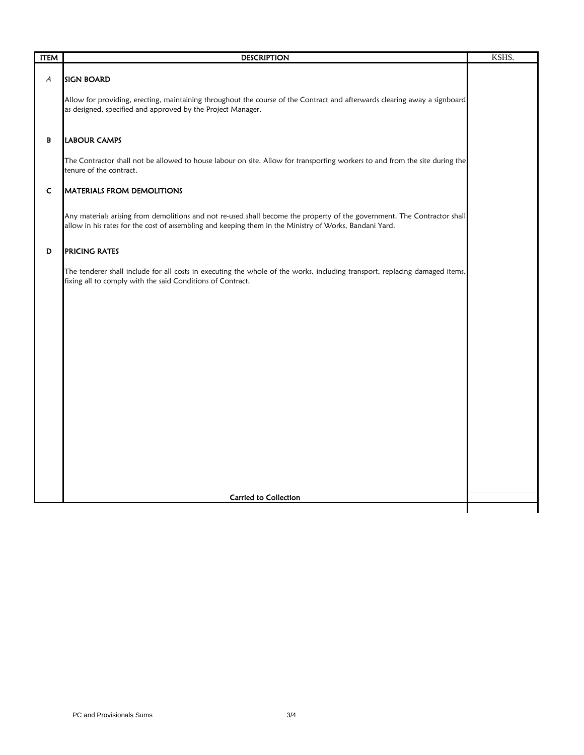| <b>ITEM</b>  | <b>DESCRIPTION</b>                                                                                                                                                                                                                 | KSHS. |
|--------------|------------------------------------------------------------------------------------------------------------------------------------------------------------------------------------------------------------------------------------|-------|
| A            | <b>SIGN BOARD</b>                                                                                                                                                                                                                  |       |
|              | Allow for providing, erecting, maintaining throughout the course of the Contract and afterwards clearing away a signboard<br>as designed, specified and approved by the Project Manager.                                           |       |
| B            | <b>LABOUR CAMPS</b>                                                                                                                                                                                                                |       |
|              | The Contractor shall not be allowed to house labour on site. Allow for transporting workers to and from the site during the<br>tenure of the contract.                                                                             |       |
| $\mathsf{C}$ | <b>MATERIALS FROM DEMOLITIONS</b>                                                                                                                                                                                                  |       |
|              | Any materials arising from demolitions and not re-used shall become the property of the government. The Contractor shall<br>allow in his rates for the cost of assembling and keeping them in the Ministry of Works, Bandani Yard. |       |
| D            | <b>PRICING RATES</b>                                                                                                                                                                                                               |       |
|              | The tenderer shall include for all costs in executing the whole of the works, including transport, replacing damaged items,<br>fixing all to comply with the said Conditions of Contract.                                          |       |
|              |                                                                                                                                                                                                                                    |       |
|              |                                                                                                                                                                                                                                    |       |
|              |                                                                                                                                                                                                                                    |       |
|              |                                                                                                                                                                                                                                    |       |
|              |                                                                                                                                                                                                                                    |       |
|              |                                                                                                                                                                                                                                    |       |
|              |                                                                                                                                                                                                                                    |       |
|              |                                                                                                                                                                                                                                    |       |
|              | Carried to Collection                                                                                                                                                                                                              |       |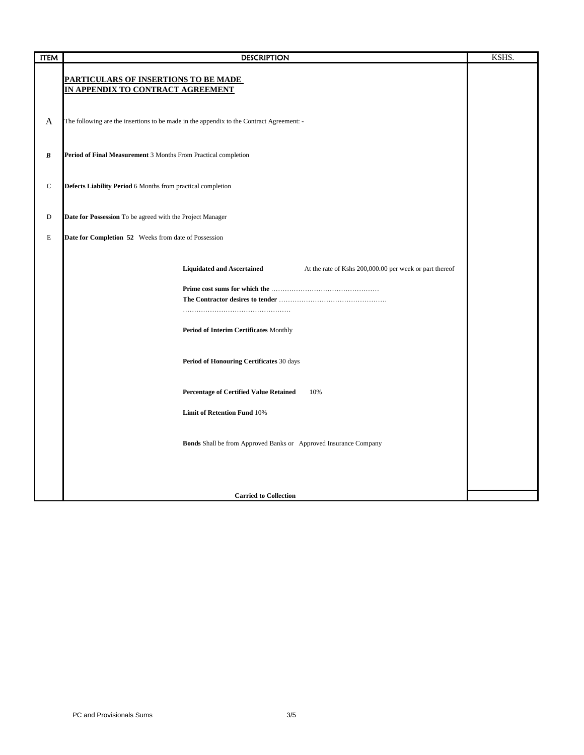| <b>ITEM</b> | <b>DESCRIPTION</b>                                                                           | KSHS. |
|-------------|----------------------------------------------------------------------------------------------|-------|
|             | PARTICULARS OF INSERTIONS TO BE MADE<br>IN APPENDIX TO CONTRACT AGREEMENT                    |       |
| A           | The following are the insertions to be made in the appendix to the Contract Agreement: -     |       |
| B           | Period of Final Measurement 3 Months From Practical completion                               |       |
| $\mathbf C$ | Defects Liability Period 6 Months from practical completion                                  |       |
| D           | Date for Possession To be agreed with the Project Manager                                    |       |
| E           | Date for Completion 52 Weeks from date of Possession                                         |       |
|             | <b>Liquidated and Ascertained</b><br>At the rate of Kshs 200,000.00 per week or part thereof |       |
|             |                                                                                              |       |
|             | Period of Interim Certificates Monthly                                                       |       |
|             | Period of Honouring Certificates 30 days                                                     |       |
|             | <b>Percentage of Certified Value Retained</b><br>10%                                         |       |
|             | <b>Limit of Retention Fund 10%</b>                                                           |       |
|             | <b>Bonds</b> Shall be from Approved Banks or Approved Insurance Company                      |       |
|             |                                                                                              |       |
|             | <b>Carried to Collection</b>                                                                 |       |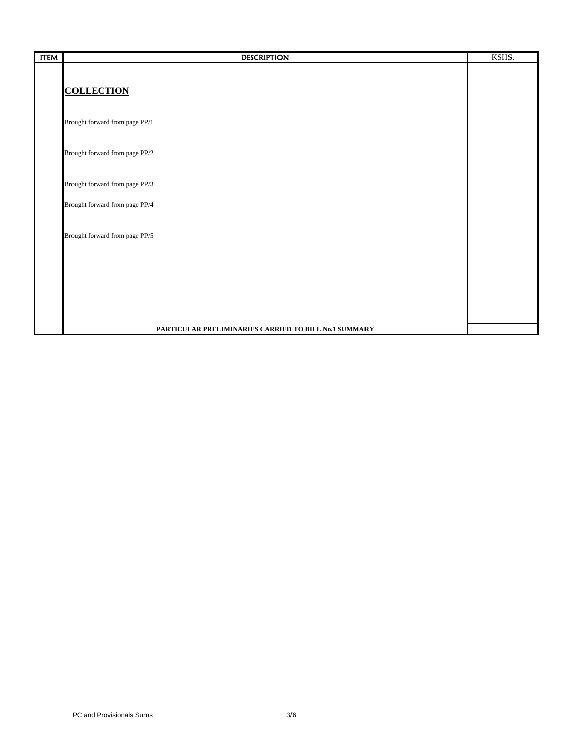| <b>ITEM</b> | <b>DESCRIPTION</b>                                    | KSHS. |
|-------------|-------------------------------------------------------|-------|
|             |                                                       |       |
|             | <b>COLLECTION</b>                                     |       |
|             |                                                       |       |
|             | Brought forward from page PP/1                        |       |
|             | Brought forward from page PP/2                        |       |
|             |                                                       |       |
|             | Brought forward from page PP/3                        |       |
|             | Brought forward from page PP/4                        |       |
|             |                                                       |       |
|             | Brought forward from page PP/5                        |       |
|             |                                                       |       |
|             |                                                       |       |
|             |                                                       |       |
|             |                                                       |       |
|             | PARTICULAR PRELIMINARIES CARRIED TO BILL No.1 SUMMARY |       |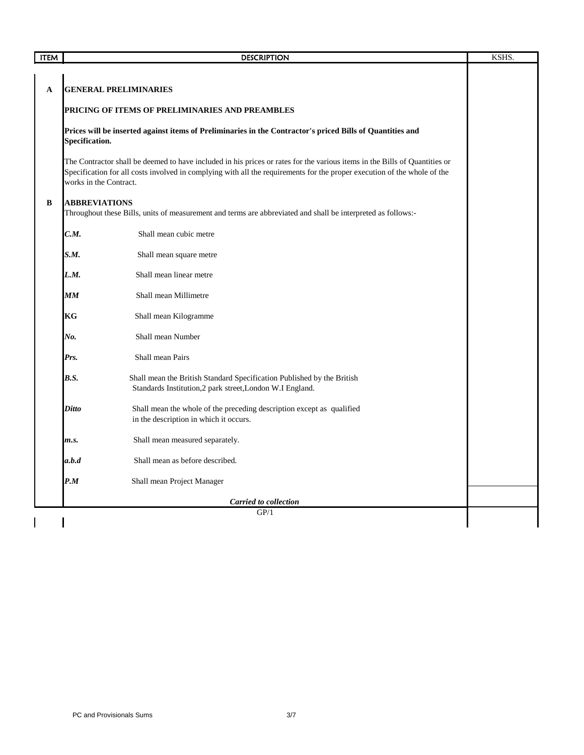| <b>ITEM</b> |                        | <b>DESCRIPTION</b>                                                                                                                                                                                                                                     | KSHS. |
|-------------|------------------------|--------------------------------------------------------------------------------------------------------------------------------------------------------------------------------------------------------------------------------------------------------|-------|
|             |                        |                                                                                                                                                                                                                                                        |       |
| A           |                        | <b>GENERAL PRELIMINARIES</b>                                                                                                                                                                                                                           |       |
|             |                        | PRICING OF ITEMS OF PRELIMINARIES AND PREAMBLES                                                                                                                                                                                                        |       |
|             | Specification.         | Prices will be inserted against items of Preliminaries in the Contractor's priced Bills of Quantities and                                                                                                                                              |       |
|             | works in the Contract. | The Contractor shall be deemed to have included in his prices or rates for the various items in the Bills of Quantities or<br>Specification for all costs involved in complying with all the requirements for the proper execution of the whole of the |       |
| B           | <b>ABBREVIATIONS</b>   | Throughout these Bills, units of measurement and terms are abbreviated and shall be interpreted as follows:-                                                                                                                                           |       |
|             | C.M.                   | Shall mean cubic metre                                                                                                                                                                                                                                 |       |
|             | S.M.                   | Shall mean square metre                                                                                                                                                                                                                                |       |
|             | L.M.                   | Shall mean linear metre                                                                                                                                                                                                                                |       |
|             | MM                     | Shall mean Millimetre                                                                                                                                                                                                                                  |       |
|             | KG                     | Shall mean Kilogramme                                                                                                                                                                                                                                  |       |
|             | No.                    | Shall mean Number                                                                                                                                                                                                                                      |       |
|             | Prs.                   | Shall mean Pairs                                                                                                                                                                                                                                       |       |
|             | B.S.                   | Shall mean the British Standard Specification Published by the British<br>Standards Institution,2 park street,London W.I England.                                                                                                                      |       |
|             | <b>Ditto</b>           | Shall mean the whole of the preceding description except as qualified<br>in the description in which it occurs.                                                                                                                                        |       |
|             | m.s.                   | Shall mean measured separately.                                                                                                                                                                                                                        |       |
|             | a.b.d                  | Shall mean as before described.                                                                                                                                                                                                                        |       |
|             | P.M                    | Shall mean Project Manager                                                                                                                                                                                                                             |       |
|             |                        | Carried to collection                                                                                                                                                                                                                                  |       |
|             |                        | GP/1                                                                                                                                                                                                                                                   |       |
|             |                        |                                                                                                                                                                                                                                                        |       |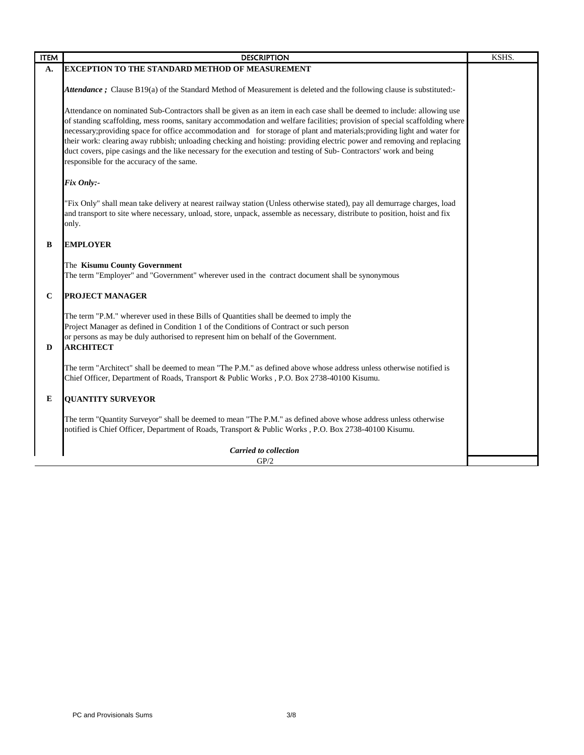| <b>ITEM</b> | <b>DESCRIPTION</b>                                                                                                                                                                                                                                                                                                                                                                                                                                                                                                                                                                                                                                                              | KSHS. |
|-------------|---------------------------------------------------------------------------------------------------------------------------------------------------------------------------------------------------------------------------------------------------------------------------------------------------------------------------------------------------------------------------------------------------------------------------------------------------------------------------------------------------------------------------------------------------------------------------------------------------------------------------------------------------------------------------------|-------|
| A.          | <b>EXCEPTION TO THE STANDARD METHOD OF MEASUREMENT</b>                                                                                                                                                                                                                                                                                                                                                                                                                                                                                                                                                                                                                          |       |
|             | Attendance ; Clause B19(a) of the Standard Method of Measurement is deleted and the following clause is substituted:-                                                                                                                                                                                                                                                                                                                                                                                                                                                                                                                                                           |       |
|             | Attendance on nominated Sub-Contractors shall be given as an item in each case shall be deemed to include: allowing use<br>of standing scaffolding, mess rooms, sanitary accommodation and welfare facilities; provision of special scaffolding where<br>necessary; providing space for office accommodation and for storage of plant and materials; providing light and water for<br>their work: clearing away rubbish; unloading checking and hoisting: providing electric power and removing and replacing<br>duct covers, pipe casings and the like necessary for the execution and testing of Sub-Contractors' work and being<br>responsible for the accuracy of the same. |       |
|             | Fix Only:-                                                                                                                                                                                                                                                                                                                                                                                                                                                                                                                                                                                                                                                                      |       |
|             | "Fix Only" shall mean take delivery at nearest railway station (Unless otherwise stated), pay all demurrage charges, load<br>and transport to site where necessary, unload, store, unpack, assemble as necessary, distribute to position, hoist and fix<br>only.                                                                                                                                                                                                                                                                                                                                                                                                                |       |
| B           | <b>EMPLOYER</b>                                                                                                                                                                                                                                                                                                                                                                                                                                                                                                                                                                                                                                                                 |       |
|             | The Kisumu County Government<br>The term "Employer" and "Government" wherever used in the contract document shall be synonymous                                                                                                                                                                                                                                                                                                                                                                                                                                                                                                                                                 |       |
| $\bf C$     | <b>PROJECT MANAGER</b>                                                                                                                                                                                                                                                                                                                                                                                                                                                                                                                                                                                                                                                          |       |
| D           | The term "P.M." wherever used in these Bills of Quantities shall be deemed to imply the<br>Project Manager as defined in Condition 1 of the Conditions of Contract or such person<br>or persons as may be duly authorised to represent him on behalf of the Government.<br><b>ARCHITECT</b>                                                                                                                                                                                                                                                                                                                                                                                     |       |
|             | The term "Architect" shall be deemed to mean "The P.M." as defined above whose address unless otherwise notified is<br>Chief Officer, Department of Roads, Transport & Public Works, P.O. Box 2738-40100 Kisumu.                                                                                                                                                                                                                                                                                                                                                                                                                                                                |       |
| E           | <b>OUANTITY SURVEYOR</b>                                                                                                                                                                                                                                                                                                                                                                                                                                                                                                                                                                                                                                                        |       |
|             | The term "Quantity Surveyor" shall be deemed to mean "The P.M." as defined above whose address unless otherwise<br>notified is Chief Officer, Department of Roads, Transport & Public Works, P.O. Box 2738-40100 Kisumu.                                                                                                                                                                                                                                                                                                                                                                                                                                                        |       |
|             | <b>Carried to collection</b>                                                                                                                                                                                                                                                                                                                                                                                                                                                                                                                                                                                                                                                    |       |
|             | GP/2                                                                                                                                                                                                                                                                                                                                                                                                                                                                                                                                                                                                                                                                            |       |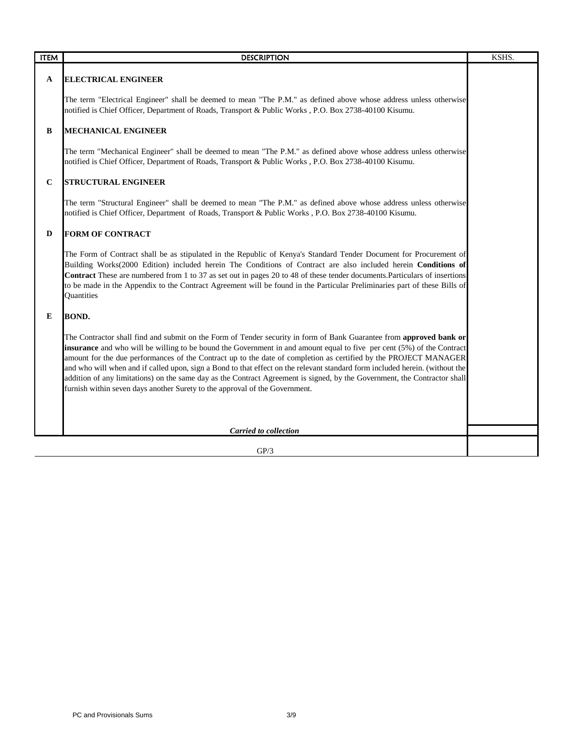| <b>ITEM</b> | <b>DESCRIPTION</b>                                                                                                                                                                                                                                                                                                                                                                                                                                                                                                                                                                                                                                                                                            | KSHS. |
|-------------|---------------------------------------------------------------------------------------------------------------------------------------------------------------------------------------------------------------------------------------------------------------------------------------------------------------------------------------------------------------------------------------------------------------------------------------------------------------------------------------------------------------------------------------------------------------------------------------------------------------------------------------------------------------------------------------------------------------|-------|
| A           | <b>ELECTRICAL ENGINEER</b>                                                                                                                                                                                                                                                                                                                                                                                                                                                                                                                                                                                                                                                                                    |       |
|             | The term "Electrical Engineer" shall be deemed to mean "The P.M." as defined above whose address unless otherwise<br>notified is Chief Officer, Department of Roads, Transport & Public Works, P.O. Box 2738-40100 Kisumu.                                                                                                                                                                                                                                                                                                                                                                                                                                                                                    |       |
| B           | <b>MECHANICAL ENGINEER</b>                                                                                                                                                                                                                                                                                                                                                                                                                                                                                                                                                                                                                                                                                    |       |
|             | The term "Mechanical Engineer" shall be deemed to mean "The P.M." as defined above whose address unless otherwise<br>notified is Chief Officer, Department of Roads, Transport & Public Works, P.O. Box 2738-40100 Kisumu.                                                                                                                                                                                                                                                                                                                                                                                                                                                                                    |       |
| $\mathbf C$ | <b>STRUCTURAL ENGINEER</b>                                                                                                                                                                                                                                                                                                                                                                                                                                                                                                                                                                                                                                                                                    |       |
|             | The term "Structural Engineer" shall be deemed to mean "The P.M." as defined above whose address unless otherwise<br>notified is Chief Officer, Department of Roads, Transport & Public Works, P.O. Box 2738-40100 Kisumu.                                                                                                                                                                                                                                                                                                                                                                                                                                                                                    |       |
| D           | <b>FORM OF CONTRACT</b>                                                                                                                                                                                                                                                                                                                                                                                                                                                                                                                                                                                                                                                                                       |       |
|             | The Form of Contract shall be as stipulated in the Republic of Kenya's Standard Tender Document for Procurement of<br>Building Works(2000 Edition) included herein The Conditions of Contract are also included herein Conditions of<br>Contract These are numbered from 1 to 37 as set out in pages 20 to 48 of these tender documents. Particulars of insertions<br>to be made in the Appendix to the Contract Agreement will be found in the Particular Preliminaries part of these Bills of<br>Quantities                                                                                                                                                                                                 |       |
| E           | <b>BOND.</b>                                                                                                                                                                                                                                                                                                                                                                                                                                                                                                                                                                                                                                                                                                  |       |
|             | The Contractor shall find and submit on the Form of Tender security in form of Bank Guarantee from approved bank or<br>insurance and who will be willing to be bound the Government in and amount equal to five per cent (5%) of the Contract<br>amount for the due performances of the Contract up to the date of completion as certified by the PROJECT MANAGER<br>and who will when and if called upon, sign a Bond to that effect on the relevant standard form included herein. (without the<br>addition of any limitations) on the same day as the Contract Agreement is signed, by the Government, the Contractor shall<br>furnish within seven days another Surety to the approval of the Government. |       |
|             | <b>Carried to collection</b>                                                                                                                                                                                                                                                                                                                                                                                                                                                                                                                                                                                                                                                                                  |       |
|             | GP/3                                                                                                                                                                                                                                                                                                                                                                                                                                                                                                                                                                                                                                                                                                          |       |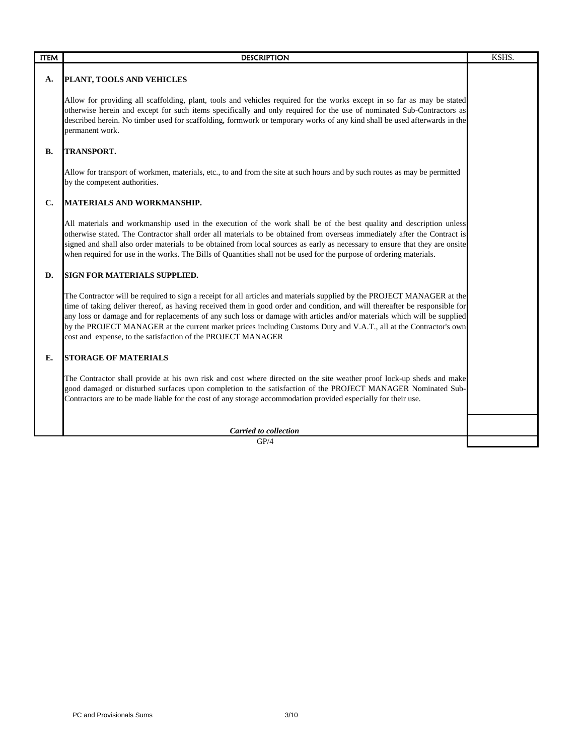| <b>ITEM</b>    | <b>DESCRIPTION</b>                                                                                                                                                                                                                                                                                                                                                                                                                                                                                                                                                       | KSHS. |
|----------------|--------------------------------------------------------------------------------------------------------------------------------------------------------------------------------------------------------------------------------------------------------------------------------------------------------------------------------------------------------------------------------------------------------------------------------------------------------------------------------------------------------------------------------------------------------------------------|-------|
| А.             | PLANT, TOOLS AND VEHICLES                                                                                                                                                                                                                                                                                                                                                                                                                                                                                                                                                |       |
|                | Allow for providing all scaffolding, plant, tools and vehicles required for the works except in so far as may be stated<br>otherwise herein and except for such items specifically and only required for the use of nominated Sub-Contractors as<br>described herein. No timber used for scaffolding, formwork or temporary works of any kind shall be used afterwards in the<br>permanent work.                                                                                                                                                                         |       |
| <b>B.</b>      | <b>TRANSPORT.</b>                                                                                                                                                                                                                                                                                                                                                                                                                                                                                                                                                        |       |
|                | Allow for transport of workmen, materials, etc., to and from the site at such hours and by such routes as may be permitted<br>by the competent authorities.                                                                                                                                                                                                                                                                                                                                                                                                              |       |
| $\mathbf{C}$ . | <b>MATERIALS AND WORKMANSHIP.</b>                                                                                                                                                                                                                                                                                                                                                                                                                                                                                                                                        |       |
|                | All materials and workmanship used in the execution of the work shall be of the best quality and description unless<br>otherwise stated. The Contractor shall order all materials to be obtained from overseas immediately after the Contract is<br>signed and shall also order materials to be obtained from local sources as early as necessary to ensure that they are onsite<br>when required for use in the works. The Bills of Quantities shall not be used for the purpose of ordering materials.                                                                 |       |
| D.             | SIGN FOR MATERIALS SUPPLIED.                                                                                                                                                                                                                                                                                                                                                                                                                                                                                                                                             |       |
|                | The Contractor will be required to sign a receipt for all articles and materials supplied by the PROJECT MANAGER at the<br>time of taking deliver thereof, as having received them in good order and condition, and will thereafter be responsible for<br>any loss or damage and for replacements of any such loss or damage with articles and/or materials which will be supplied<br>by the PROJECT MANAGER at the current market prices including Customs Duty and V.A.T., all at the Contractor's own<br>cost and expense, to the satisfaction of the PROJECT MANAGER |       |
| E.             | <b>STORAGE OF MATERIALS</b>                                                                                                                                                                                                                                                                                                                                                                                                                                                                                                                                              |       |
|                | The Contractor shall provide at his own risk and cost where directed on the site weather proof lock-up sheds and make<br>good damaged or disturbed surfaces upon completion to the satisfaction of the PROJECT MANAGER Nominated Sub-<br>Contractors are to be made liable for the cost of any storage accommodation provided especially for their use.                                                                                                                                                                                                                  |       |
|                | <b>Carried to collection</b>                                                                                                                                                                                                                                                                                                                                                                                                                                                                                                                                             |       |
|                | GP/4                                                                                                                                                                                                                                                                                                                                                                                                                                                                                                                                                                     |       |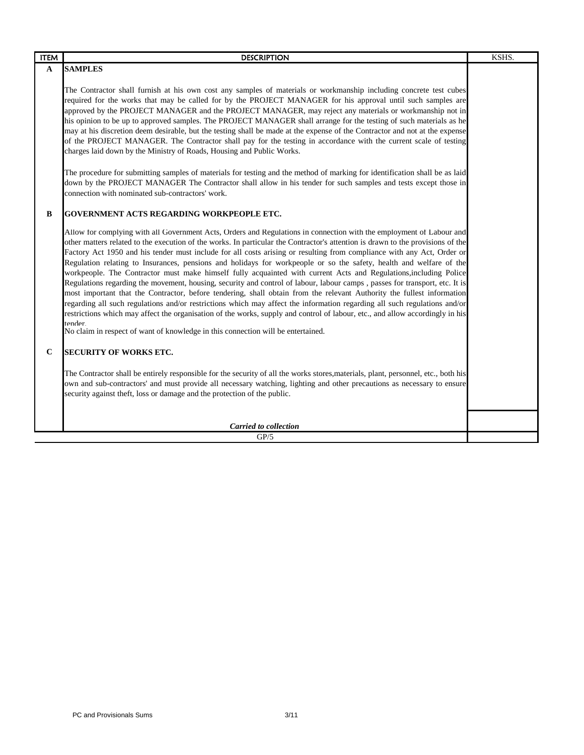| <b>ITEM</b> | <b>DESCRIPTION</b>                                                                                                                                                                                                                                                                                                                                                                                                                                                                                                                                                                                                                                                                                                                                                                                                                                                                                                                                                                                                                                                                                                                                                                                                                                  | KSHS. |
|-------------|-----------------------------------------------------------------------------------------------------------------------------------------------------------------------------------------------------------------------------------------------------------------------------------------------------------------------------------------------------------------------------------------------------------------------------------------------------------------------------------------------------------------------------------------------------------------------------------------------------------------------------------------------------------------------------------------------------------------------------------------------------------------------------------------------------------------------------------------------------------------------------------------------------------------------------------------------------------------------------------------------------------------------------------------------------------------------------------------------------------------------------------------------------------------------------------------------------------------------------------------------------|-------|
| A           | <b>SAMPLES</b>                                                                                                                                                                                                                                                                                                                                                                                                                                                                                                                                                                                                                                                                                                                                                                                                                                                                                                                                                                                                                                                                                                                                                                                                                                      |       |
|             | The Contractor shall furnish at his own cost any samples of materials or workmanship including concrete test cubes<br>required for the works that may be called for by the PROJECT MANAGER for his approval until such samples are<br>approved by the PROJECT MANAGER and the PROJECT MANAGER, may reject any materials or workmanship not in<br>his opinion to be up to approved samples. The PROJECT MANAGER shall arrange for the testing of such materials as he<br>may at his discretion deem desirable, but the testing shall be made at the expense of the Contractor and not at the expense<br>of the PROJECT MANAGER. The Contractor shall pay for the testing in accordance with the current scale of testing<br>charges laid down by the Ministry of Roads, Housing and Public Works.<br>The procedure for submitting samples of materials for testing and the method of marking for identification shall be as laid<br>down by the PROJECT MANAGER The Contractor shall allow in his tender for such samples and tests except those in<br>connection with nominated sub-contractors' work.                                                                                                                                              |       |
| $\bf{B}$    | <b>GOVERNMENT ACTS REGARDING WORKPEOPLE ETC.</b>                                                                                                                                                                                                                                                                                                                                                                                                                                                                                                                                                                                                                                                                                                                                                                                                                                                                                                                                                                                                                                                                                                                                                                                                    |       |
|             | Allow for complying with all Government Acts, Orders and Regulations in connection with the employment of Labour and<br>other matters related to the execution of the works. In particular the Contractor's attention is drawn to the provisions of the<br>Factory Act 1950 and his tender must include for all costs arising or resulting from compliance with any Act, Order or<br>Regulation relating to Insurances, pensions and holidays for workpeople or so the safety, health and welfare of the<br>workpeople. The Contractor must make himself fully acquainted with current Acts and Regulations, including Police<br>Regulations regarding the movement, housing, security and control of labour, labour camps, passes for transport, etc. It is<br>most important that the Contractor, before tendering, shall obtain from the relevant Authority the fullest information<br>regarding all such regulations and/or restrictions which may affect the information regarding all such regulations and/or<br>restrictions which may affect the organisation of the works, supply and control of labour, etc., and allow accordingly in his<br>tender.<br>No claim in respect of want of knowledge in this connection will be entertained. |       |
| $\mathbf C$ | <b>SECURITY OF WORKS ETC.</b>                                                                                                                                                                                                                                                                                                                                                                                                                                                                                                                                                                                                                                                                                                                                                                                                                                                                                                                                                                                                                                                                                                                                                                                                                       |       |
|             | The Contractor shall be entirely responsible for the security of all the works stores, materials, plant, personnel, etc., both his<br>own and sub-contractors' and must provide all necessary watching, lighting and other precautions as necessary to ensure<br>security against theft, loss or damage and the protection of the public.                                                                                                                                                                                                                                                                                                                                                                                                                                                                                                                                                                                                                                                                                                                                                                                                                                                                                                           |       |
|             | Carried to collection                                                                                                                                                                                                                                                                                                                                                                                                                                                                                                                                                                                                                                                                                                                                                                                                                                                                                                                                                                                                                                                                                                                                                                                                                               |       |
|             | GP/5                                                                                                                                                                                                                                                                                                                                                                                                                                                                                                                                                                                                                                                                                                                                                                                                                                                                                                                                                                                                                                                                                                                                                                                                                                                |       |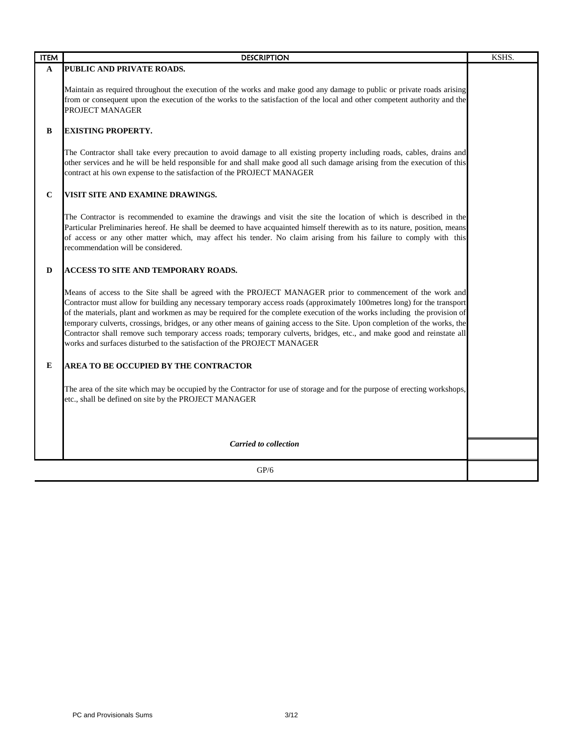| <b>ITEM</b> | <b>DESCRIPTION</b>                                                                                                                                                                                                                                                                                                                                                                                                                                                                                                                                                                                                                                                                                       | KSHS. |
|-------------|----------------------------------------------------------------------------------------------------------------------------------------------------------------------------------------------------------------------------------------------------------------------------------------------------------------------------------------------------------------------------------------------------------------------------------------------------------------------------------------------------------------------------------------------------------------------------------------------------------------------------------------------------------------------------------------------------------|-------|
| A           | PUBLIC AND PRIVATE ROADS.                                                                                                                                                                                                                                                                                                                                                                                                                                                                                                                                                                                                                                                                                |       |
|             | Maintain as required throughout the execution of the works and make good any damage to public or private roads arising<br>from or consequent upon the execution of the works to the satisfaction of the local and other competent authority and the<br>PROJECT MANAGER                                                                                                                                                                                                                                                                                                                                                                                                                                   |       |
| B           | <b>EXISTING PROPERTY.</b>                                                                                                                                                                                                                                                                                                                                                                                                                                                                                                                                                                                                                                                                                |       |
|             | The Contractor shall take every precaution to avoid damage to all existing property including roads, cables, drains and<br>other services and he will be held responsible for and shall make good all such damage arising from the execution of this<br>contract at his own expense to the satisfaction of the PROJECT MANAGER                                                                                                                                                                                                                                                                                                                                                                           |       |
| $\mathbf C$ | VISIT SITE AND EXAMINE DRAWINGS.                                                                                                                                                                                                                                                                                                                                                                                                                                                                                                                                                                                                                                                                         |       |
|             | The Contractor is recommended to examine the drawings and visit the site the location of which is described in the<br>Particular Preliminaries hereof. He shall be deemed to have acquainted himself therewith as to its nature, position, means<br>of access or any other matter which, may affect his tender. No claim arising from his failure to comply with this<br>recommendation will be considered.                                                                                                                                                                                                                                                                                              |       |
| D           | ACCESS TO SITE AND TEMPORARY ROADS.                                                                                                                                                                                                                                                                                                                                                                                                                                                                                                                                                                                                                                                                      |       |
|             | Means of access to the Site shall be agreed with the PROJECT MANAGER prior to commencement of the work and<br>Contractor must allow for building any necessary temporary access roads (approximately 100metres long) for the transport<br>of the materials, plant and workmen as may be required for the complete execution of the works including the provision of<br>temporary culverts, crossings, bridges, or any other means of gaining access to the Site. Upon completion of the works, the<br>Contractor shall remove such temporary access roads; temporary culverts, bridges, etc., and make good and reinstate all<br>works and surfaces disturbed to the satisfaction of the PROJECT MANAGER |       |
| E           | AREA TO BE OCCUPIED BY THE CONTRACTOR                                                                                                                                                                                                                                                                                                                                                                                                                                                                                                                                                                                                                                                                    |       |
|             | The area of the site which may be occupied by the Contractor for use of storage and for the purpose of erecting workshops,<br>etc., shall be defined on site by the PROJECT MANAGER                                                                                                                                                                                                                                                                                                                                                                                                                                                                                                                      |       |
|             |                                                                                                                                                                                                                                                                                                                                                                                                                                                                                                                                                                                                                                                                                                          |       |
|             | <b>Carried to collection</b>                                                                                                                                                                                                                                                                                                                                                                                                                                                                                                                                                                                                                                                                             |       |
|             | GP/6                                                                                                                                                                                                                                                                                                                                                                                                                                                                                                                                                                                                                                                                                                     |       |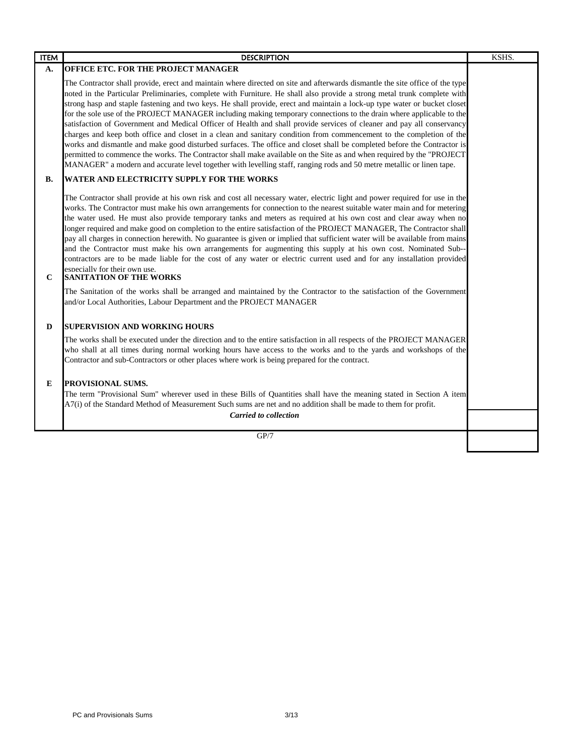| <b>ITEM</b> | <b>DESCRIPTION</b>                                                                                                                                                                                                                                                                                                                                                                                                                                                                                                                                                                                                                                                                                                                                                                                                                                                                                                                                                                                                                                                                                                                             | KSHS. |
|-------------|------------------------------------------------------------------------------------------------------------------------------------------------------------------------------------------------------------------------------------------------------------------------------------------------------------------------------------------------------------------------------------------------------------------------------------------------------------------------------------------------------------------------------------------------------------------------------------------------------------------------------------------------------------------------------------------------------------------------------------------------------------------------------------------------------------------------------------------------------------------------------------------------------------------------------------------------------------------------------------------------------------------------------------------------------------------------------------------------------------------------------------------------|-------|
| А.          | OFFICE ETC. FOR THE PROJECT MANAGER                                                                                                                                                                                                                                                                                                                                                                                                                                                                                                                                                                                                                                                                                                                                                                                                                                                                                                                                                                                                                                                                                                            |       |
|             | The Contractor shall provide, erect and maintain where directed on site and afterwards dismantle the site office of the type<br>noted in the Particular Preliminaries, complete with Furniture. He shall also provide a strong metal trunk complete with<br>strong hasp and staple fastening and two keys. He shall provide, erect and maintain a lock-up type water or bucket closet<br>for the sole use of the PROJECT MANAGER including making temporary connections to the drain where applicable to the<br>satisfaction of Government and Medical Officer of Health and shall provide services of cleaner and pay all conservancy<br>charges and keep both office and closet in a clean and sanitary condition from commencement to the completion of the<br>works and dismantle and make good disturbed surfaces. The office and closet shall be completed before the Contractor is<br>permitted to commence the works. The Contractor shall make available on the Site as and when required by the "PROJECT<br>MANAGER" a modern and accurate level together with levelling staff, ranging rods and 50 metre metallic or linen tape.    |       |
| В.          | WATER AND ELECTRICITY SUPPLY FOR THE WORKS                                                                                                                                                                                                                                                                                                                                                                                                                                                                                                                                                                                                                                                                                                                                                                                                                                                                                                                                                                                                                                                                                                     |       |
| $\mathbf C$ | The Contractor shall provide at his own risk and cost all necessary water, electric light and power required for use in the<br>works. The Contractor must make his own arrangements for connection to the nearest suitable water main and for metering<br>the water used. He must also provide temporary tanks and meters as required at his own cost and clear away when no<br>longer required and make good on completion to the entire satisfaction of the PROJECT MANAGER, The Contractor shall<br>pay all charges in connection herewith. No guarantee is given or implied that sufficient water will be available from mains<br>and the Contractor must make his own arrangements for augmenting this supply at his own cost. Nominated Sub-<br>contractors are to be made liable for the cost of any water or electric current used and for any installation provided<br>especially for their own use.<br><b>SANITATION OF THE WORKS</b><br>The Sanitation of the works shall be arranged and maintained by the Contractor to the satisfaction of the Government<br>and/or Local Authorities, Labour Department and the PROJECT MANAGER |       |
| D           | <b>SUPERVISION AND WORKING HOURS</b>                                                                                                                                                                                                                                                                                                                                                                                                                                                                                                                                                                                                                                                                                                                                                                                                                                                                                                                                                                                                                                                                                                           |       |
|             | The works shall be executed under the direction and to the entire satisfaction in all respects of the PROJECT MANAGER<br>who shall at all times during normal working hours have access to the works and to the yards and workshops of the<br>Contractor and sub-Contractors or other places where work is being prepared for the contract.                                                                                                                                                                                                                                                                                                                                                                                                                                                                                                                                                                                                                                                                                                                                                                                                    |       |
| E           | PROVISIONAL SUMS.<br>The term "Provisional Sum" wherever used in these Bills of Quantities shall have the meaning stated in Section A item<br>A7(i) of the Standard Method of Measurement Such sums are net and no addition shall be made to them for profit.                                                                                                                                                                                                                                                                                                                                                                                                                                                                                                                                                                                                                                                                                                                                                                                                                                                                                  |       |
|             | <b>Carried to collection</b>                                                                                                                                                                                                                                                                                                                                                                                                                                                                                                                                                                                                                                                                                                                                                                                                                                                                                                                                                                                                                                                                                                                   |       |
|             | GP/7                                                                                                                                                                                                                                                                                                                                                                                                                                                                                                                                                                                                                                                                                                                                                                                                                                                                                                                                                                                                                                                                                                                                           |       |
|             |                                                                                                                                                                                                                                                                                                                                                                                                                                                                                                                                                                                                                                                                                                                                                                                                                                                                                                                                                                                                                                                                                                                                                |       |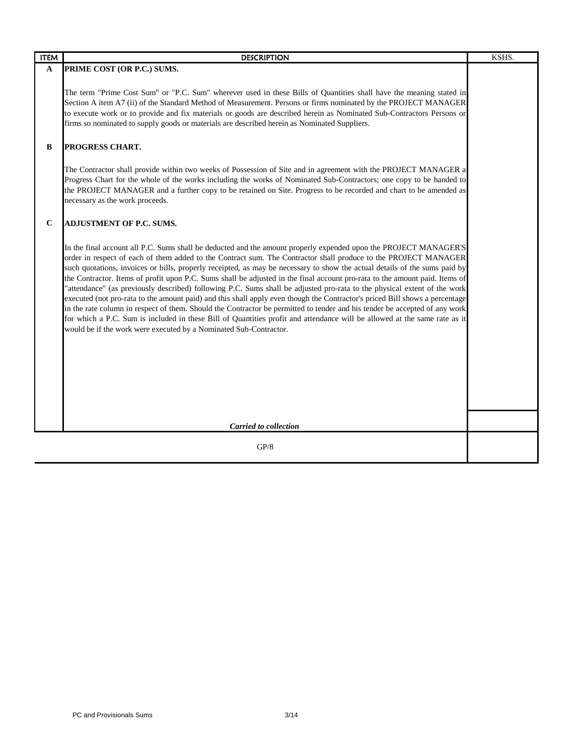| <b>ITEM</b> | <b>DESCRIPTION</b>                                                                                                                                                                                                                                                                                                                                                                                                                                                                                                                                                                                                                                                                                                                                                                                                                                                                                                                                                                                                                                                                          | KSHS. |
|-------------|---------------------------------------------------------------------------------------------------------------------------------------------------------------------------------------------------------------------------------------------------------------------------------------------------------------------------------------------------------------------------------------------------------------------------------------------------------------------------------------------------------------------------------------------------------------------------------------------------------------------------------------------------------------------------------------------------------------------------------------------------------------------------------------------------------------------------------------------------------------------------------------------------------------------------------------------------------------------------------------------------------------------------------------------------------------------------------------------|-------|
| A           | PRIME COST (OR P.C.) SUMS.                                                                                                                                                                                                                                                                                                                                                                                                                                                                                                                                                                                                                                                                                                                                                                                                                                                                                                                                                                                                                                                                  |       |
|             | The term "Prime Cost Sum" or "P.C. Sum" wherever used in these Bills of Quantities shall have the meaning stated in<br>Section A item A7 (ii) of the Standard Method of Measurement. Persons or firms nominated by the PROJECT MANAGER<br>to execute work or to provide and fix materials or goods are described herein as Nominated Sub-Contractors Persons or<br>firms so nominated to supply goods or materials are described herein as Nominated Suppliers.                                                                                                                                                                                                                                                                                                                                                                                                                                                                                                                                                                                                                             |       |
| B           | PROGRESS CHART.                                                                                                                                                                                                                                                                                                                                                                                                                                                                                                                                                                                                                                                                                                                                                                                                                                                                                                                                                                                                                                                                             |       |
|             | The Contractor shall provide within two weeks of Possession of Site and in agreement with the PROJECT MANAGER a<br>Progress Chart for the whole of the works including the works of Nominated Sub-Contractors; one copy to be handed to<br>the PROJECT MANAGER and a further copy to be retained on Site. Progress to be recorded and chart to be amended as<br>necessary as the work proceeds.                                                                                                                                                                                                                                                                                                                                                                                                                                                                                                                                                                                                                                                                                             |       |
| $\mathbf C$ | ADJUSTMENT OF P.C. SUMS.                                                                                                                                                                                                                                                                                                                                                                                                                                                                                                                                                                                                                                                                                                                                                                                                                                                                                                                                                                                                                                                                    |       |
|             | In the final account all P.C. Sums shall be deducted and the amount properly expended upon the PROJECT MANAGER'S<br>order in respect of each of them added to the Contract sum. The Contractor shall produce to the PROJECT MANAGER<br>such quotations, invoices or bills, properly receipted, as may be necessary to show the actual details of the sums paid by<br>the Contractor. Items of profit upon P.C. Sums shall be adjusted in the final account pro-rata to the amount paid. Items of<br>'attendance" (as previously described) following P.C. Sums shall be adjusted pro-rata to the physical extent of the work<br>executed (not pro-rata to the amount paid) and this shall apply even though the Contractor's priced Bill shows a percentage<br>in the rate column in respect of them. Should the Contractor be permitted to tender and his tender be accepted of any work<br>for which a P.C. Sum is included in these Bill of Quantities profit and attendance will be allowed at the same rate as it<br>would be if the work were executed by a Nominated Sub-Contractor. |       |
|             | <b>Carried to collection</b>                                                                                                                                                                                                                                                                                                                                                                                                                                                                                                                                                                                                                                                                                                                                                                                                                                                                                                                                                                                                                                                                |       |
|             | GP/8                                                                                                                                                                                                                                                                                                                                                                                                                                                                                                                                                                                                                                                                                                                                                                                                                                                                                                                                                                                                                                                                                        |       |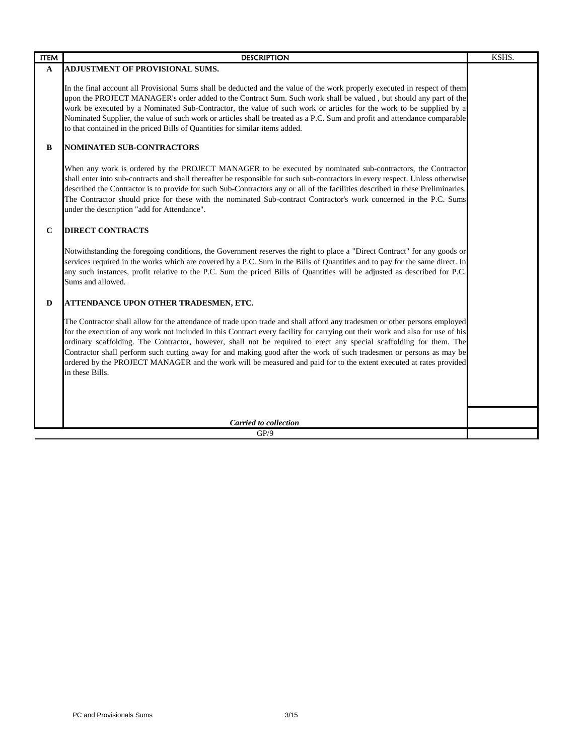| <b>ITEM</b> | <b>DESCRIPTION</b>                                                                                                                                                                                                                                                                                                                                                                                                                                                                                                                                                                                                                                   | KSHS. |
|-------------|------------------------------------------------------------------------------------------------------------------------------------------------------------------------------------------------------------------------------------------------------------------------------------------------------------------------------------------------------------------------------------------------------------------------------------------------------------------------------------------------------------------------------------------------------------------------------------------------------------------------------------------------------|-------|
| A           | <b>ADJUSTMENT OF PROVISIONAL SUMS.</b>                                                                                                                                                                                                                                                                                                                                                                                                                                                                                                                                                                                                               |       |
|             | In the final account all Provisional Sums shall be deducted and the value of the work properly executed in respect of them<br>upon the PROJECT MANAGER's order added to the Contract Sum. Such work shall be valued, but should any part of the<br>work be executed by a Nominated Sub-Contractor, the value of such work or articles for the work to be supplied by a<br>Nominated Supplier, the value of such work or articles shall be treated as a P.C. Sum and profit and attendance comparable<br>to that contained in the priced Bills of Quantities for similar items added.                                                                 |       |
| B           | NOMINATED SUB-CONTRACTORS                                                                                                                                                                                                                                                                                                                                                                                                                                                                                                                                                                                                                            |       |
|             | When any work is ordered by the PROJECT MANAGER to be executed by nominated sub-contractors, the Contractor<br>shall enter into sub-contracts and shall thereafter be responsible for such sub-contractors in every respect. Unless otherwise<br>described the Contractor is to provide for such Sub-Contractors any or all of the facilities described in these Preliminaries.<br>The Contractor should price for these with the nominated Sub-contract Contractor's work concerned in the P.C. Sums<br>under the description "add for Attendance".                                                                                                 |       |
| $\mathbf C$ | <b>DIRECT CONTRACTS</b>                                                                                                                                                                                                                                                                                                                                                                                                                                                                                                                                                                                                                              |       |
|             | Notwithstanding the foregoing conditions, the Government reserves the right to place a "Direct Contract" for any goods or<br>services required in the works which are covered by a P.C. Sum in the Bills of Quantities and to pay for the same direct. In<br>any such instances, profit relative to the P.C. Sum the priced Bills of Quantities will be adjusted as described for P.C.<br>Sums and allowed.                                                                                                                                                                                                                                          |       |
| D           | ATTENDANCE UPON OTHER TRADESMEN, ETC.                                                                                                                                                                                                                                                                                                                                                                                                                                                                                                                                                                                                                |       |
|             | The Contractor shall allow for the attendance of trade upon trade and shall afford any tradesmen or other persons employed<br>for the execution of any work not included in this Contract every facility for carrying out their work and also for use of his<br>ordinary scaffolding. The Contractor, however, shall not be required to erect any special scaffolding for them. The<br>Contractor shall perform such cutting away for and making good after the work of such tradesmen or persons as may be<br>ordered by the PROJECT MANAGER and the work will be measured and paid for to the extent executed at rates provided<br>in these Bills. |       |
|             | <b>Carried to collection</b>                                                                                                                                                                                                                                                                                                                                                                                                                                                                                                                                                                                                                         |       |
|             | GP/9                                                                                                                                                                                                                                                                                                                                                                                                                                                                                                                                                                                                                                                 |       |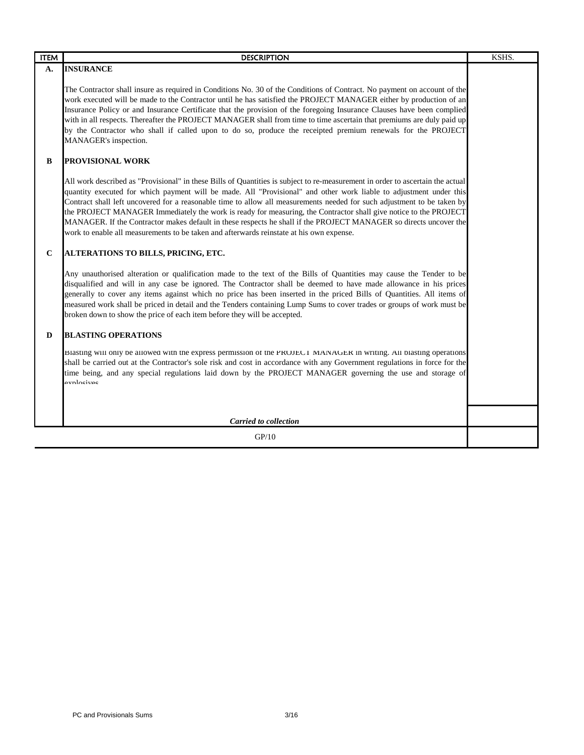| <b>DESCRIPTION</b>                                                                                                                                                                                                                                                                                                                                                                                                                                                                                                                                                                                                                                                                                                   | KSHS. |
|----------------------------------------------------------------------------------------------------------------------------------------------------------------------------------------------------------------------------------------------------------------------------------------------------------------------------------------------------------------------------------------------------------------------------------------------------------------------------------------------------------------------------------------------------------------------------------------------------------------------------------------------------------------------------------------------------------------------|-------|
| <b>INSURANCE</b>                                                                                                                                                                                                                                                                                                                                                                                                                                                                                                                                                                                                                                                                                                     |       |
| The Contractor shall insure as required in Conditions No. 30 of the Conditions of Contract. No payment on account of the<br>work executed will be made to the Contractor until he has satisfied the PROJECT MANAGER either by production of an<br>Insurance Policy or and Insurance Certificate that the provision of the foregoing Insurance Clauses have been complied<br>with in all respects. Thereafter the PROJECT MANAGER shall from time to time ascertain that premiums are duly paid up<br>by the Contractor who shall if called upon to do so, produce the receipted premium renewals for the PROJECT<br>MANAGER's inspection.                                                                            |       |
| <b>PROVISIONAL WORK</b>                                                                                                                                                                                                                                                                                                                                                                                                                                                                                                                                                                                                                                                                                              |       |
| All work described as "Provisional" in these Bills of Quantities is subject to re-measurement in order to ascertain the actual<br>quantity executed for which payment will be made. All "Provisional" and other work liable to adjustment under this<br>Contract shall left uncovered for a reasonable time to allow all measurements needed for such adjustment to be taken by<br>the PROJECT MANAGER Immediately the work is ready for measuring, the Contractor shall give notice to the PROJECT<br>MANAGER. If the Contractor makes default in these respects he shall if the PROJECT MANAGER so directs uncover the<br>work to enable all measurements to be taken and afterwards reinstate at his own expense. |       |
| ALTERATIONS TO BILLS, PRICING, ETC.                                                                                                                                                                                                                                                                                                                                                                                                                                                                                                                                                                                                                                                                                  |       |
| Any unauthorised alteration or qualification made to the text of the Bills of Quantities may cause the Tender to be<br>disqualified and will in any case be ignored. The Contractor shall be deemed to have made allowance in his prices<br>generally to cover any items against which no price has been inserted in the priced Bills of Quantities. All items of<br>measured work shall be priced in detail and the Tenders containing Lump Sums to cover trades or groups of work must be<br>broken down to show the price of each item before they will be accepted.                                                                                                                                              |       |
| <b>BLASTING OPERATIONS</b>                                                                                                                                                                                                                                                                                                                                                                                                                                                                                                                                                                                                                                                                                           |       |
| Blasting will only be allowed with the express permission of the PROJECT MANAGER in writing. All blasting operations<br>shall be carried out at the Contractor's sole risk and cost in accordance with any Government regulations in force for the<br>time being, and any special regulations laid down by the PROJECT MANAGER governing the use and storage of<br>explosives                                                                                                                                                                                                                                                                                                                                        |       |
| <b>Carried to collection</b>                                                                                                                                                                                                                                                                                                                                                                                                                                                                                                                                                                                                                                                                                         |       |
| GP/10                                                                                                                                                                                                                                                                                                                                                                                                                                                                                                                                                                                                                                                                                                                |       |
|                                                                                                                                                                                                                                                                                                                                                                                                                                                                                                                                                                                                                                                                                                                      |       |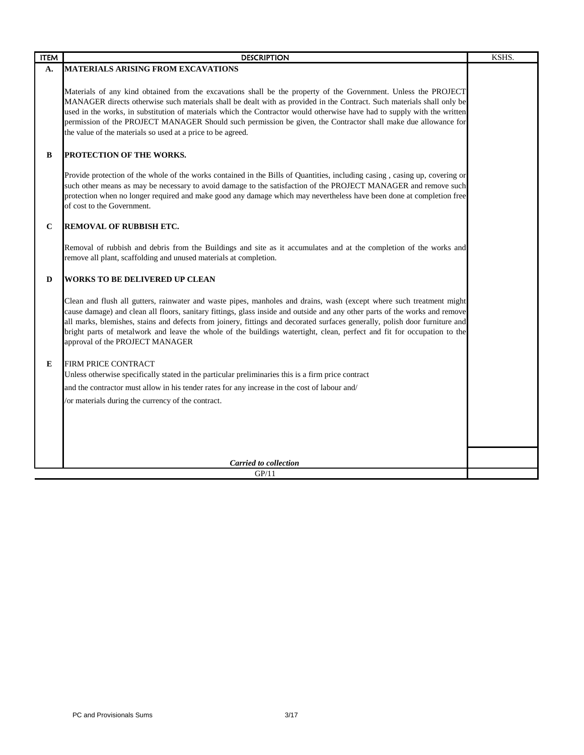| <b>ITEM</b> | <b>DESCRIPTION</b>                                                                                                                                                                                                                                                                                                                                                                                                                                                                                                                                     | KSHS. |
|-------------|--------------------------------------------------------------------------------------------------------------------------------------------------------------------------------------------------------------------------------------------------------------------------------------------------------------------------------------------------------------------------------------------------------------------------------------------------------------------------------------------------------------------------------------------------------|-------|
| А.          | <b>MATERIALS ARISING FROM EXCAVATIONS</b>                                                                                                                                                                                                                                                                                                                                                                                                                                                                                                              |       |
|             | Materials of any kind obtained from the excavations shall be the property of the Government. Unless the PROJECT<br>MANAGER directs otherwise such materials shall be dealt with as provided in the Contract. Such materials shall only be<br>used in the works, in substitution of materials which the Contractor would otherwise have had to supply with the written<br>permission of the PROJECT MANAGER Should such permission be given, the Contractor shall make due allowance for<br>the value of the materials so used at a price to be agreed. |       |
| B           | <b>PROTECTION OF THE WORKS.</b>                                                                                                                                                                                                                                                                                                                                                                                                                                                                                                                        |       |
|             | Provide protection of the whole of the works contained in the Bills of Quantities, including casing, casing up, covering or<br>such other means as may be necessary to avoid damage to the satisfaction of the PROJECT MANAGER and remove such<br>protection when no longer required and make good any damage which may nevertheless have been done at completion free<br>of cost to the Government.                                                                                                                                                   |       |
| $\mathbf C$ | REMOVAL OF RUBBISH ETC.                                                                                                                                                                                                                                                                                                                                                                                                                                                                                                                                |       |
|             | Removal of rubbish and debris from the Buildings and site as it accumulates and at the completion of the works and<br>remove all plant, scaffolding and unused materials at completion.                                                                                                                                                                                                                                                                                                                                                                |       |
| D           | <b>WORKS TO BE DELIVERED UP CLEAN</b>                                                                                                                                                                                                                                                                                                                                                                                                                                                                                                                  |       |
|             | Clean and flush all gutters, rainwater and waste pipes, manholes and drains, wash (except where such treatment might<br>cause damage) and clean all floors, sanitary fittings, glass inside and outside and any other parts of the works and remove<br>all marks, blemishes, stains and defects from joinery, fittings and decorated surfaces generally, polish door furniture and<br>bright parts of metalwork and leave the whole of the buildings watertight, clean, perfect and fit for occupation to the<br>approval of the PROJECT MANAGER       |       |
| E           | FIRM PRICE CONTRACT                                                                                                                                                                                                                                                                                                                                                                                                                                                                                                                                    |       |
|             | Unless otherwise specifically stated in the particular preliminaries this is a firm price contract                                                                                                                                                                                                                                                                                                                                                                                                                                                     |       |
|             | and the contractor must allow in his tender rates for any increase in the cost of labour and/                                                                                                                                                                                                                                                                                                                                                                                                                                                          |       |
|             | /or materials during the currency of the contract.                                                                                                                                                                                                                                                                                                                                                                                                                                                                                                     |       |
|             |                                                                                                                                                                                                                                                                                                                                                                                                                                                                                                                                                        |       |
|             |                                                                                                                                                                                                                                                                                                                                                                                                                                                                                                                                                        |       |
|             |                                                                                                                                                                                                                                                                                                                                                                                                                                                                                                                                                        |       |
|             | <b>Carried to collection</b>                                                                                                                                                                                                                                                                                                                                                                                                                                                                                                                           |       |
|             | GP/11                                                                                                                                                                                                                                                                                                                                                                                                                                                                                                                                                  |       |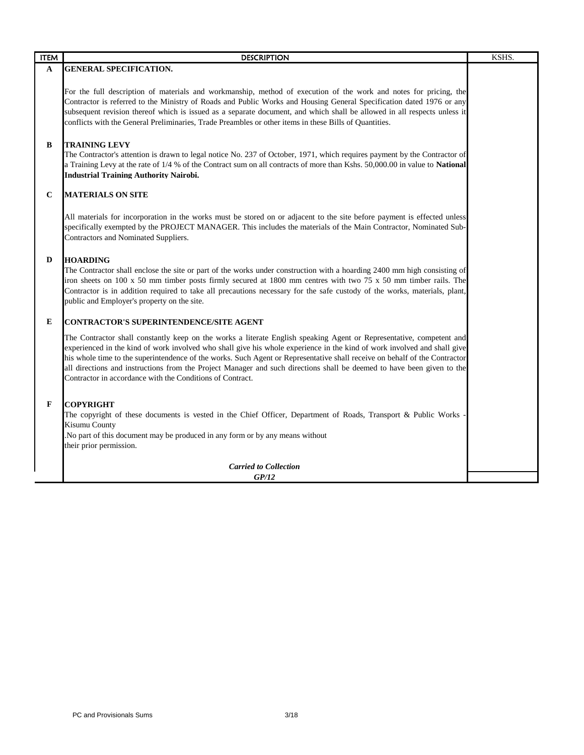| <b>ITEM</b> | <b>DESCRIPTION</b>                                                                                                                                                                                                                                                                                                                                                                                                                                                                                                                                                    | KSHS. |
|-------------|-----------------------------------------------------------------------------------------------------------------------------------------------------------------------------------------------------------------------------------------------------------------------------------------------------------------------------------------------------------------------------------------------------------------------------------------------------------------------------------------------------------------------------------------------------------------------|-------|
| A           | <b>GENERAL SPECIFICATION.</b>                                                                                                                                                                                                                                                                                                                                                                                                                                                                                                                                         |       |
|             | For the full description of materials and workmanship, method of execution of the work and notes for pricing, the<br>Contractor is referred to the Ministry of Roads and Public Works and Housing General Specification dated 1976 or any<br>subsequent revision thereof which is issued as a separate document, and which shall be allowed in all respects unless it<br>conflicts with the General Preliminaries, Trade Preambles or other items in these Bills of Quantities.                                                                                       |       |
| B           | <b>TRAINING LEVY</b><br>The Contractor's attention is drawn to legal notice No. 237 of October, 1971, which requires payment by the Contractor of<br>a Training Levy at the rate of 1/4 % of the Contract sum on all contracts of more than Kshs. 50,000.00 in value to National<br><b>Industrial Training Authority Nairobi.</b>                                                                                                                                                                                                                                     |       |
| $\mathbf C$ | <b>MATERIALS ON SITE</b>                                                                                                                                                                                                                                                                                                                                                                                                                                                                                                                                              |       |
|             | All materials for incorporation in the works must be stored on or adjacent to the site before payment is effected unless<br>specifically exempted by the PROJECT MANAGER. This includes the materials of the Main Contractor, Nominated Sub-<br>Contractors and Nominated Suppliers.                                                                                                                                                                                                                                                                                  |       |
| D           | <b>HOARDING</b><br>The Contractor shall enclose the site or part of the works under construction with a hoarding 2400 mm high consisting of<br>iron sheets on 100 x 50 mm timber posts firmly secured at 1800 mm centres with two 75 x 50 mm timber rails. The<br>Contractor is in addition required to take all precautions necessary for the safe custody of the works, materials, plant,<br>public and Employer's property on the site.                                                                                                                            |       |
| E           | CONTRACTOR'S SUPERINTENDENCE/SITE AGENT                                                                                                                                                                                                                                                                                                                                                                                                                                                                                                                               |       |
|             | The Contractor shall constantly keep on the works a literate English speaking Agent or Representative, competent and<br>experienced in the kind of work involved who shall give his whole experience in the kind of work involved and shall give<br>his whole time to the superintendence of the works. Such Agent or Representative shall receive on behalf of the Contractor<br>all directions and instructions from the Project Manager and such directions shall be deemed to have been given to the<br>Contractor in accordance with the Conditions of Contract. |       |
| F           | <b>COPYRIGHT</b>                                                                                                                                                                                                                                                                                                                                                                                                                                                                                                                                                      |       |
|             | The copyright of these documents is vested in the Chief Officer, Department of Roads, Transport & Public Works<br>Kisumu County                                                                                                                                                                                                                                                                                                                                                                                                                                       |       |
|             | . No part of this document may be produced in any form or by any means without<br>their prior permission.                                                                                                                                                                                                                                                                                                                                                                                                                                                             |       |
|             | <b>Carried to Collection</b>                                                                                                                                                                                                                                                                                                                                                                                                                                                                                                                                          |       |
|             | GP/12                                                                                                                                                                                                                                                                                                                                                                                                                                                                                                                                                                 |       |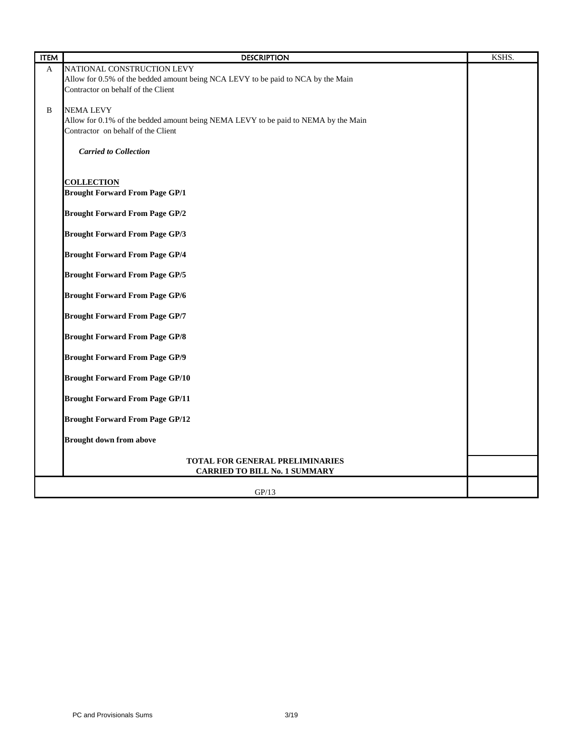| <b>ITEM</b> | <b>DESCRIPTION</b>                                                                 | KSHS. |
|-------------|------------------------------------------------------------------------------------|-------|
| A           | NATIONAL CONSTRUCTION LEVY                                                         |       |
|             | Allow for 0.5% of the bedded amount being NCA LEVY to be paid to NCA by the Main   |       |
|             | Contractor on behalf of the Client                                                 |       |
|             |                                                                                    |       |
| B           | <b>NEMA LEVY</b>                                                                   |       |
|             | Allow for 0.1% of the bedded amount being NEMA LEVY to be paid to NEMA by the Main |       |
|             | Contractor on behalf of the Client                                                 |       |
|             |                                                                                    |       |
|             | <b>Carried to Collection</b>                                                       |       |
|             |                                                                                    |       |
|             |                                                                                    |       |
|             | <b>COLLECTION</b>                                                                  |       |
|             | <b>Brought Forward From Page GP/1</b>                                              |       |
|             |                                                                                    |       |
|             | <b>Brought Forward From Page GP/2</b>                                              |       |
|             |                                                                                    |       |
|             | <b>Brought Forward From Page GP/3</b>                                              |       |
|             |                                                                                    |       |
|             | <b>Brought Forward From Page GP/4</b>                                              |       |
|             |                                                                                    |       |
|             | <b>Brought Forward From Page GP/5</b>                                              |       |
|             |                                                                                    |       |
|             | <b>Brought Forward From Page GP/6</b>                                              |       |
|             | <b>Brought Forward From Page GP/7</b>                                              |       |
|             |                                                                                    |       |
|             | <b>Brought Forward From Page GP/8</b>                                              |       |
|             |                                                                                    |       |
|             | <b>Brought Forward From Page GP/9</b>                                              |       |
|             |                                                                                    |       |
|             | <b>Brought Forward From Page GP/10</b>                                             |       |
|             |                                                                                    |       |
|             | <b>Brought Forward From Page GP/11</b>                                             |       |
|             |                                                                                    |       |
|             | <b>Brought Forward From Page GP/12</b>                                             |       |
|             |                                                                                    |       |
|             | <b>Brought down from above</b>                                                     |       |
|             |                                                                                    |       |
|             | TOTAL FOR GENERAL PRELIMINARIES                                                    |       |
|             | <b>CARRIED TO BILL No. 1 SUMMARY</b>                                               |       |
|             |                                                                                    |       |
|             | GP/13                                                                              |       |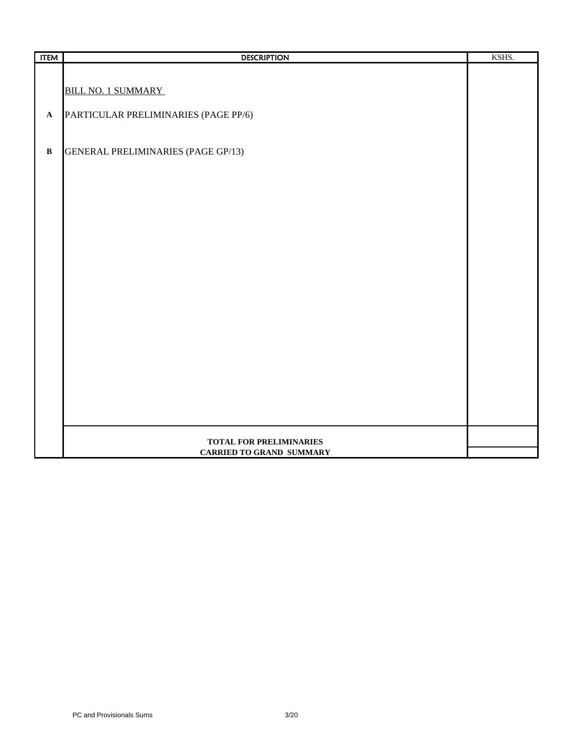| <b>ITEM</b>  | <b>DESCRIPTION</b>                        | KSHS. |
|--------------|-------------------------------------------|-------|
|              |                                           |       |
|              |                                           |       |
|              | <b>BILL NO. 1 SUMMARY</b>                 |       |
| $\mathbf A$  | PARTICULAR PRELIMINARIES (PAGE PP/6)      |       |
|              |                                           |       |
|              |                                           |       |
| $\, {\bf B}$ | <b>GENERAL PRELIMINARIES (PAGE GP/13)</b> |       |
|              |                                           |       |
|              |                                           |       |
|              |                                           |       |
|              |                                           |       |
|              |                                           |       |
|              |                                           |       |
|              |                                           |       |
|              |                                           |       |
|              |                                           |       |
|              |                                           |       |
|              |                                           |       |
|              |                                           |       |
|              |                                           |       |
|              |                                           |       |
|              |                                           |       |
|              |                                           |       |
|              |                                           |       |
|              |                                           |       |
|              |                                           |       |
|              |                                           |       |
|              |                                           |       |
|              | TOTAL FOR PRELIMINARIES                   |       |
|              | <b>CARRIED TO GRAND SUMMARY</b>           |       |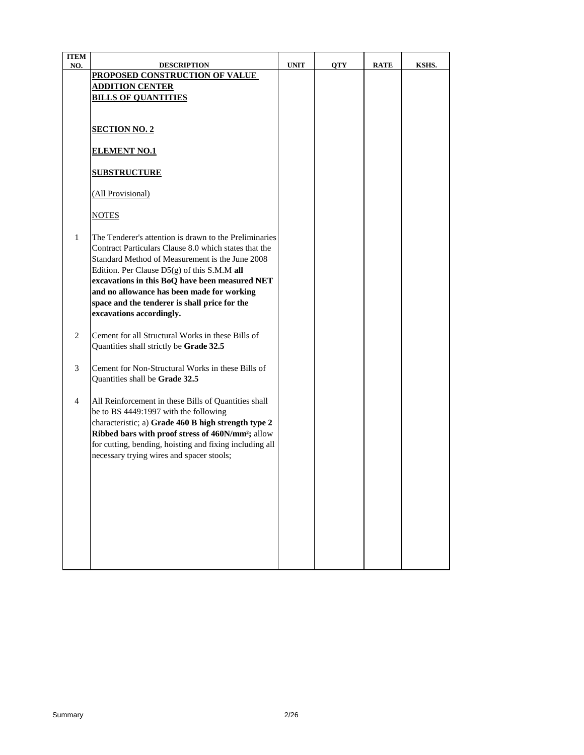| <b>ITEM</b> |                                                                                                                                                                                                                                                                                                                                                                                                |             |            |             |       |
|-------------|------------------------------------------------------------------------------------------------------------------------------------------------------------------------------------------------------------------------------------------------------------------------------------------------------------------------------------------------------------------------------------------------|-------------|------------|-------------|-------|
| NO.         | <b>DESCRIPTION</b><br>PROPOSED CONSTRUCTION OF VALUE                                                                                                                                                                                                                                                                                                                                           | <b>UNIT</b> | <b>QTY</b> | <b>RATE</b> | KSHS. |
|             | <u>ADDITION CENTER</u>                                                                                                                                                                                                                                                                                                                                                                         |             |            |             |       |
|             | <b>BILLS OF QUANTITIES</b>                                                                                                                                                                                                                                                                                                                                                                     |             |            |             |       |
|             |                                                                                                                                                                                                                                                                                                                                                                                                |             |            |             |       |
|             | <b>SECTION NO. 2</b>                                                                                                                                                                                                                                                                                                                                                                           |             |            |             |       |
|             | <b>ELEMENT NO.1</b>                                                                                                                                                                                                                                                                                                                                                                            |             |            |             |       |
|             | <b>SUBSTRUCTURE</b>                                                                                                                                                                                                                                                                                                                                                                            |             |            |             |       |
|             | (All Provisional)                                                                                                                                                                                                                                                                                                                                                                              |             |            |             |       |
|             | <b>NOTES</b>                                                                                                                                                                                                                                                                                                                                                                                   |             |            |             |       |
| 1           | The Tenderer's attention is drawn to the Preliminaries<br>Contract Particulars Clause 8.0 which states that the<br>Standard Method of Measurement is the June 2008<br>Edition. Per Clause D5(g) of this S.M.M all<br>excavations in this BoQ have been measured NET<br>and no allowance has been made for working<br>space and the tenderer is shall price for the<br>excavations accordingly. |             |            |             |       |
| 2           | Cement for all Structural Works in these Bills of<br>Quantities shall strictly be Grade 32.5                                                                                                                                                                                                                                                                                                   |             |            |             |       |
| 3           | Cement for Non-Structural Works in these Bills of<br>Quantities shall be Grade 32.5                                                                                                                                                                                                                                                                                                            |             |            |             |       |
| 4           | All Reinforcement in these Bills of Quantities shall<br>be to BS 4449:1997 with the following<br>characteristic; a) Grade 460 B high strength type 2<br>Ribbed bars with proof stress of 460N/mm <sup>2</sup> ; allow<br>for cutting, bending, hoisting and fixing including all<br>necessary trying wires and spacer stools;                                                                  |             |            |             |       |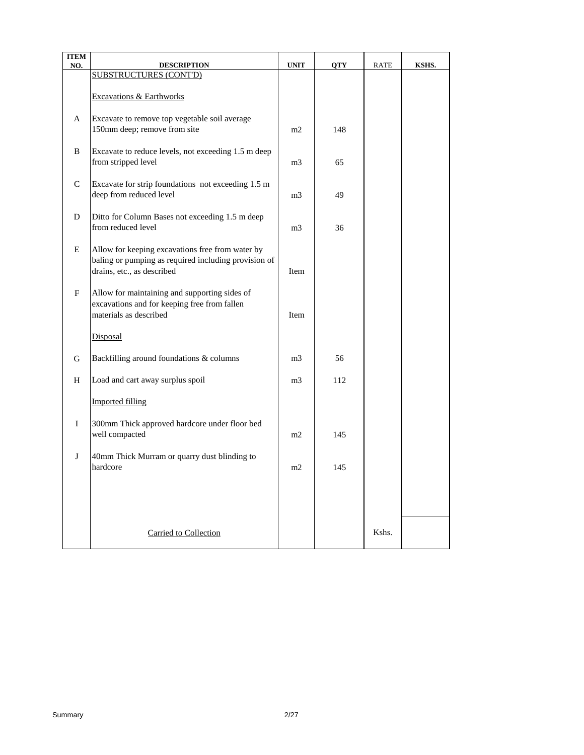| <b>ITEM</b><br>NO. | <b>DESCRIPTION</b>                                                                                                                     | <b>UNIT</b>    | <b>QTY</b> | <b>RATE</b> | KSHS. |
|--------------------|----------------------------------------------------------------------------------------------------------------------------------------|----------------|------------|-------------|-------|
|                    | <b>SUBSTRUCTURES (CONT'D)</b>                                                                                                          |                |            |             |       |
|                    | Excavations & Earthworks                                                                                                               |                |            |             |       |
| A                  | Excavate to remove top vegetable soil average<br>150mm deep; remove from site                                                          | m2             | 148        |             |       |
| B                  | Excavate to reduce levels, not exceeding 1.5 m deep<br>from stripped level                                                             | m <sub>3</sub> | 65         |             |       |
| C                  | Excavate for strip foundations not exceeding 1.5 m<br>deep from reduced level                                                          | m <sub>3</sub> | 49         |             |       |
| D                  | Ditto for Column Bases not exceeding 1.5 m deep<br>from reduced level                                                                  | m <sub>3</sub> | 36         |             |       |
| E                  | Allow for keeping excavations free from water by<br>baling or pumping as required including provision of<br>drains, etc., as described | Item           |            |             |       |
| F                  | Allow for maintaining and supporting sides of<br>excavations and for keeping free from fallen<br>materials as described                | Item           |            |             |       |
|                    | Disposal                                                                                                                               |                |            |             |       |
| G                  | Backfilling around foundations & columns                                                                                               | m <sub>3</sub> | 56         |             |       |
| H                  | Load and cart away surplus spoil                                                                                                       | m <sub>3</sub> | 112        |             |       |
|                    | <b>Imported filling</b>                                                                                                                |                |            |             |       |
| $\bf{I}$           | 300mm Thick approved hardcore under floor bed<br>well compacted                                                                        | m2             | 145        |             |       |
| J                  | 40mm Thick Murram or quarry dust blinding to<br>hardcore                                                                               | m2             | 145        |             |       |
|                    |                                                                                                                                        |                |            |             |       |
|                    | Carried to Collection                                                                                                                  |                |            | Kshs.       |       |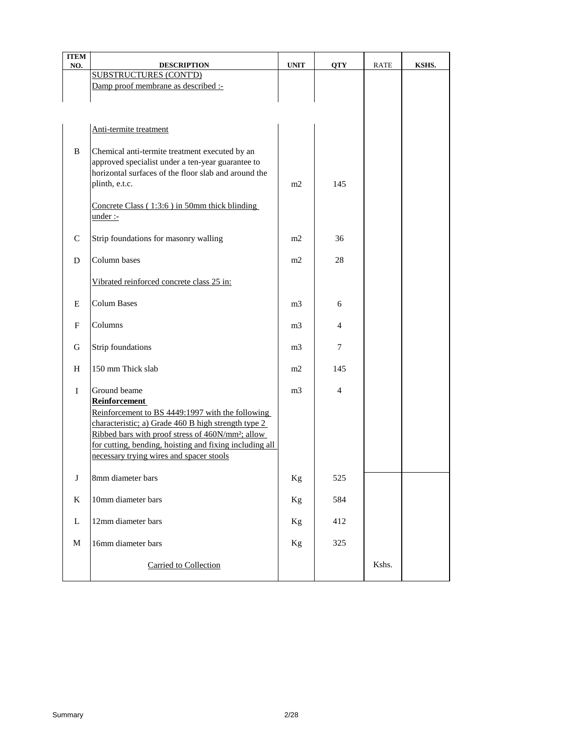| <b>ITEM</b><br>NO. | <b>DESCRIPTION</b>                                            | <b>UNIT</b>    | <b>QTY</b> | <b>RATE</b> | KSHS. |
|--------------------|---------------------------------------------------------------|----------------|------------|-------------|-------|
|                    | <b>SUBSTRUCTURES (CONT'D)</b>                                 |                |            |             |       |
|                    | Damp proof membrane as described :-                           |                |            |             |       |
|                    |                                                               |                |            |             |       |
|                    |                                                               |                |            |             |       |
|                    |                                                               |                |            |             |       |
|                    | Anti-termite treatment                                        |                |            |             |       |
| B                  | Chemical anti-termite treatment executed by an                |                |            |             |       |
|                    | approved specialist under a ten-year guarantee to             |                |            |             |       |
|                    | horizontal surfaces of the floor slab and around the          |                |            |             |       |
|                    | plinth, e.t.c.                                                | m2             | 145        |             |       |
|                    |                                                               |                |            |             |       |
|                    | Concrete Class (1:3:6) in 50mm thick blinding                 |                |            |             |       |
|                    | $under: -$                                                    |                |            |             |       |
|                    |                                                               |                |            |             |       |
| $\mathcal{C}$      | Strip foundations for masonry walling                         | m2             | 36         |             |       |
| D                  | Column bases                                                  | m2             | 28         |             |       |
|                    |                                                               |                |            |             |       |
|                    | Vibrated reinforced concrete class 25 in:                     |                |            |             |       |
|                    |                                                               |                |            |             |       |
| E                  | <b>Colum Bases</b>                                            | m <sub>3</sub> | 6          |             |       |
|                    |                                                               |                |            |             |       |
| F                  | Columns                                                       | m <sub>3</sub> | 4          |             |       |
|                    |                                                               |                |            |             |       |
| G                  | Strip foundations                                             | m <sub>3</sub> | 7          |             |       |
| H                  | 150 mm Thick slab                                             | m2             | 145        |             |       |
|                    |                                                               |                |            |             |       |
| $\mathbf I$        | Ground beame                                                  | m <sub>3</sub> | 4          |             |       |
|                    | Reinforcement                                                 |                |            |             |       |
|                    | Reinforcement to BS 4449:1997 with the following              |                |            |             |       |
|                    | characteristic; a) Grade 460 B high strength type 2           |                |            |             |       |
|                    | Ribbed bars with proof stress of 460N/mm <sup>2</sup> ; allow |                |            |             |       |
|                    | for cutting, bending, hoisting and fixing including all       |                |            |             |       |
|                    | necessary trying wires and spacer stools                      |                |            |             |       |
|                    | 8mm diameter bars                                             |                | 525        |             |       |
| J                  |                                                               | Kg             |            |             |       |
| K                  | 10mm diameter bars                                            | Kg             | 584        |             |       |
|                    |                                                               |                |            |             |       |
| L                  | 12mm diameter bars                                            | Kg             | 412        |             |       |
|                    |                                                               |                |            |             |       |
| $\mathbf M$        | 16mm diameter bars                                            | Kg             | 325        |             |       |
|                    |                                                               |                |            |             |       |
|                    | Carried to Collection                                         |                |            | Kshs.       |       |
|                    |                                                               |                |            |             |       |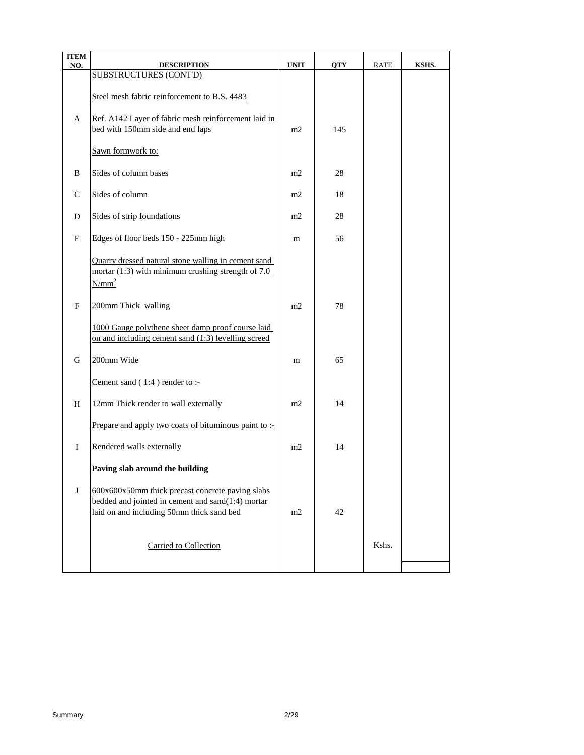| <b>ITEM</b>   |                                                                                                                                                    |                |            |             |       |
|---------------|----------------------------------------------------------------------------------------------------------------------------------------------------|----------------|------------|-------------|-------|
| NO.           | <b>DESCRIPTION</b><br><b>SUBSTRUCTURES (CONT'D)</b>                                                                                                | <b>UNIT</b>    | <b>QTY</b> | <b>RATE</b> | KSHS. |
|               | Steel mesh fabric reinforcement to B.S. 4483                                                                                                       |                |            |             |       |
| A             | Ref. A142 Layer of fabric mesh reinforcement laid in<br>bed with 150mm side and end laps                                                           | m2             | 145        |             |       |
|               | Sawn formwork to:                                                                                                                                  |                |            |             |       |
| B             | Sides of column bases                                                                                                                              | m2             | 28         |             |       |
| $\mathcal{C}$ | Sides of column                                                                                                                                    | m2             | 18         |             |       |
| D             | Sides of strip foundations                                                                                                                         | m <sub>2</sub> | 28         |             |       |
| E             | Edges of floor beds 150 - 225mm high                                                                                                               | m              | 56         |             |       |
|               | Quarry dressed natural stone walling in cement sand<br>mortar $(1:3)$ with minimum crushing strength of 7.0<br>$N/mm^2$                            |                |            |             |       |
| F             | 200mm Thick walling                                                                                                                                | m2             | 78         |             |       |
|               | 1000 Gauge polythene sheet damp proof course laid<br>on and including cement sand (1:3) levelling screed                                           |                |            |             |       |
| G             | 200mm Wide                                                                                                                                         | m              | 65         |             |       |
|               | Cement sand $(1:4)$ render to :-                                                                                                                   |                |            |             |       |
| H             | 12mm Thick render to wall externally                                                                                                               | m2             | 14         |             |       |
|               | Prepare and apply two coats of bituminous paint to :-                                                                                              |                |            |             |       |
| $\bf{I}$      | Rendered walls externally                                                                                                                          | m2             | 14         |             |       |
|               | Paving slab around the building                                                                                                                    |                |            |             |       |
| J             | 600x600x50mm thick precast concrete paving slabs<br>bedded and jointed in cement and sand(1:4) mortar<br>laid on and including 50mm thick sand bed | m2             | 42         |             |       |
|               | Carried to Collection                                                                                                                              |                |            | Kshs.       |       |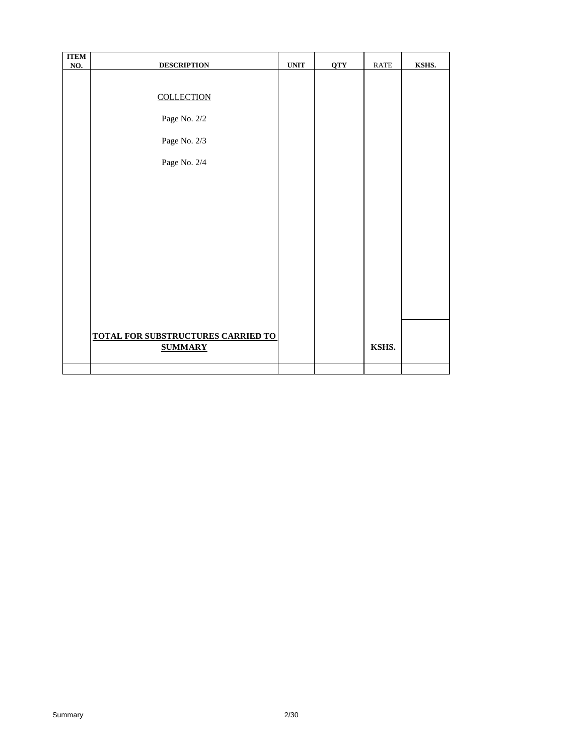| <b>ITEM</b> |                                           |             |            |             |       |
|-------------|-------------------------------------------|-------------|------------|-------------|-------|
| NO.         | <b>DESCRIPTION</b>                        | <b>UNIT</b> | <b>QTY</b> | <b>RATE</b> | KSHS. |
|             |                                           |             |            |             |       |
|             |                                           |             |            |             |       |
|             | <b>COLLECTION</b>                         |             |            |             |       |
|             |                                           |             |            |             |       |
|             | Page No. 2/2                              |             |            |             |       |
|             |                                           |             |            |             |       |
|             | Page No. 2/3                              |             |            |             |       |
|             |                                           |             |            |             |       |
|             |                                           |             |            |             |       |
|             | Page No. 2/4                              |             |            |             |       |
|             |                                           |             |            |             |       |
|             |                                           |             |            |             |       |
|             |                                           |             |            |             |       |
|             |                                           |             |            |             |       |
|             |                                           |             |            |             |       |
|             |                                           |             |            |             |       |
|             |                                           |             |            |             |       |
|             |                                           |             |            |             |       |
|             |                                           |             |            |             |       |
|             |                                           |             |            |             |       |
|             |                                           |             |            |             |       |
|             |                                           |             |            |             |       |
|             |                                           |             |            |             |       |
|             |                                           |             |            |             |       |
|             |                                           |             |            |             |       |
|             |                                           |             |            |             |       |
|             | <b>TOTAL FOR SUBSTRUCTURES CARRIED TO</b> |             |            |             |       |
|             | <b>SUMMARY</b>                            |             |            | KSHS.       |       |
|             |                                           |             |            |             |       |
|             |                                           |             |            |             |       |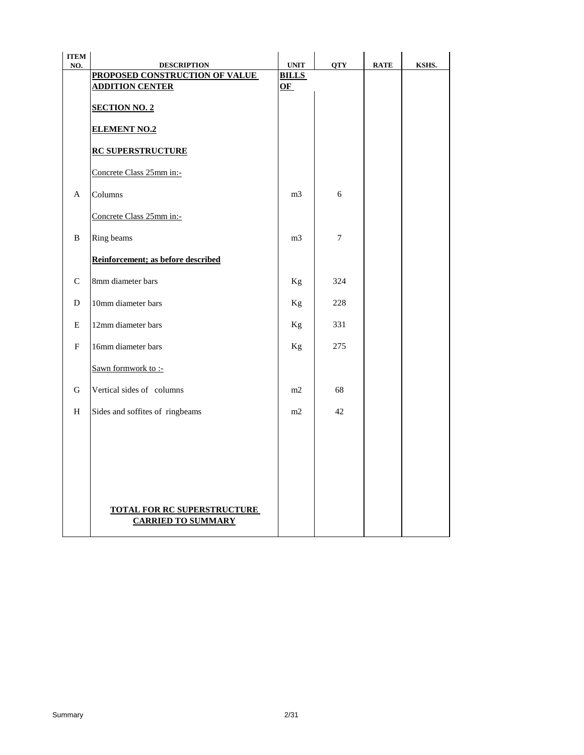| <b>ITEM</b>  |                                                          |                                            |                |             |       |
|--------------|----------------------------------------------------------|--------------------------------------------|----------------|-------------|-------|
| NO.          | <b>DESCRIPTION</b><br>PROPOSED CONSTRUCTION OF VALUE     | $\ensuremath{\text{UNIT}}$<br><b>BILLS</b> | <b>QTY</b>     | <b>RATE</b> | KSHS. |
|              | <b>ADDITION CENTER</b>                                   | $OF$                                       |                |             |       |
|              | <b>SECTION NO. 2</b>                                     |                                            |                |             |       |
|              | <b>ELEMENT NO.2</b>                                      |                                            |                |             |       |
|              | <b>RC SUPERSTRUCTURE</b>                                 |                                            |                |             |       |
|              | Concrete Class 25mm in:-                                 |                                            |                |             |       |
| $\mathsf{A}$ | Columns                                                  | m <sub>3</sub>                             | 6              |             |       |
|              | Concrete Class 25mm in:-                                 |                                            |                |             |       |
| B            | Ring beams                                               | m <sub>3</sub>                             | $\overline{7}$ |             |       |
|              | Reinforcement; as before described                       |                                            |                |             |       |
| $\mathsf{C}$ | 8mm diameter bars                                        | Kg                                         | 324            |             |       |
| D            | 10mm diameter bars                                       | Kg                                         | 228            |             |       |
| Е            | 12mm diameter bars                                       | Kg                                         | 331            |             |       |
| F            | 16mm diameter bars                                       | Kg                                         | 275            |             |       |
|              | Sawn formwork to :-                                      |                                            |                |             |       |
| G            | Vertical sides of columns                                | m2                                         | 68             |             |       |
| H            | Sides and soffites of ringbeams                          | m2                                         | 42             |             |       |
|              |                                                          |                                            |                |             |       |
|              |                                                          |                                            |                |             |       |
|              |                                                          |                                            |                |             |       |
|              | TOTAL FOR RC SUPERSTRUCTURE<br><b>CARRIED TO SUMMARY</b> |                                            |                |             |       |
|              |                                                          |                                            |                |             |       |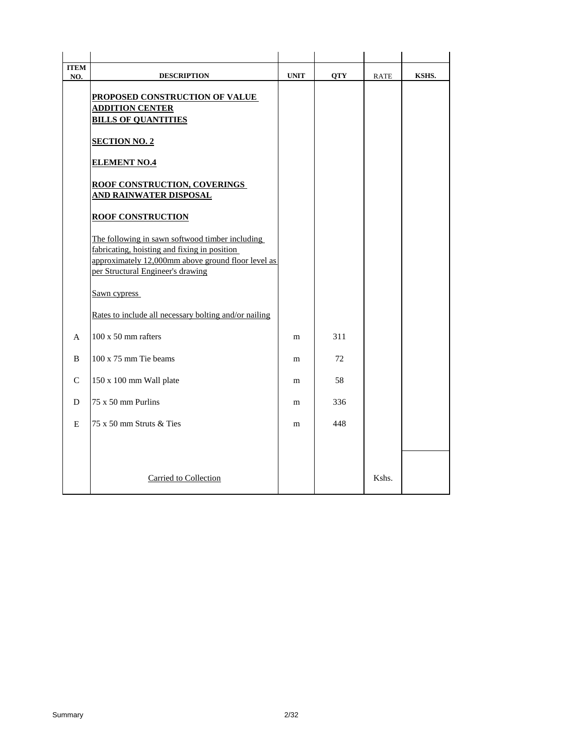| <b>ITEM</b><br>NO. | <b>DESCRIPTION</b>                                                                                                                                                                         | <b>UNIT</b> | <b>QTY</b> | <b>RATE</b> | KSHS. |
|--------------------|--------------------------------------------------------------------------------------------------------------------------------------------------------------------------------------------|-------------|------------|-------------|-------|
|                    | PROPOSED CONSTRUCTION OF VALUE<br><b>ADDITION CENTER</b><br><b>BILLS OF QUANTITIES</b>                                                                                                     |             |            |             |       |
|                    | <b>SECTION NO. 2</b>                                                                                                                                                                       |             |            |             |       |
|                    | <b>ELEMENT NO.4</b>                                                                                                                                                                        |             |            |             |       |
|                    | <b>ROOF CONSTRUCTION, COVERINGS</b><br><b>AND RAINWATER DISPOSAL</b>                                                                                                                       |             |            |             |       |
|                    | <b>ROOF CONSTRUCTION</b>                                                                                                                                                                   |             |            |             |       |
|                    | The following in sawn softwood timber including<br>fabricating, hoisting and fixing in position<br>approximately 12,000mm above ground floor level as<br>per Structural Engineer's drawing |             |            |             |       |
|                    | Sawn cypress                                                                                                                                                                               |             |            |             |       |
|                    | Rates to include all necessary bolting and/or nailing                                                                                                                                      |             |            |             |       |
| $\mathsf{A}$       | 100 x 50 mm rafters                                                                                                                                                                        | m           | 311        |             |       |
| B                  | 100 x 75 mm Tie beams                                                                                                                                                                      | m           | 72         |             |       |
| $\mathcal{C}$      | 150 x 100 mm Wall plate                                                                                                                                                                    | m           | 58         |             |       |
| D                  | 75 x 50 mm Purlins                                                                                                                                                                         | m           | 336        |             |       |
| E                  | 75 x 50 mm Struts & Ties                                                                                                                                                                   | m           | 448        |             |       |
|                    |                                                                                                                                                                                            |             |            |             |       |
|                    | Carried to Collection                                                                                                                                                                      |             |            | Kshs.       |       |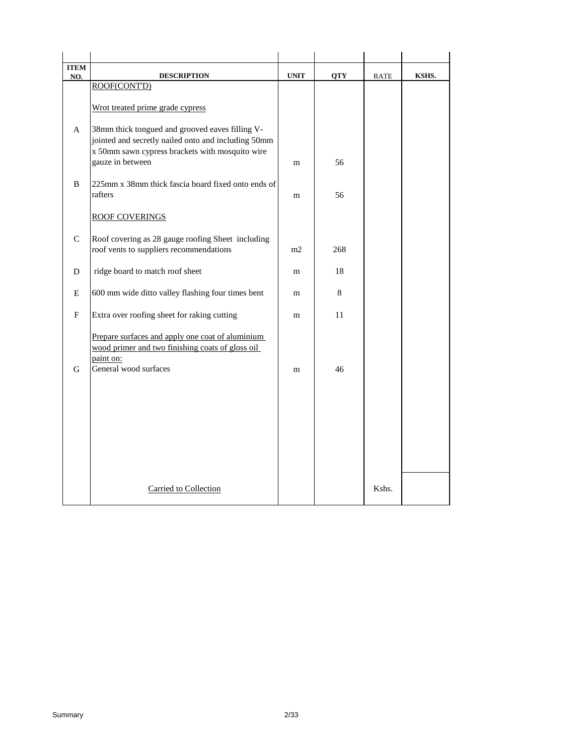| <b>ITEM</b>   |                                                                                                                                                                               |             |            |             |       |
|---------------|-------------------------------------------------------------------------------------------------------------------------------------------------------------------------------|-------------|------------|-------------|-------|
| NO.           | <b>DESCRIPTION</b><br>ROOF(CONT'D)                                                                                                                                            | <b>UNIT</b> | <b>QTY</b> | <b>RATE</b> | KSHS. |
|               | Wrot treated prime grade cypress                                                                                                                                              |             |            |             |       |
| A             | 38mm thick tongued and grooved eaves filling V-<br>jointed and secretly nailed onto and including 50mm<br>x 50mm sawn cypress brackets with mosquito wire<br>gauze in between | m           | 56         |             |       |
| B             | 225mm x 38mm thick fascia board fixed onto ends of<br>rafters                                                                                                                 | m           | 56         |             |       |
|               | <b>ROOF COVERINGS</b>                                                                                                                                                         |             |            |             |       |
| $\mathcal{C}$ | Roof covering as 28 gauge roofing Sheet including<br>roof vents to suppliers recommendations                                                                                  | m2          | 268        |             |       |
| D             | ridge board to match roof sheet                                                                                                                                               | m           | 18         |             |       |
| Ε             | 600 mm wide ditto valley flashing four times bent                                                                                                                             | m           | 8          |             |       |
| F             | Extra over roofing sheet for raking cutting                                                                                                                                   | m           | 11         |             |       |
| G             | Prepare surfaces and apply one coat of aluminium<br>wood primer and two finishing coats of gloss oil<br>paint on:<br>General wood surfaces                                    | m           | 46         |             |       |
|               |                                                                                                                                                                               |             |            |             |       |
|               | Carried to Collection                                                                                                                                                         |             |            | Kshs.       |       |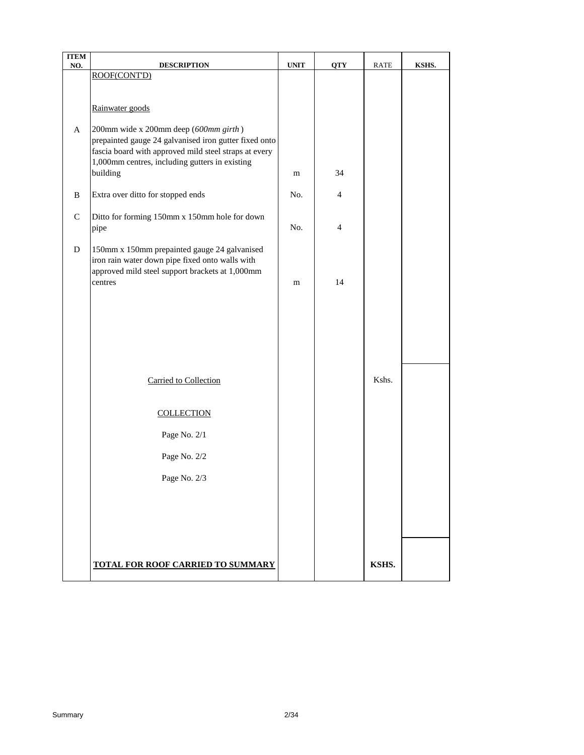| <b>ITEM</b><br>NO. | <b>DESCRIPTION</b>                                                                                      | <b>UNIT</b> | <b>QTY</b>     | RATE  | KSHS. |
|--------------------|---------------------------------------------------------------------------------------------------------|-------------|----------------|-------|-------|
|                    | ROOF(CONT'D)                                                                                            |             |                |       |       |
|                    |                                                                                                         |             |                |       |       |
|                    | Rainwater goods                                                                                         |             |                |       |       |
|                    |                                                                                                         |             |                |       |       |
| A                  | 200mm wide x 200mm deep (600mm girth)                                                                   |             |                |       |       |
|                    | prepainted gauge 24 galvanised iron gutter fixed onto                                                   |             |                |       |       |
|                    | fascia board with approved mild steel straps at every<br>1,000mm centres, including gutters in existing |             |                |       |       |
|                    | building                                                                                                | m           | 34             |       |       |
|                    |                                                                                                         |             |                |       |       |
| B                  | Extra over ditto for stopped ends                                                                       | No.         | $\overline{4}$ |       |       |
| $\mathsf{C}$       | Ditto for forming 150mm x 150mm hole for down                                                           |             |                |       |       |
|                    | pipe                                                                                                    | No.         | $\overline{4}$ |       |       |
|                    |                                                                                                         |             |                |       |       |
| D                  | 150mm x 150mm prepainted gauge 24 galvanised<br>iron rain water down pipe fixed onto walls with         |             |                |       |       |
|                    | approved mild steel support brackets at 1,000mm                                                         |             |                |       |       |
|                    | centres                                                                                                 | m           | 14             |       |       |
|                    |                                                                                                         |             |                |       |       |
|                    |                                                                                                         |             |                |       |       |
|                    |                                                                                                         |             |                |       |       |
|                    |                                                                                                         |             |                |       |       |
|                    |                                                                                                         |             |                |       |       |
|                    |                                                                                                         |             |                |       |       |
|                    | Carried to Collection                                                                                   |             |                | Kshs. |       |
|                    |                                                                                                         |             |                |       |       |
|                    | <b>COLLECTION</b>                                                                                       |             |                |       |       |
|                    | Page No. 2/1                                                                                            |             |                |       |       |
|                    |                                                                                                         |             |                |       |       |
|                    | Page No. 2/2                                                                                            |             |                |       |       |
|                    | Page No. 2/3                                                                                            |             |                |       |       |
|                    |                                                                                                         |             |                |       |       |
|                    |                                                                                                         |             |                |       |       |
|                    |                                                                                                         |             |                |       |       |
|                    |                                                                                                         |             |                |       |       |
|                    |                                                                                                         |             |                |       |       |
|                    | TOTAL FOR ROOF CARRIED TO SUMMARY                                                                       |             |                | KSHS. |       |
|                    |                                                                                                         |             |                |       |       |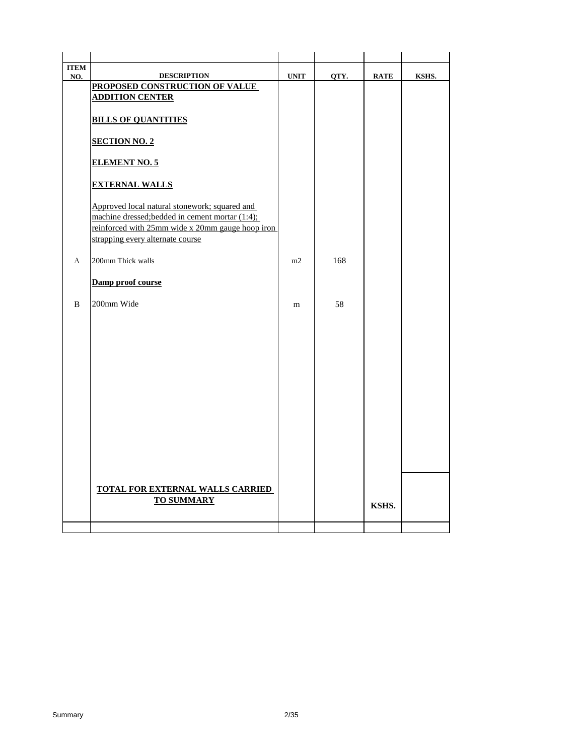| <b>ITEM</b> |                                                                                                                                                                                          |             |      |             |       |
|-------------|------------------------------------------------------------------------------------------------------------------------------------------------------------------------------------------|-------------|------|-------------|-------|
| NO.         | <b>DESCRIPTION</b><br>PROPOSED CONSTRUCTION OF VALUE                                                                                                                                     | <b>UNIT</b> | QTY. | <b>RATE</b> | KSHS. |
|             | <b>ADDITION CENTER</b>                                                                                                                                                                   |             |      |             |       |
|             |                                                                                                                                                                                          |             |      |             |       |
|             | <b>BILLS OF QUANTITIES</b>                                                                                                                                                               |             |      |             |       |
|             |                                                                                                                                                                                          |             |      |             |       |
|             | <b>SECTION NO. 2</b>                                                                                                                                                                     |             |      |             |       |
|             | <b>ELEMENT NO. 5</b>                                                                                                                                                                     |             |      |             |       |
|             | <b>EXTERNAL WALLS</b>                                                                                                                                                                    |             |      |             |       |
|             | Approved local natural stonework; squared and<br>machine dressed; bedded in cement mortar (1:4);<br>reinforced with 25mm wide x 20mm gauge hoop iron<br>strapping every alternate course |             |      |             |       |
|             |                                                                                                                                                                                          |             |      |             |       |
| A           | 200mm Thick walls                                                                                                                                                                        | m2          | 168  |             |       |
|             | Damp proof course                                                                                                                                                                        |             |      |             |       |
| B           | 200mm Wide                                                                                                                                                                               | m           | 58   |             |       |
|             |                                                                                                                                                                                          |             |      |             |       |
|             |                                                                                                                                                                                          |             |      |             |       |
|             |                                                                                                                                                                                          |             |      |             |       |
|             |                                                                                                                                                                                          |             |      |             |       |
|             |                                                                                                                                                                                          |             |      |             |       |
|             |                                                                                                                                                                                          |             |      |             |       |
|             |                                                                                                                                                                                          |             |      |             |       |
|             |                                                                                                                                                                                          |             |      |             |       |
|             |                                                                                                                                                                                          |             |      |             |       |
|             |                                                                                                                                                                                          |             |      |             |       |
|             |                                                                                                                                                                                          |             |      |             |       |
|             |                                                                                                                                                                                          |             |      |             |       |
|             |                                                                                                                                                                                          |             |      |             |       |
|             |                                                                                                                                                                                          |             |      |             |       |
|             | <b>TOTAL FOR EXTERNAL WALLS CARRIED</b>                                                                                                                                                  |             |      |             |       |
|             | <b>TO SUMMARY</b>                                                                                                                                                                        |             |      | KSHS.       |       |
|             |                                                                                                                                                                                          |             |      |             |       |
|             |                                                                                                                                                                                          |             |      |             |       |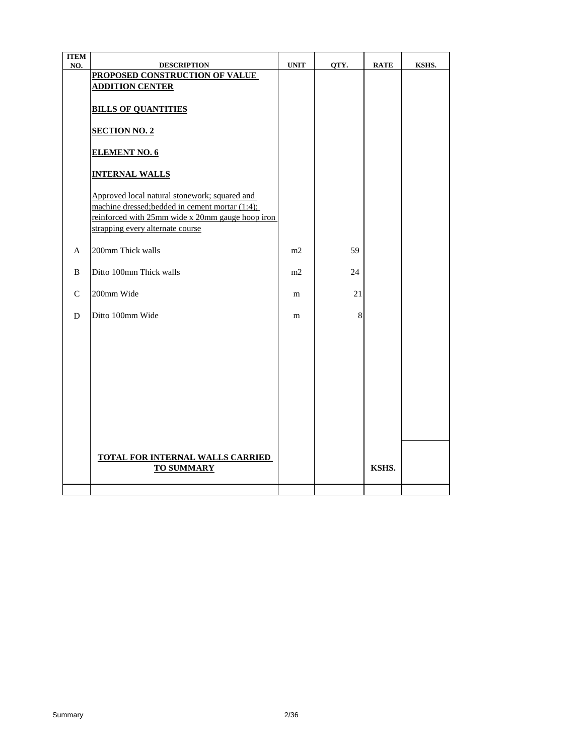| <b>ITEM</b>  |                                                  |             |      |             |       |
|--------------|--------------------------------------------------|-------------|------|-------------|-------|
| NO.          | <b>DESCRIPTION</b>                               | <b>UNIT</b> | QTY. | <b>RATE</b> | KSHS. |
|              | PROPOSED CONSTRUCTION OF VALUE                   |             |      |             |       |
|              | <b>ADDITION CENTER</b>                           |             |      |             |       |
|              | <b>BILLS OF QUANTITIES</b>                       |             |      |             |       |
|              | <b>SECTION NO. 2</b>                             |             |      |             |       |
|              | <b>ELEMENT NO. 6</b>                             |             |      |             |       |
|              | <b>INTERNAL WALLS</b>                            |             |      |             |       |
|              | Approved local natural stonework; squared and    |             |      |             |       |
|              | machine dressed; bedded in cement mortar (1:4);  |             |      |             |       |
|              | reinforced with 25mm wide x 20mm gauge hoop iron |             |      |             |       |
|              | strapping every alternate course                 |             |      |             |       |
|              |                                                  |             |      |             |       |
| A            | 200mm Thick walls                                | m2          | 59   |             |       |
|              |                                                  |             |      |             |       |
| B            | Ditto 100mm Thick walls                          | m2          | 24   |             |       |
|              |                                                  |             |      |             |       |
| $\mathsf{C}$ | 200mm Wide                                       | m           | 21   |             |       |
|              |                                                  |             |      |             |       |
| D            | Ditto 100mm Wide                                 | m           | 8    |             |       |
|              |                                                  |             |      |             |       |
|              |                                                  |             |      |             |       |
|              |                                                  |             |      |             |       |
|              |                                                  |             |      |             |       |
|              |                                                  |             |      |             |       |
|              |                                                  |             |      |             |       |
|              |                                                  |             |      |             |       |
|              |                                                  |             |      |             |       |
|              |                                                  |             |      |             |       |
|              |                                                  |             |      |             |       |
|              |                                                  |             |      |             |       |
|              |                                                  |             |      |             |       |
|              | <b>TOTAL FOR INTERNAL WALLS CARRIED</b>          |             |      |             |       |
|              | <b>TO SUMMARY</b>                                |             |      | KSHS.       |       |
|              |                                                  |             |      |             |       |
|              |                                                  |             |      |             |       |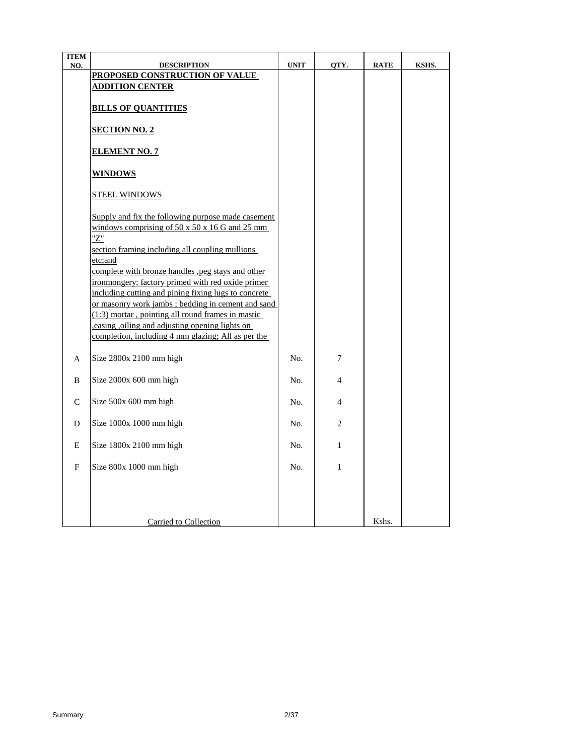| <b>ITEM</b>  |                                                              |             |              |             |       |
|--------------|--------------------------------------------------------------|-------------|--------------|-------------|-------|
| NO.          | <b>DESCRIPTION</b>                                           | <b>UNIT</b> | QTY.         | <b>RATE</b> | KSHS. |
|              | PROPOSED CONSTRUCTION OF VALUE                               |             |              |             |       |
|              | <u>ADDITION CENTER</u>                                       |             |              |             |       |
|              |                                                              |             |              |             |       |
|              | <b>BILLS OF QUANTITIES</b>                                   |             |              |             |       |
|              |                                                              |             |              |             |       |
|              | <b>SECTION NO. 2</b>                                         |             |              |             |       |
|              |                                                              |             |              |             |       |
|              | <b>ELEMENT NO. 7</b>                                         |             |              |             |       |
|              |                                                              |             |              |             |       |
|              | <b>WINDOWS</b>                                               |             |              |             |       |
|              |                                                              |             |              |             |       |
|              | <b>STEEL WINDOWS</b>                                         |             |              |             |       |
|              |                                                              |             |              |             |       |
|              | Supply and fix the following purpose made casement           |             |              |             |       |
|              | windows comprising of $50 \times 50 \times 16$ G and $25$ mm |             |              |             |       |
|              | "Z"                                                          |             |              |             |       |
|              | section framing including all coupling mullions              |             |              |             |       |
|              | etc:and                                                      |             |              |             |       |
|              | complete with bronze handles , peg stays and other           |             |              |             |       |
|              | ironmongery; factory primed with red oxide primer            |             |              |             |       |
|              | including cutting and pining fixing lugs to concrete         |             |              |             |       |
|              | or masonry work jambs; bedding in cement and sand            |             |              |             |       |
|              | (1:3) mortar, pointing all round frames in mastic            |             |              |             |       |
|              | easing oiling and adjusting opening lights on                |             |              |             |       |
|              | completion, including 4 mm glazing; All as per the           |             |              |             |       |
|              |                                                              |             |              |             |       |
| A            | Size 2800x 2100 mm high                                      | No.         | 7            |             |       |
|              |                                                              |             |              |             |       |
| B            | Size 2000x 600 mm high                                       | No.         | 4            |             |       |
|              |                                                              |             |              |             |       |
| $\mathsf{C}$ | Size 500x 600 mm high                                        | No.         | 4            |             |       |
|              |                                                              |             |              |             |       |
| D            | Size 1000x 1000 mm high                                      | No.         | 2            |             |       |
|              |                                                              |             |              |             |       |
| Ε            | Size 1800x 2100 mm high                                      | No.         | $\mathbf{1}$ |             |       |
|              |                                                              |             |              |             |       |
| F            | Size 800x 1000 mm high                                       | No.         | $\mathbf{1}$ |             |       |
|              |                                                              |             |              |             |       |
|              |                                                              |             |              |             |       |
|              |                                                              |             |              |             |       |
|              |                                                              |             |              |             |       |
|              | Carried to Collection                                        |             |              | Kshs.       |       |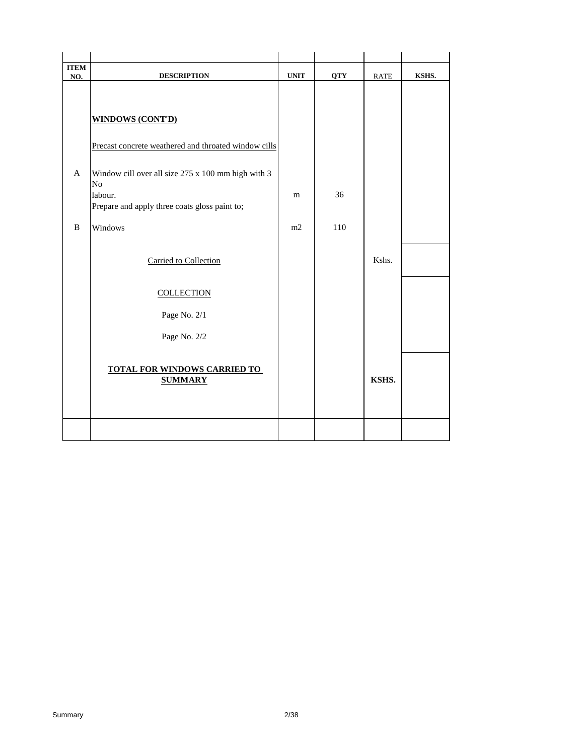| <b>ITEM</b><br>NO. | <b>DESCRIPTION</b>                                                   | <b>UNIT</b> | <b>QTY</b> | RATE  | KSHS. |
|--------------------|----------------------------------------------------------------------|-------------|------------|-------|-------|
|                    | <b>WINDOWS (CONT'D)</b>                                              |             |            |       |       |
|                    | Precast concrete weathered and throated window cills                 |             |            |       |       |
| A                  | Window cill over all size 275 x 100 mm high with 3<br>N <sub>o</sub> |             |            |       |       |
|                    | labour.<br>Prepare and apply three coats gloss paint to;             | m           | 36         |       |       |
| B                  | Windows                                                              | m2          | 110        |       |       |
|                    | Carried to Collection                                                |             |            | Kshs. |       |
|                    | <b>COLLECTION</b>                                                    |             |            |       |       |
|                    | Page No. 2/1                                                         |             |            |       |       |
|                    | Page No. 2/2                                                         |             |            |       |       |
|                    | <b>TOTAL FOR WINDOWS CARRIED TO</b><br><b>SUMMARY</b>                |             |            | KSHS. |       |
|                    |                                                                      |             |            |       |       |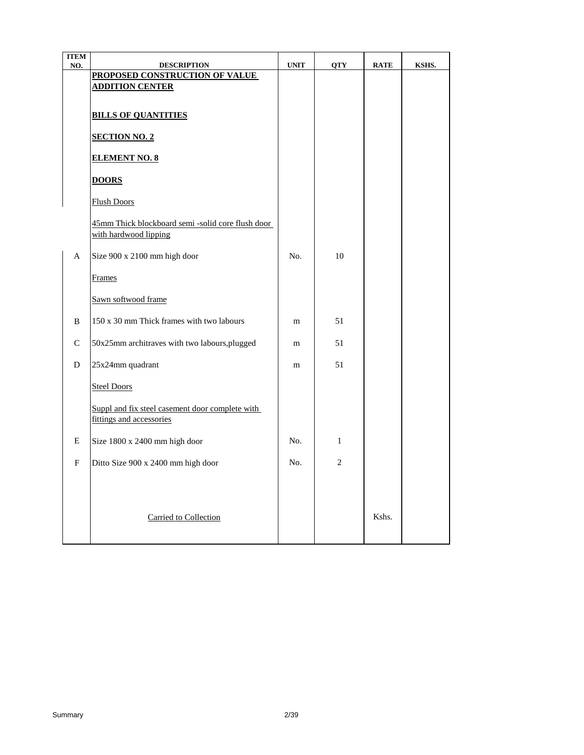| <b>ITEM</b> |                                                      |             |                |             |       |
|-------------|------------------------------------------------------|-------------|----------------|-------------|-------|
| NO.         | <b>DESCRIPTION</b><br>PROPOSED CONSTRUCTION OF VALUE | <b>UNIT</b> | <b>QTY</b>     | <b>RATE</b> | KSHS. |
|             | <b>ADDITION CENTER</b>                               |             |                |             |       |
|             |                                                      |             |                |             |       |
|             | <b>BILLS OF QUANTITIES</b>                           |             |                |             |       |
|             |                                                      |             |                |             |       |
|             | <b>SECTION NO. 2</b>                                 |             |                |             |       |
|             | <b>ELEMENT NO. 8</b>                                 |             |                |             |       |
|             |                                                      |             |                |             |       |
|             | <b>DOORS</b>                                         |             |                |             |       |
|             |                                                      |             |                |             |       |
|             | <b>Flush Doors</b>                                   |             |                |             |       |
|             | 45mm Thick blockboard semi-solid core flush door     |             |                |             |       |
|             | with hardwood lipping                                |             |                |             |       |
| A           | Size 900 x 2100 mm high door                         | No.         | 10             |             |       |
|             |                                                      |             |                |             |       |
|             | Frames                                               |             |                |             |       |
|             |                                                      |             |                |             |       |
|             | Sawn softwood frame                                  |             |                |             |       |
| B           | 150 x 30 mm Thick frames with two labours            | m           | 51             |             |       |
|             |                                                      |             |                |             |       |
| C           | 50x25mm architraves with two labours, plugged        | m           | 51             |             |       |
| D           | 25x24mm quadrant                                     | m           | 51             |             |       |
|             |                                                      |             |                |             |       |
|             | <b>Steel Doors</b>                                   |             |                |             |       |
|             | Suppl and fix steel casement door complete with      |             |                |             |       |
|             | fittings and accessories                             |             |                |             |       |
|             |                                                      |             |                |             |       |
| E           | Size 1800 x 2400 mm high door                        | No.         | $\mathbf{1}$   |             |       |
| F           | Ditto Size 900 x 2400 mm high door                   | No.         | $\overline{2}$ |             |       |
|             |                                                      |             |                |             |       |
|             |                                                      |             |                |             |       |
|             |                                                      |             |                |             |       |
|             | Carried to Collection                                |             |                | Kshs.       |       |
|             |                                                      |             |                |             |       |
|             |                                                      |             |                |             |       |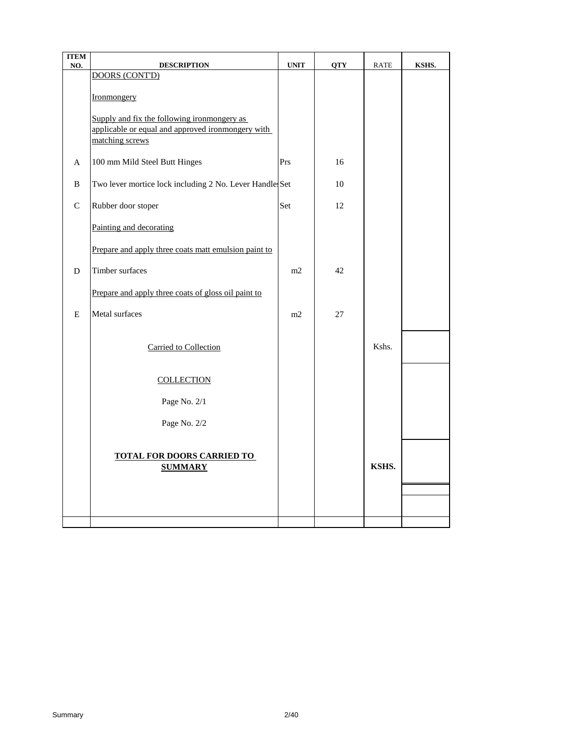| <b>ITEM</b><br>NO. | <b>DESCRIPTION</b>                                                                                                  | <b>UNIT</b> | <b>QTY</b> | RATE  | KSHS. |
|--------------------|---------------------------------------------------------------------------------------------------------------------|-------------|------------|-------|-------|
|                    | <b>DOORS (CONT'D)</b>                                                                                               |             |            |       |       |
|                    | Ironmongery                                                                                                         |             |            |       |       |
|                    | Supply and fix the following ironmongery as<br>applicable or equal and approved ironmongery with<br>matching screws |             |            |       |       |
| A                  | 100 mm Mild Steel Butt Hinges                                                                                       | Prs         | 16         |       |       |
| B                  | Two lever mortice lock including 2 No. Lever Handle Set                                                             |             | 10         |       |       |
| $\mathsf{C}$       | Rubber door stoper                                                                                                  | Set         | 12         |       |       |
|                    | Painting and decorating                                                                                             |             |            |       |       |
|                    | Prepare and apply three coats matt emulsion paint to                                                                |             |            |       |       |
| D                  | Timber surfaces                                                                                                     | m2          | 42         |       |       |
|                    | Prepare and apply three coats of gloss oil paint to                                                                 |             |            |       |       |
| E                  | Metal surfaces                                                                                                      | m2          | 27         |       |       |
|                    | Carried to Collection                                                                                               |             |            | Kshs. |       |
|                    | <b>COLLECTION</b>                                                                                                   |             |            |       |       |
|                    | Page No. 2/1                                                                                                        |             |            |       |       |
|                    | Page No. 2/2                                                                                                        |             |            |       |       |
|                    | <b>TOTAL FOR DOORS CARRIED TO</b><br><b>SUMMARY</b>                                                                 |             |            | KSHS. |       |
|                    |                                                                                                                     |             |            |       |       |
|                    |                                                                                                                     |             |            |       |       |
|                    |                                                                                                                     |             |            |       |       |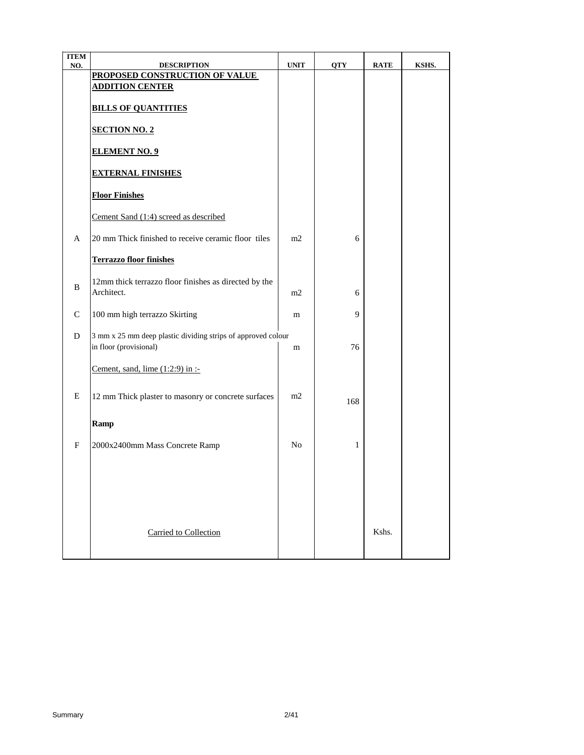| <b>ITEM</b>               |                                                                                        |                |              |             |       |
|---------------------------|----------------------------------------------------------------------------------------|----------------|--------------|-------------|-------|
| NO.                       | <b>DESCRIPTION</b><br>PROPOSED CONSTRUCTION OF VALUE                                   | <b>UNIT</b>    | <b>QTY</b>   | <b>RATE</b> | KSHS. |
|                           | <b>ADDITION CENTER</b>                                                                 |                |              |             |       |
|                           | <b>BILLS OF QUANTITIES</b>                                                             |                |              |             |       |
|                           | <b>SECTION NO. 2</b>                                                                   |                |              |             |       |
|                           | <b>ELEMENT NO. 9</b>                                                                   |                |              |             |       |
|                           | <b>EXTERNAL FINISHES</b>                                                               |                |              |             |       |
|                           | <b>Floor Finishes</b>                                                                  |                |              |             |       |
|                           | Cement Sand (1:4) screed as described                                                  |                |              |             |       |
| A                         | 20 mm Thick finished to receive ceramic floor tiles                                    | m2             | 6            |             |       |
|                           | <b>Terrazzo floor finishes</b>                                                         |                |              |             |       |
| B                         | 12mm thick terrazzo floor finishes as directed by the<br>Architect.                    | m2             | 6            |             |       |
| $\mathcal{C}$             | 100 mm high terrazzo Skirting                                                          | m              | 9            |             |       |
| D                         | 3 mm x 25 mm deep plastic dividing strips of approved colour<br>in floor (provisional) | m              | 76           |             |       |
|                           | Cement, sand, lime $(1:2:9)$ in :-                                                     |                |              |             |       |
| E                         | 12 mm Thick plaster to masonry or concrete surfaces                                    | m2             | 168          |             |       |
|                           | Ramp                                                                                   |                |              |             |       |
| $\boldsymbol{\mathrm{F}}$ | 2000x2400mm Mass Concrete Ramp                                                         | N <sub>0</sub> | $\mathbf{1}$ |             |       |
|                           |                                                                                        |                |              |             |       |
|                           |                                                                                        |                |              |             |       |
|                           |                                                                                        |                |              |             |       |
|                           | <b>Carried to Collection</b>                                                           |                |              | Kshs.       |       |
|                           |                                                                                        |                |              |             |       |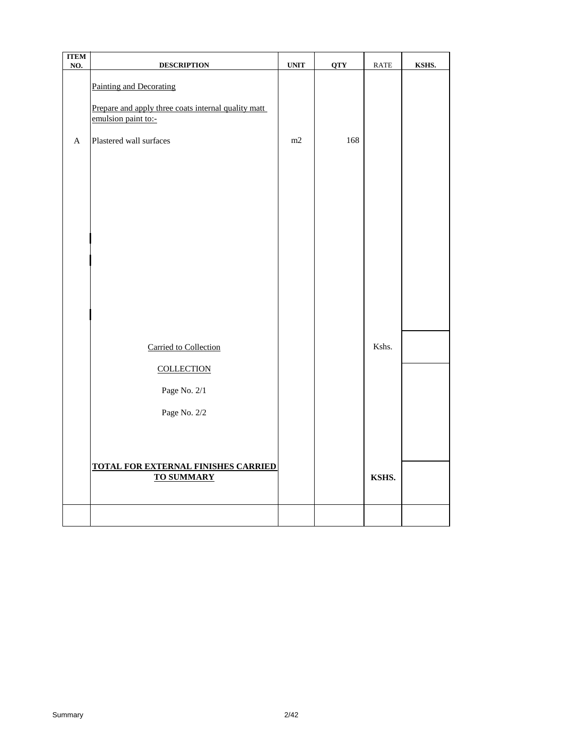| <b>ITEM</b><br>NO. | <b>DESCRIPTION</b>                                                                                    | $\ensuremath{\text{UNIT}}$ | <b>QTY</b> | $\ensuremath{\mathsf{RATE}}$ | KSHS. |
|--------------------|-------------------------------------------------------------------------------------------------------|----------------------------|------------|------------------------------|-------|
|                    | Painting and Decorating<br>Prepare and apply three coats internal quality matt<br>emulsion paint to:- |                            |            |                              |       |
| A                  | Plastered wall surfaces                                                                               | m2                         | 168        |                              |       |
|                    |                                                                                                       |                            |            |                              |       |
|                    |                                                                                                       |                            |            |                              |       |
|                    |                                                                                                       |                            |            |                              |       |
|                    | Carried to Collection                                                                                 |                            |            | Kshs.                        |       |
|                    | <b>COLLECTION</b><br>Page No. 2/1<br>Page No. 2/2                                                     |                            |            |                              |       |
|                    |                                                                                                       |                            |            |                              |       |
|                    | <b>TOTAL FOR EXTERNAL FINISHES CARRIED</b><br><b>TO SUMMARY</b>                                       |                            |            | KSHS.                        |       |
|                    |                                                                                                       |                            |            |                              |       |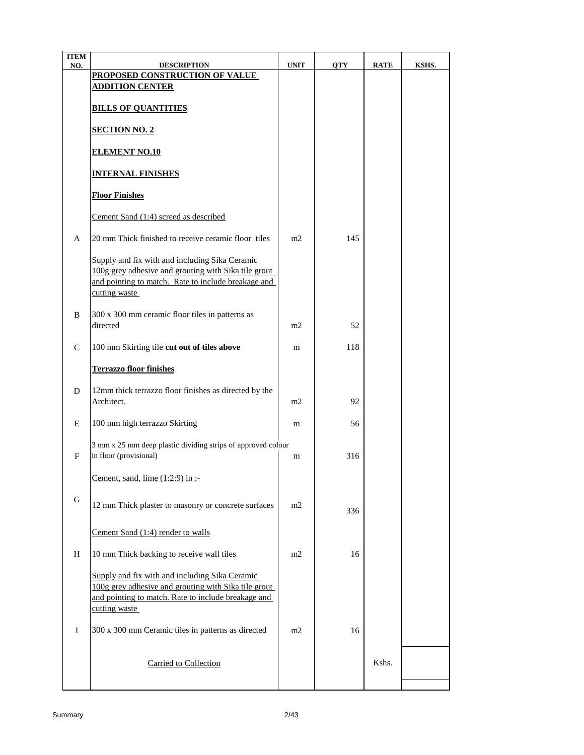| <b>ITEM</b><br>NO. | <b>DESCRIPTION</b>                                                                                                                                                             | <b>UNIT</b> | <b>QTY</b> | <b>RATE</b> | KSHS. |
|--------------------|--------------------------------------------------------------------------------------------------------------------------------------------------------------------------------|-------------|------------|-------------|-------|
|                    | PROPOSED CONSTRUCTION OF VALUE                                                                                                                                                 |             |            |             |       |
|                    | <b>ADDITION CENTER</b>                                                                                                                                                         |             |            |             |       |
|                    | <b>BILLS OF QUANTITIES</b>                                                                                                                                                     |             |            |             |       |
|                    | <b>SECTION NO. 2</b>                                                                                                                                                           |             |            |             |       |
|                    | <b>ELEMENT NO.10</b>                                                                                                                                                           |             |            |             |       |
|                    | <b>INTERNAL FINISHES</b>                                                                                                                                                       |             |            |             |       |
|                    | <b>Floor Finishes</b>                                                                                                                                                          |             |            |             |       |
|                    | Cement Sand (1:4) screed as described                                                                                                                                          |             |            |             |       |
| A                  | 20 mm Thick finished to receive ceramic floor tiles                                                                                                                            | m2          | 145        |             |       |
|                    | Supply and fix with and including Sika Ceramic<br>100g grey adhesive and grouting with Sika tile grout<br>and pointing to match. Rate to include breakage and<br>cutting waste |             |            |             |       |
| B                  | 300 x 300 mm ceramic floor tiles in patterns as<br>directed                                                                                                                    | m2          | 52         |             |       |
| C                  | 100 mm Skirting tile cut out of tiles above                                                                                                                                    | m           | 118        |             |       |
|                    | <b>Terrazzo floor finishes</b>                                                                                                                                                 |             |            |             |       |
| D                  | 12mm thick terrazzo floor finishes as directed by the<br>Architect.                                                                                                            | m2          | 92         |             |       |
| E                  | 100 mm high terrazzo Skirting                                                                                                                                                  | m           | 56         |             |       |
| F                  | 3 mm x 25 mm deep plastic dividing strips of approved colour<br>in floor (provisional)                                                                                         | m           | 316        |             |       |
|                    | Cement, sand, lime $(1:2:9)$ in :-                                                                                                                                             |             |            |             |       |
| G                  | 12 mm Thick plaster to masonry or concrete surfaces                                                                                                                            | m2          | 336        |             |       |
|                    | Cement Sand (1:4) render to walls                                                                                                                                              |             |            |             |       |
| H                  | 10 mm Thick backing to receive wall tiles                                                                                                                                      | m2          | 16         |             |       |
|                    | Supply and fix with and including Sika Ceramic<br>100g grey adhesive and grouting with Sika tile grout<br>and pointing to match. Rate to include breakage and<br>cutting waste |             |            |             |       |
| Ι.                 | 300 x 300 mm Ceramic tiles in patterns as directed                                                                                                                             | m2          | 16         |             |       |
|                    | Carried to Collection                                                                                                                                                          |             |            | Kshs.       |       |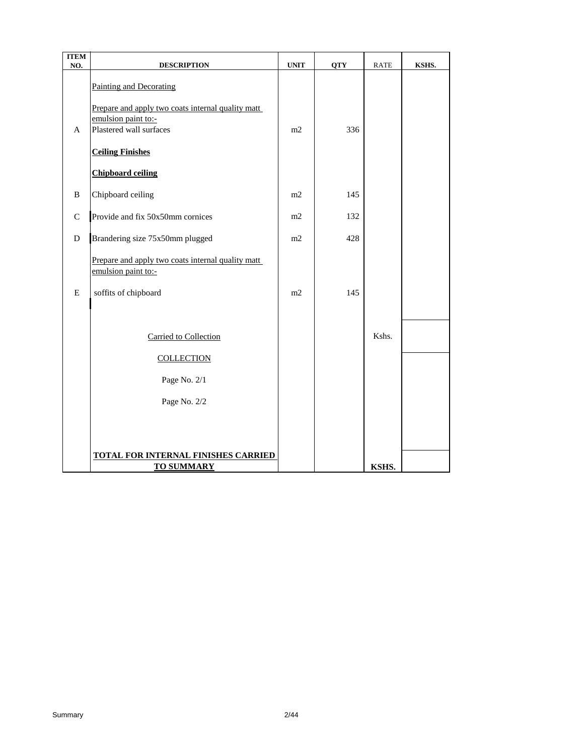| <b>ITEM</b><br>NO. | <b>DESCRIPTION</b>                                                                                  | <b>UNIT</b> | <b>QTY</b> | <b>RATE</b> | KSHS. |
|--------------------|-----------------------------------------------------------------------------------------------------|-------------|------------|-------------|-------|
|                    | <b>Painting and Decorating</b>                                                                      |             |            |             |       |
| A                  | Prepare and apply two coats internal quality matt<br>emulsion paint to:-<br>Plastered wall surfaces | m2          | 336        |             |       |
|                    | <b>Ceiling Finishes</b>                                                                             |             |            |             |       |
|                    | <b>Chipboard ceiling</b>                                                                            |             |            |             |       |
| B                  | Chipboard ceiling                                                                                   | m2          | 145        |             |       |
| $\mathcal{C}$      | Provide and fix 50x50mm cornices                                                                    | m2          | 132        |             |       |
| ${\bf D}$          | Brandering size 75x50mm plugged                                                                     | m2          | 428        |             |       |
|                    | Prepare and apply two coats internal quality matt<br>emulsion paint to:-                            |             |            |             |       |
| E                  | soffits of chipboard                                                                                | m2          | 145        |             |       |
|                    |                                                                                                     |             |            |             |       |
|                    | Carried to Collection                                                                               |             |            | Kshs.       |       |
|                    | <b>COLLECTION</b>                                                                                   |             |            |             |       |
|                    | Page No. 2/1                                                                                        |             |            |             |       |
|                    | Page No. 2/2                                                                                        |             |            |             |       |
|                    |                                                                                                     |             |            |             |       |
|                    |                                                                                                     |             |            |             |       |
|                    | <b>TOTAL FOR INTERNAL FINISHES CARRIED</b><br><b>TO SUMMARY</b>                                     |             |            | KSHS.       |       |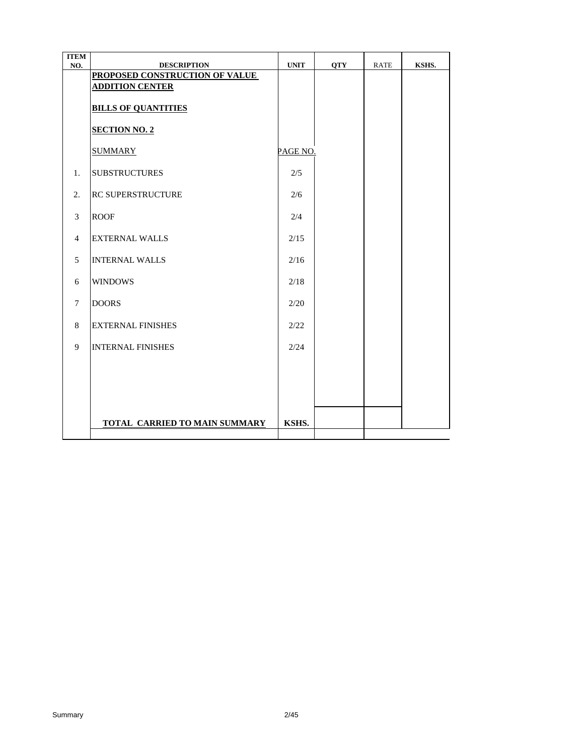| <b>ITEM</b><br>NO. | <b>DESCRIPTION</b>             | <b>UNIT</b> | <b>OTY</b> | <b>RATE</b> | KSHS. |
|--------------------|--------------------------------|-------------|------------|-------------|-------|
|                    | PROPOSED CONSTRUCTION OF VALUE |             |            |             |       |
|                    | <b>ADDITION CENTER</b>         |             |            |             |       |
|                    | <b>BILLS OF QUANTITIES</b>     |             |            |             |       |
|                    | <b>SECTION NO. 2</b>           |             |            |             |       |
|                    | <b>SUMMARY</b>                 | PAGE NO.    |            |             |       |
| 1.                 | <b>SUBSTRUCTURES</b>           | 2/5         |            |             |       |
| 2.                 | <b>IRC SUPERSTRUCTURE</b>      | 2/6         |            |             |       |
| 3                  | <b>ROOF</b>                    | 2/4         |            |             |       |
| $\overline{4}$     | <b>EXTERNAL WALLS</b>          | 2/15        |            |             |       |
| 5                  | <b>INTERNAL WALLS</b>          | 2/16        |            |             |       |
| 6                  | <b>WINDOWS</b>                 | 2/18        |            |             |       |
| $\tau$             | <b>DOORS</b>                   | 2/20        |            |             |       |
| 8                  | <b>EXTERNAL FINISHES</b>       | 2/22        |            |             |       |
| 9                  | <b>INTERNAL FINISHES</b>       | 2/24        |            |             |       |
|                    |                                |             |            |             |       |
|                    |                                |             |            |             |       |
|                    |                                |             |            |             |       |
|                    | TOTAL CARRIED TO MAIN SUMMARY  | KSHS.       |            |             |       |
|                    |                                |             |            |             |       |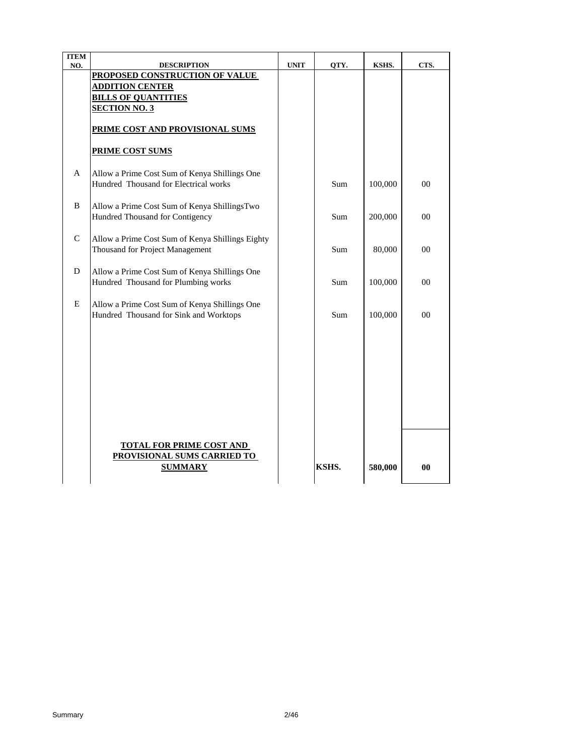| <b>ITEM</b>  |                                                  |             |       |         |                |
|--------------|--------------------------------------------------|-------------|-------|---------|----------------|
| NO.          | <b>DESCRIPTION</b>                               | <b>UNIT</b> | QTY.  | KSHS.   | CTS.           |
|              | PROPOSED CONSTRUCTION OF VALUE                   |             |       |         |                |
|              | <b>ADDITION CENTER</b>                           |             |       |         |                |
|              | <b>BILLS OF QUANTITIES</b>                       |             |       |         |                |
|              | <b>SECTION NO. 3</b>                             |             |       |         |                |
|              |                                                  |             |       |         |                |
|              | PRIME COST AND PROVISIONAL SUMS                  |             |       |         |                |
|              | <b>PRIME COST SUMS</b>                           |             |       |         |                |
| A            | Allow a Prime Cost Sum of Kenya Shillings One    |             |       |         |                |
|              | Hundred Thousand for Electrical works            |             | Sum   | 100,000 | $00\,$         |
| <sub>R</sub> | Allow a Prime Cost Sum of Kenya ShillingsTwo     |             |       |         |                |
|              | Hundred Thousand for Contigency                  |             | Sum   | 200,000 | $00\,$         |
|              |                                                  |             |       |         |                |
| $\mathbf C$  | Allow a Prime Cost Sum of Kenya Shillings Eighty |             |       |         |                |
|              | Thousand for Project Management                  |             | Sum   | 80,000  | $00\,$         |
|              |                                                  |             |       |         |                |
| D            | Allow a Prime Cost Sum of Kenya Shillings One    |             |       |         |                |
|              | Hundred Thousand for Plumbing works              |             | Sum   | 100,000 | 0 <sub>0</sub> |
|              |                                                  |             |       |         |                |
| Ε            | Allow a Prime Cost Sum of Kenya Shillings One    |             |       |         |                |
|              | Hundred Thousand for Sink and Worktops           |             | Sum   | 100,000 | 0 <sub>0</sub> |
|              |                                                  |             |       |         |                |
|              |                                                  |             |       |         |                |
|              |                                                  |             |       |         |                |
|              |                                                  |             |       |         |                |
|              |                                                  |             |       |         |                |
|              |                                                  |             |       |         |                |
|              |                                                  |             |       |         |                |
|              |                                                  |             |       |         |                |
|              |                                                  |             |       |         |                |
|              |                                                  |             |       |         |                |
|              | <b>TOTAL FOR PRIME COST AND</b>                  |             |       |         |                |
|              | PROVISIONAL SUMS CARRIED TO                      |             |       |         |                |
|              | <b>SUMMARY</b>                                   |             | KSHS. | 580,000 | $\bf{00}$      |
|              |                                                  |             |       |         |                |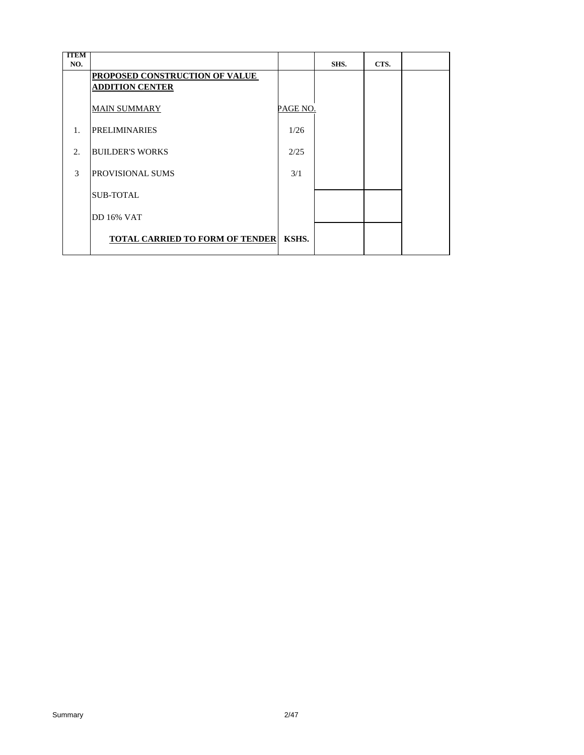| <b>TTEM</b><br>NO. |                                                          |          | SHS. | CTS. |  |
|--------------------|----------------------------------------------------------|----------|------|------|--|
|                    | PROPOSED CONSTRUCTION OF VALUE<br><b>ADDITION CENTER</b> |          |      |      |  |
|                    | <b>MAIN SUMMARY</b>                                      | PAGE NO. |      |      |  |
| 1.                 | <b>PRELIMINARIES</b>                                     | 1/26     |      |      |  |
| 2.                 | <b>BUILDER'S WORKS</b>                                   | 2/25     |      |      |  |
| $\mathcal{F}$      | <b>PROVISIONAL SUMS</b>                                  | 3/1      |      |      |  |
|                    | <b>SUB-TOTAL</b>                                         |          |      |      |  |
|                    | <b>DD</b> 16% VAT                                        |          |      |      |  |
|                    | <b>TOTAL CARRIED TO FORM OF TENDER</b>                   | KSHS.    |      |      |  |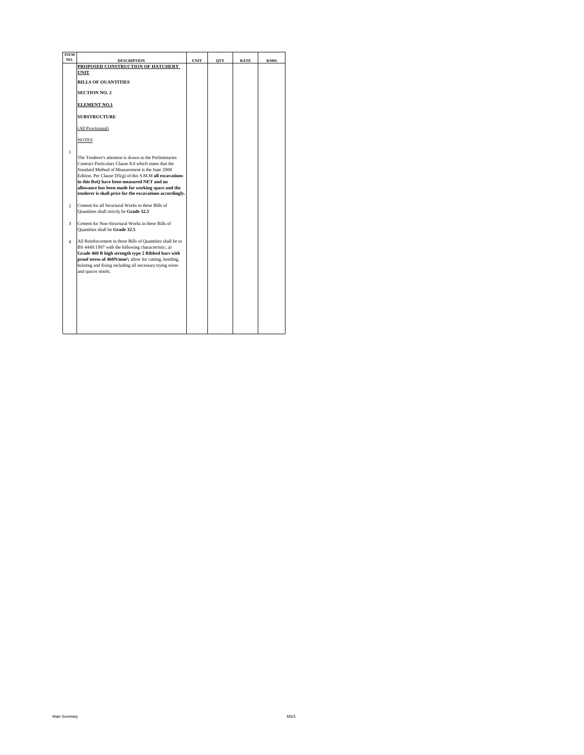| <b>ITEM</b>              |                                                                                                               |             |            |             |       |
|--------------------------|---------------------------------------------------------------------------------------------------------------|-------------|------------|-------------|-------|
| NO.                      | <b>DESCRIPTION</b>                                                                                            | <b>UNIT</b> | <b>OTY</b> | <b>RATE</b> | KSHS. |
|                          | PROPOSED CONSTRUCTION OF HATCHERY<br>UNIT                                                                     |             |            |             |       |
|                          |                                                                                                               |             |            |             |       |
|                          | <b>BILLS OF OUANTITIES</b>                                                                                    |             |            |             |       |
|                          | <b>SECTION NO. 2</b>                                                                                          |             |            |             |       |
|                          |                                                                                                               |             |            |             |       |
|                          | <b>ELEMENT NO.1</b>                                                                                           |             |            |             |       |
|                          | <b>SUBSTRUCTURE</b>                                                                                           |             |            |             |       |
|                          | (All Provisional)                                                                                             |             |            |             |       |
|                          | <b>NOTES</b>                                                                                                  |             |            |             |       |
| $\mathbf{1}$             |                                                                                                               |             |            |             |       |
|                          | The Tenderer's attention is drawn to the Preliminaries                                                        |             |            |             |       |
|                          | Contract Particulars Clause 8.0 which states that the                                                         |             |            |             |       |
|                          | Standard Method of Measurement is the June 2008                                                               |             |            |             |       |
|                          | Edition. Per Clause $D5(g)$ of this S.M.M all excavations                                                     |             |            |             |       |
|                          | in this BoQ have been measured NET and no                                                                     |             |            |             |       |
|                          | allowance has been made for working space and the<br>tenderer is shall price for the excavations accordingly. |             |            |             |       |
|                          |                                                                                                               |             |            |             |       |
| $\overline{\mathcal{L}}$ | Cement for all Structural Works in these Bills of                                                             |             |            |             |       |
|                          | Quantities shall strictly be Grade 32.5                                                                       |             |            |             |       |
| $\ddot{\mathbf{3}}$      | Cement for Non-Structural Works in these Bills of                                                             |             |            |             |       |
|                          | Quantities shall be Grade 32.5                                                                                |             |            |             |       |
|                          |                                                                                                               |             |            |             |       |
| $\mathbf{A}$             | All Reinforcement in these Bills of Quantities shall be to                                                    |             |            |             |       |
|                          | BS 4449:1997 with the following characteristic; a)                                                            |             |            |             |       |
|                          | Grade 460 B high strength type 2 Ribbed bars with                                                             |             |            |             |       |
|                          | proof stress of 460N/mm <sup>2</sup> ; allow for cutting, bending,                                            |             |            |             |       |
|                          | hoisting and fixing including all necessary trying wires<br>and spacer stools;                                |             |            |             |       |
|                          |                                                                                                               |             |            |             |       |
|                          |                                                                                                               |             |            |             |       |
|                          |                                                                                                               |             |            |             |       |
|                          |                                                                                                               |             |            |             |       |
|                          |                                                                                                               |             |            |             |       |
|                          |                                                                                                               |             |            |             |       |
|                          |                                                                                                               |             |            |             |       |
|                          |                                                                                                               |             |            |             |       |
|                          |                                                                                                               |             |            |             |       |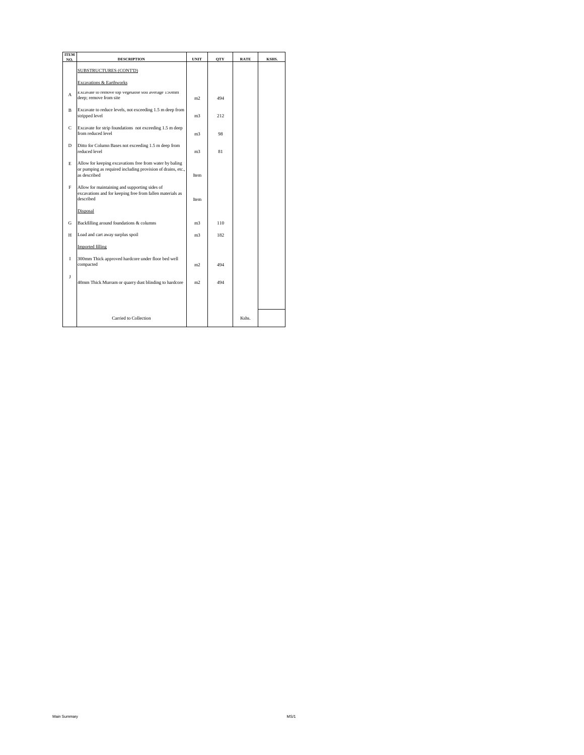| <b>ITEM</b><br>NO. | <b>DESCRIPTION</b>                                                                                                                     | <b>UNIT</b>    | <b>OTY</b> | <b>RATE</b> | KSHS. |
|--------------------|----------------------------------------------------------------------------------------------------------------------------------------|----------------|------------|-------------|-------|
|                    | SUBSTRUCTURES (CONT'D)                                                                                                                 |                |            |             |       |
|                    | Excavations & Earthworks                                                                                                               |                |            |             |       |
| A                  | Excavate to remove top vegetable soil average 150mm<br>deep; remove from site                                                          | m <sub>2</sub> | 494        |             |       |
| B                  | Excavate to reduce levels, not exceeding 1.5 m deep from<br>stripped level                                                             | m3.            | 212        |             |       |
| $\mathbf C$        | Excavate for strip foundations not exceeding 1.5 m deep<br>from reduced level                                                          | m3.            | 98         |             |       |
| D                  | Ditto for Column Bases not exceeding 1.5 m deep from<br>reduced level                                                                  | m3             | 81         |             |       |
| E                  | Allow for keeping excavations free from water by baling<br>or pumping as required including provision of drains, etc.,<br>as described | <b>Item</b>    |            |             |       |
| F                  | Allow for maintaining and supporting sides of<br>excavations and for keeping free from fallen materials as<br>described                | <b>Item</b>    |            |             |       |
|                    | Disposal                                                                                                                               |                |            |             |       |
| G                  | Backfilling around foundations & columns                                                                                               | m3             | 110        |             |       |
| Н                  | Load and cart away surplus spoil                                                                                                       | m3             | 182        |             |       |
|                    | <b>Imported filling</b>                                                                                                                |                |            |             |       |
| L                  | 300mm Thick approved hardcore under floor bed well<br>compacted                                                                        | m <sub>2</sub> | 494        |             |       |
| $\mathbf{I}$       | 40mm Thick Murram or quarry dust blinding to hardcore                                                                                  | m <sub>2</sub> | 494        |             |       |
|                    |                                                                                                                                        |                |            |             |       |
|                    | Carried to Collection                                                                                                                  |                |            | Kshs.       |       |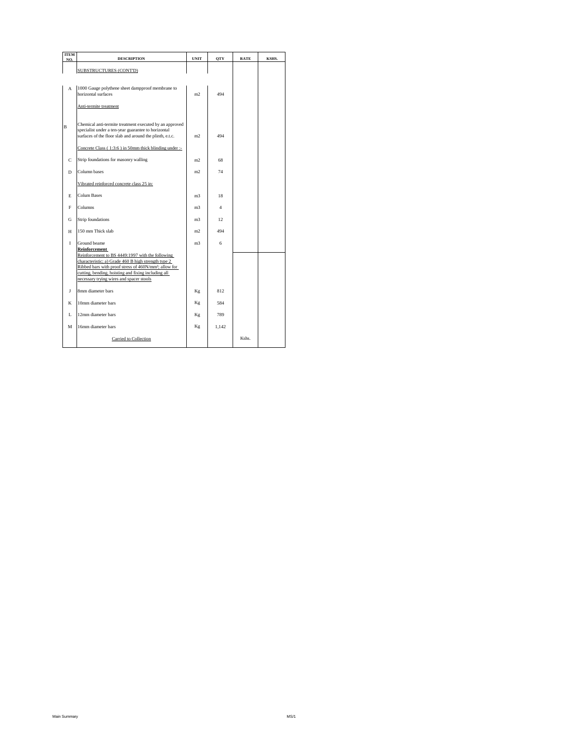| <b>ITEM</b><br>NO. | <b>DESCRIPTION</b>                                                                                                                                                                                                                                                                                               | <b>UNIT</b>    | <b>OTY</b>     | <b>RATE</b> | KSHS. |
|--------------------|------------------------------------------------------------------------------------------------------------------------------------------------------------------------------------------------------------------------------------------------------------------------------------------------------------------|----------------|----------------|-------------|-------|
|                    | SUBSTRUCTURES (CONT'D)                                                                                                                                                                                                                                                                                           |                |                |             |       |
| A                  | 1000 Gauge polythene sheet dampproof membrane to<br>horizontal surfaces<br>Anti-termite treatment                                                                                                                                                                                                                | m <sub>2</sub> | 494            |             |       |
| B                  | Chemical anti-termite treatment executed by an approved<br>specialist under a ten-year guarantee to horizontal<br>surfaces of the floor slab and around the plinth, e.t.c.<br>Concrete Class (1:3:6) in 50mm thick blinding under :-                                                                             | m <sub>2</sub> | 494            |             |       |
|                    |                                                                                                                                                                                                                                                                                                                  |                |                |             |       |
| $\mathbf C$        | Strip foundations for masonry walling                                                                                                                                                                                                                                                                            | m <sub>2</sub> | 68             |             |       |
| D                  | Column bases                                                                                                                                                                                                                                                                                                     | m <sub>2</sub> | 74             |             |       |
|                    | Vibrated reinforced concrete class 25 in:                                                                                                                                                                                                                                                                        |                |                |             |       |
| E                  | <b>Colum Bases</b>                                                                                                                                                                                                                                                                                               | m <sub>3</sub> | 18             |             |       |
| F                  | Columns                                                                                                                                                                                                                                                                                                          | m <sub>3</sub> | $\overline{4}$ |             |       |
| G                  | Strip foundations                                                                                                                                                                                                                                                                                                | m <sub>3</sub> | 12             |             |       |
| H                  | 150 mm Thick slab                                                                                                                                                                                                                                                                                                | m <sub>2</sub> | 494            |             |       |
| $\mathbf{I}$       | Ground beame<br>Reinforcement<br>Reinforcement to BS 4449:1997 with the following<br>characteristic; a) Grade 460 B high strength type 2<br>Ribbed bars with proof stress of 460N/mm <sup>2</sup> ; allow for<br>cutting, bending, hoisting and fixing including all<br>necessary trying wires and spacer stools | m <sub>3</sub> | 6              |             |       |
| I                  | 8mm diameter bars                                                                                                                                                                                                                                                                                                | Kg             | 812            |             |       |
| K                  | 10mm diameter bars                                                                                                                                                                                                                                                                                               | Kg             | 584            |             |       |
| L                  | 12mm diameter bars                                                                                                                                                                                                                                                                                               | Kg             | 789            |             |       |
| M                  | 16mm diameter bars                                                                                                                                                                                                                                                                                               | Κg             | 1.142          |             |       |
|                    | Carried to Collection                                                                                                                                                                                                                                                                                            |                |                | Kshs.       |       |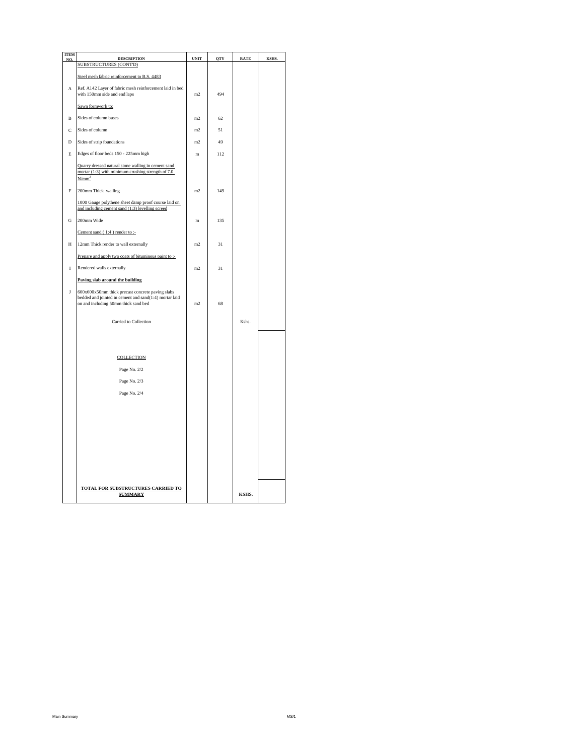| <b>ITEM</b><br>NO. | <b>DESCRIPTION</b>                                                                                                                                 | <b>UNIT</b>    | QTY | <b>RATE</b> | KSHS. |
|--------------------|----------------------------------------------------------------------------------------------------------------------------------------------------|----------------|-----|-------------|-------|
|                    | <b>SUBSTRUCTURES (CONTD)</b>                                                                                                                       |                |     |             |       |
|                    | Steel mesh fabric reinforcement to B.S. 4483                                                                                                       |                |     |             |       |
| A                  | Ref. A142 Layer of fabric mesh reinforcement laid in bed<br>with 150mm side and end laps                                                           | m2             | 494 |             |       |
|                    | Sawn formwork to:                                                                                                                                  |                |     |             |       |
| B                  | Sides of column bases                                                                                                                              | m2             | 62  |             |       |
| Ċ                  | Sides of column                                                                                                                                    | m <sub>2</sub> | 51  |             |       |
| D                  | Sides of strip foundations                                                                                                                         | m2             | 49  |             |       |
| E                  | Edges of floor beds 150 - 225mm high                                                                                                               | m              | 112 |             |       |
|                    | Quarry dressed natural stone walling in cement sand<br>mortar $(1:3)$ with minimum crushing strength of 7.0<br>N/mm <sup>2</sup>                   |                |     |             |       |
| F                  | 200mm Thick walling                                                                                                                                | m2             | 149 |             |       |
|                    | 1000 Gauge polythene sheet damp proof course laid on<br>and including cement sand (1:3) levelling screed                                           |                |     |             |       |
| G                  | 200mm Wide                                                                                                                                         | m              | 135 |             |       |
|                    | Cement sand (1:4) render to :-                                                                                                                     |                |     |             |       |
| H                  | 12mm Thick render to wall externally                                                                                                               | m <sub>2</sub> | 31  |             |       |
|                    | Prepare and apply two coats of bituminous paint to :-                                                                                              |                |     |             |       |
| I                  | Rendered walls externally                                                                                                                          | m <sub>2</sub> | 31  |             |       |
|                    | Paving slab around the building                                                                                                                    |                |     |             |       |
| ${\bf J}$          | 600x600x50mm thick precast concrete paving slabs<br>bedded and jointed in cement and sand(1:4) mortar laid<br>on and including 50mm thick sand bed | m2             | 68  |             |       |
|                    | Carried to Collection                                                                                                                              |                |     | Kshs.       |       |
|                    |                                                                                                                                                    |                |     |             |       |
|                    | <b>COLLECTION</b>                                                                                                                                  |                |     |             |       |
|                    | Page No. 2/2                                                                                                                                       |                |     |             |       |
|                    | Page No. 2/3                                                                                                                                       |                |     |             |       |
|                    | Page No. 2/4                                                                                                                                       |                |     |             |       |
|                    |                                                                                                                                                    |                |     |             |       |
|                    |                                                                                                                                                    |                |     |             |       |
|                    |                                                                                                                                                    |                |     |             |       |
|                    |                                                                                                                                                    |                |     |             |       |
|                    |                                                                                                                                                    |                |     |             |       |
|                    |                                                                                                                                                    |                |     |             |       |
|                    | TOTAL FOR SUBSTRUCTURES CARRIED TO<br><b>SUMMARY</b>                                                                                               |                |     | KSHS.       |       |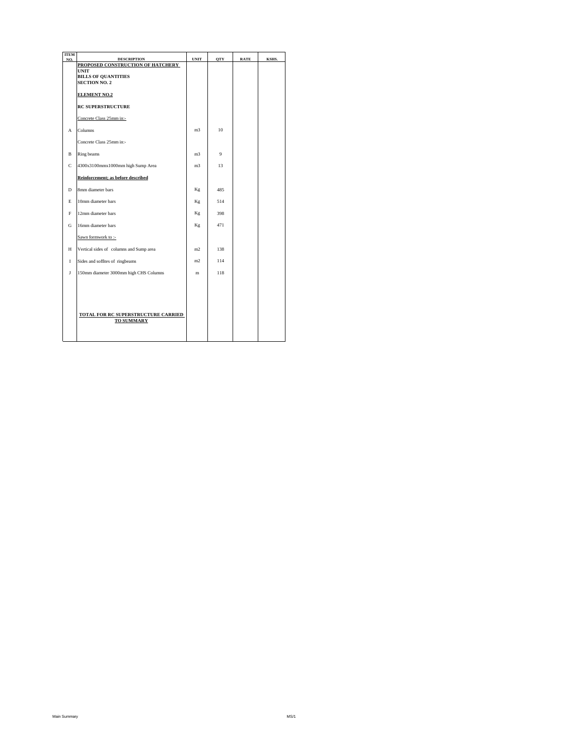| <b>ITEM</b><br>NO. | <b>DESCRIPTION</b>                                         | <b>UNIT</b>    | <b>OTY</b> | <b>RATE</b> | KSHS. |
|--------------------|------------------------------------------------------------|----------------|------------|-------------|-------|
|                    | PROPOSED CONSTRUCTION OF HATCHERY                          |                |            |             |       |
|                    | UNIT<br><b>BILLS OF OUANTITIES</b><br><b>SECTION NO. 2</b> |                |            |             |       |
|                    | <b>ELEMENT NO.2</b>                                        |                |            |             |       |
|                    | <b>RC SUPERSTRUCTURE</b>                                   |                |            |             |       |
|                    | Concrete Class 25mm in:-                                   |                |            |             |       |
| A                  | Columns                                                    | m <sub>3</sub> | 10         |             |       |
|                    | Concrete Class 25mm in:-                                   |                |            |             |       |
| B                  | Ring beams                                                 | m <sub>3</sub> | 9          |             |       |
| $\mathbf C$        | 4300x3100mmx1000mm high Sump Area                          | m <sub>3</sub> | 13         |             |       |
|                    | Reinforcement; as before described                         |                |            |             |       |
| D                  | 8mm diameter bars                                          | Kg             | 485        |             |       |
| E                  | 10mm diameter bars                                         | Kg             | 514        |             |       |
| F                  | 12mm diameter bars                                         | Kg             | 398        |             |       |
| G                  | 16mm diameter bars                                         | Кg             | 471        |             |       |
|                    | Sawn formwork to :-                                        |                |            |             |       |
| H                  | Vertical sides of columns and Sump area                    | m <sub>2</sub> | 138        |             |       |
| $\mathbf I$        | Sides and soffites of ringbeams                            | m <sub>2</sub> | 114        |             |       |
| J                  | 150mm diameter 3000mm high CHS Columns                     | m              | 118        |             |       |
|                    | TOTAL FOR RC SUPERSTRUCTURE CARRIED<br><b>TO SUMMARY</b>   |                |            |             |       |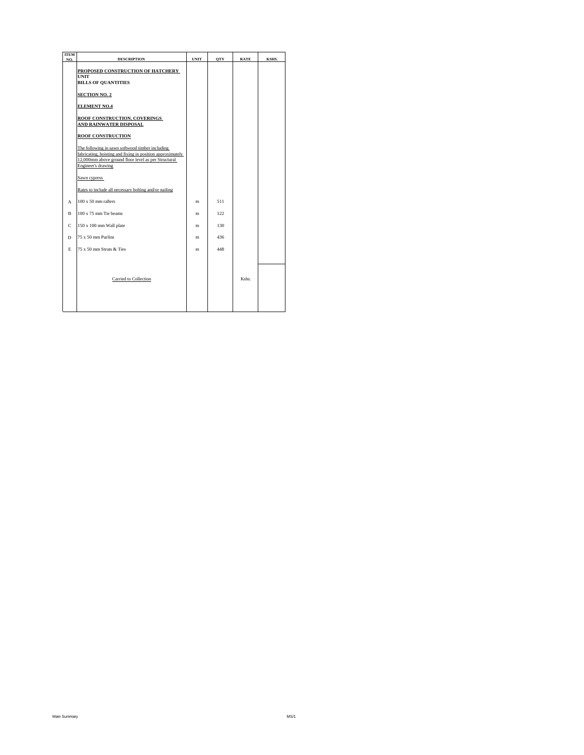| <b>ITEM</b><br>NO. | <b>DESCRIPTION</b>                                                                                                                                                                         | <b>UNIT</b> | <b>OTY</b> | <b>RATE</b> | KSHS. |
|--------------------|--------------------------------------------------------------------------------------------------------------------------------------------------------------------------------------------|-------------|------------|-------------|-------|
|                    | PROPOSED CONSTRUCTION OF HATCHERY<br><b>UNIT</b><br><b>BILLS OF QUANTITIES</b>                                                                                                             |             |            |             |       |
|                    | <b>SECTION NO. 2</b>                                                                                                                                                                       |             |            |             |       |
|                    | <b>ELEMENT NO.4</b>                                                                                                                                                                        |             |            |             |       |
|                    | <b>ROOF CONSTRUCTION, COVERINGS</b><br><b>AND RAINWATER DISPOSAL</b>                                                                                                                       |             |            |             |       |
|                    | <b>ROOF CONSTRUCTION</b>                                                                                                                                                                   |             |            |             |       |
|                    | The following in sawn softwood timber including<br>fabricating, hoisting and fixing in position approximately<br>12,000mm above ground floor level as per Structural<br>Engineer's drawing |             |            |             |       |
|                    | Sawn cypress                                                                                                                                                                               |             |            |             |       |
|                    | Rates to include all necessary bolting and/or nailing                                                                                                                                      |             |            |             |       |
| A                  | $100 \times 50$ mm rafters                                                                                                                                                                 | m           | 511        |             |       |
| <sub>R</sub>       | 100 x 75 mm Tie beams                                                                                                                                                                      | m           | 122.       |             |       |
| C                  | 150 x 100 mm Wall plate                                                                                                                                                                    | m           | 130        |             |       |
| D                  | 75 x 50 mm Purlins                                                                                                                                                                         | m           | 436        |             |       |
| E.                 | 75 x 50 mm Struts & Ties                                                                                                                                                                   | m           | 448        |             |       |
|                    | Carried to Collection                                                                                                                                                                      |             |            | Kshs.       |       |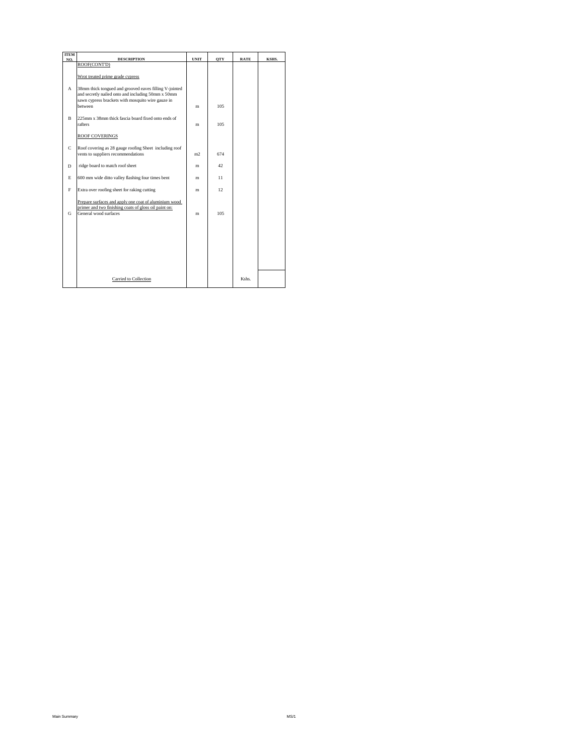| <b>ITEM</b><br>NO. | <b>DESCRIPTION</b>                                                                                                                                                                  | <b>UNIT</b> | <b>OTY</b> | <b>RATE</b> | KSHS. |
|--------------------|-------------------------------------------------------------------------------------------------------------------------------------------------------------------------------------|-------------|------------|-------------|-------|
|                    | ROOF(CONT'D)                                                                                                                                                                        |             |            |             |       |
|                    | Wrot treated prime grade cypress                                                                                                                                                    |             |            |             |       |
| A                  | 38mm thick tongued and grooved eaves filling V-jointed<br>and secretly nailed onto and including 50mm x 50mm<br>sawn cypress brackets with mosquito wire gauze in<br><b>between</b> | m           | 105        |             |       |
| $\mathbf B$        | 225mm x 38mm thick fascia board fixed onto ends of<br>rafters                                                                                                                       | m           | 105        |             |       |
|                    | <b>ROOF COVERINGS</b>                                                                                                                                                               |             |            |             |       |
| $\mathbf C$        | Roof covering as 28 gauge roofing Sheet including roof<br>vents to suppliers recommendations                                                                                        | m2.         | 674        |             |       |
| D                  | ridge board to match roof sheet                                                                                                                                                     | m           | 42         |             |       |
| E                  | 600 mm wide ditto valley flashing four times bent                                                                                                                                   | m           | 11         |             |       |
| F                  | Extra over roofing sheet for raking cutting                                                                                                                                         | m           | 12         |             |       |
| G                  | Prepare surfaces and apply one coat of aluminium wood<br>primer and two finishing coats of gloss oil paint on:<br>General wood surfaces                                             | m           | 105        |             |       |
|                    |                                                                                                                                                                                     |             |            |             |       |
|                    |                                                                                                                                                                                     |             |            |             |       |
|                    |                                                                                                                                                                                     |             |            |             |       |
|                    | Carried to Collection                                                                                                                                                               |             |            | Kshs.       |       |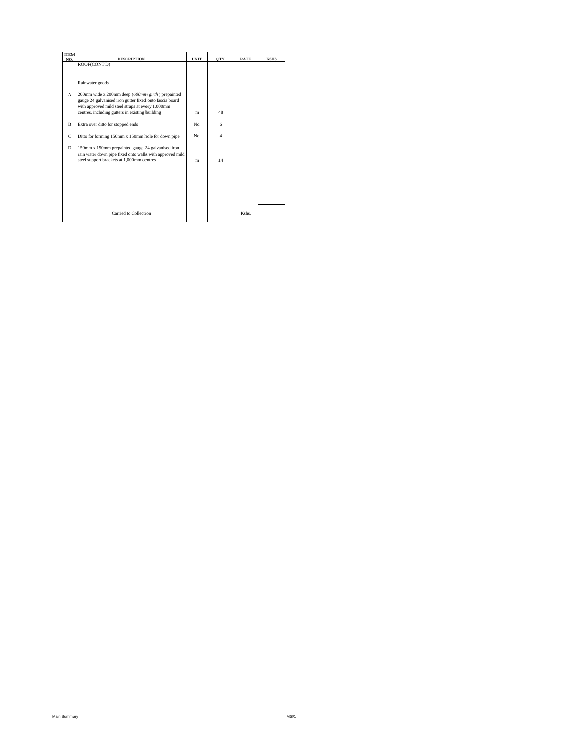| <b>ITEM</b>  |                                                                                                                                                            |             |                |             |       |
|--------------|------------------------------------------------------------------------------------------------------------------------------------------------------------|-------------|----------------|-------------|-------|
| NO.          | <b>DESCRIPTION</b>                                                                                                                                         | <b>UNIT</b> | <b>OTY</b>     | <b>RATE</b> | KSHS. |
|              | ROOF(CONT'D)                                                                                                                                               |             |                |             |       |
|              |                                                                                                                                                            |             |                |             |       |
|              | Rainwater goods                                                                                                                                            |             |                |             |       |
| $\mathbf{A}$ | 200mm wide x 200mm deep (600mm girth) prepainted<br>gauge 24 galvanised iron gutter fixed onto fascia board                                                |             |                |             |       |
|              | with approved mild steel straps at every 1,000mm                                                                                                           |             |                |             |       |
|              | centres, including gutters in existing building                                                                                                            | m           | 48             |             |       |
| B            | Extra over ditto for stopped ends                                                                                                                          | No.         | 6              |             |       |
|              |                                                                                                                                                            |             |                |             |       |
| $\mathbf C$  | Ditto for forming 150mm x 150mm hole for down pipe                                                                                                         | No.         | $\overline{4}$ |             |       |
| D            | 150mm x 150mm prepainted gauge 24 galvanised iron<br>rain water down pipe fixed onto walls with approved mild<br>steel support brackets at 1,000mm centres | m           | 14             |             |       |
|              |                                                                                                                                                            |             |                |             |       |
|              |                                                                                                                                                            |             |                |             |       |
|              |                                                                                                                                                            |             |                |             |       |
|              |                                                                                                                                                            |             |                |             |       |
|              |                                                                                                                                                            |             |                |             |       |
|              | Carried to Collection                                                                                                                                      |             |                | Kshs.       |       |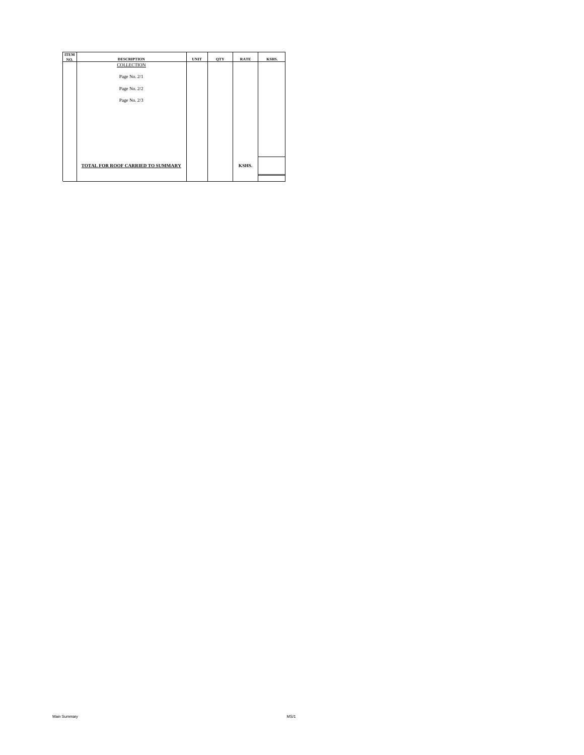| <b>ITEM</b> |                                   |             |            |             |       |
|-------------|-----------------------------------|-------------|------------|-------------|-------|
| NO.         | <b>DESCRIPTION</b>                | <b>UNIT</b> | <b>OTY</b> | <b>RATE</b> | KSHS. |
|             | <b>COLLECTION</b>                 |             |            |             |       |
|             | Page No. 2/1                      |             |            |             |       |
|             | Page No. 2/2                      |             |            |             |       |
|             | Page No. 2/3                      |             |            |             |       |
|             |                                   |             |            |             |       |
|             |                                   |             |            |             |       |
|             |                                   |             |            |             |       |
|             |                                   |             |            |             |       |
|             |                                   |             |            |             |       |
|             | TOTAL FOR ROOF CARRIED TO SUMMARY |             |            | KSHS.       |       |
|             |                                   |             |            |             |       |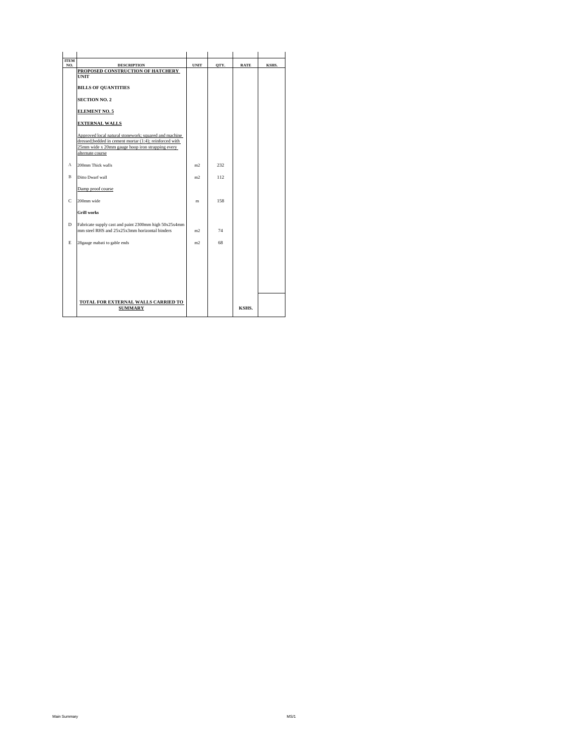| <b>ITEM</b><br>NO. | <b>DESCRIPTION</b>                                                                                                                                                                      | <b>UNIT</b>    | OTY. | <b>RATE</b> | KSHS. |
|--------------------|-----------------------------------------------------------------------------------------------------------------------------------------------------------------------------------------|----------------|------|-------------|-------|
|                    | PROPOSED CONSTRUCTION OF HATCHERY                                                                                                                                                       |                |      |             |       |
|                    | <b>INIT</b>                                                                                                                                                                             |                |      |             |       |
|                    | <b>BILLS OF OUANTITIES</b>                                                                                                                                                              |                |      |             |       |
|                    | <b>SECTION NO. 2</b>                                                                                                                                                                    |                |      |             |       |
|                    | <b>ELEMENT NO. 5</b>                                                                                                                                                                    |                |      |             |       |
|                    | <b>EXTERNAL WALLS</b>                                                                                                                                                                   |                |      |             |       |
|                    | Approved local natural stonework; squared and machine<br>dressed;bedded in cement mortar (1:4); reinforced with<br>25mm wide x 20mm gauge hoop iron strapping every<br>alternate course |                |      |             |       |
| А                  | 200mm Thick walls                                                                                                                                                                       | m <sub>2</sub> | 232  |             |       |
| $\mathbf{B}$       | Ditto Dwarf wall                                                                                                                                                                        | m <sub>2</sub> | 112  |             |       |
|                    | Damp proof course                                                                                                                                                                       |                |      |             |       |
| $\mathbf C$        | 200mm wide                                                                                                                                                                              | m              | 158  |             |       |
|                    | <b>Grill works</b>                                                                                                                                                                      |                |      |             |       |
| D                  | Fabricate supply cast and paint 2300mm high 50x25x4mm<br>mm steel RHS and 25x25x3mm horizontal binders                                                                                  | m <sub>2</sub> | 74   |             |       |
| E                  | 28gauge mabati to gable ends                                                                                                                                                            | m2             | 68   |             |       |
|                    |                                                                                                                                                                                         |                |      |             |       |
|                    |                                                                                                                                                                                         |                |      |             |       |
|                    |                                                                                                                                                                                         |                |      |             |       |
|                    |                                                                                                                                                                                         |                |      |             |       |
|                    | TOTAL FOR EXTERNAL WALLS CARRIED TO<br><b>SUMMARY</b>                                                                                                                                   |                |      | KSHS.       |       |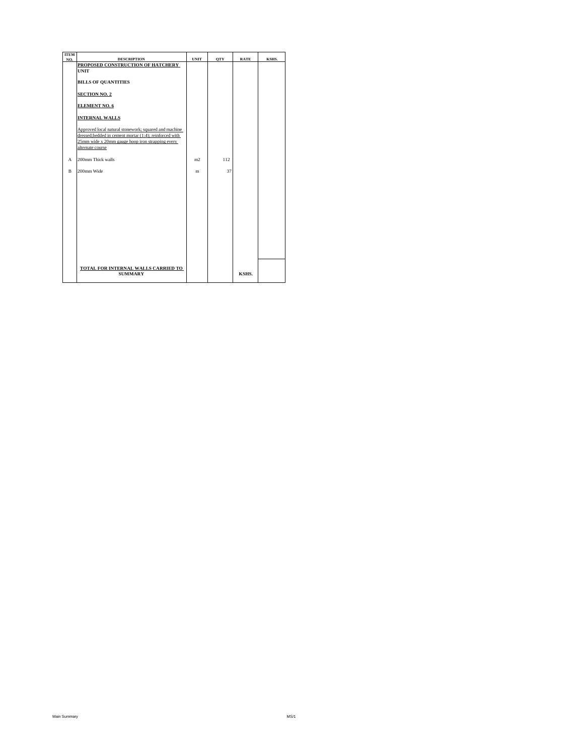| <b>ITEM</b> |                                                                                                                 |                |            |             |       |
|-------------|-----------------------------------------------------------------------------------------------------------------|----------------|------------|-------------|-------|
| NO.         | <b>DESCRIPTION</b>                                                                                              | <b>UNIT</b>    | <b>OTY</b> | <b>RATE</b> | KSHS. |
|             | PROPOSED CONSTRUCTION OF HATCHERY                                                                               |                |            |             |       |
|             | <b>UNIT</b>                                                                                                     |                |            |             |       |
|             | <b>BILLS OF OUANTITIES</b>                                                                                      |                |            |             |       |
|             | <b>SECTION NO. 2</b>                                                                                            |                |            |             |       |
|             | <b>ELEMENT NO. 6</b>                                                                                            |                |            |             |       |
|             | <b>INTERNAL WALLS</b>                                                                                           |                |            |             |       |
|             | Approved local natural stonework; squared and machine<br>dressed;bedded in cement mortar (1:4); reinforced with |                |            |             |       |
|             | 25mm wide x 20mm gauge hoop iron strapping every<br>alternate course                                            |                |            |             |       |
| A           | 200mm Thick walls                                                                                               | m <sub>2</sub> | 112        |             |       |
| $\mathbf B$ | 200mm Wide                                                                                                      | m              | 37         |             |       |
|             |                                                                                                                 |                |            |             |       |
|             |                                                                                                                 |                |            |             |       |
|             |                                                                                                                 |                |            |             |       |
|             |                                                                                                                 |                |            |             |       |
|             |                                                                                                                 |                |            |             |       |
|             |                                                                                                                 |                |            |             |       |
|             |                                                                                                                 |                |            |             |       |
|             | TOTAL FOR INTERNAL WALLS CARRIED TO                                                                             |                |            |             |       |
|             | <b>SUMMARY</b>                                                                                                  |                |            | KSHS.       |       |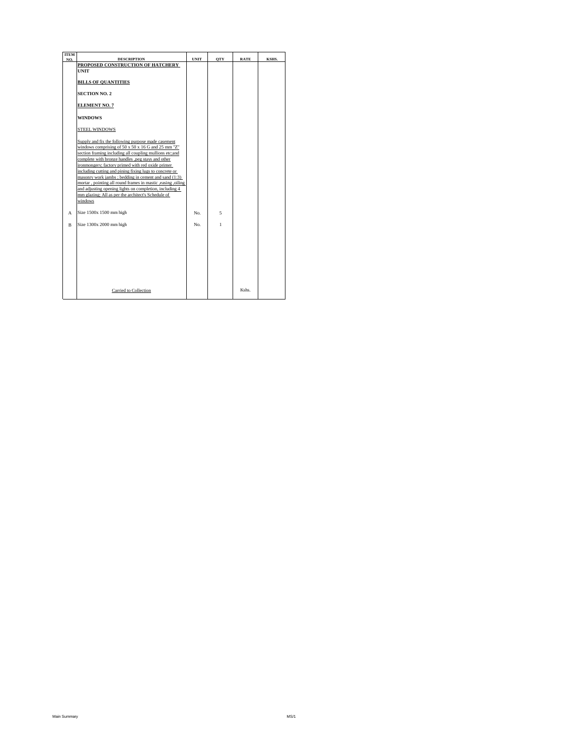| <b>ITEM</b> |                                                                                                              |             |              |             |       |
|-------------|--------------------------------------------------------------------------------------------------------------|-------------|--------------|-------------|-------|
| NO.         | <b>DESCRIPTION</b><br>PROPOSED CONSTRUCTION OF HATCHERY                                                      | <b>UNIT</b> | <b>OTY</b>   | <b>RATE</b> | KSHS. |
|             | <b>UNIT</b>                                                                                                  |             |              |             |       |
|             |                                                                                                              |             |              |             |       |
|             | <b>BILLS OF QUANTITIES</b>                                                                                   |             |              |             |       |
|             |                                                                                                              |             |              |             |       |
|             | <b>SECTION NO. 2</b>                                                                                         |             |              |             |       |
|             |                                                                                                              |             |              |             |       |
|             | <b>ELEMENT NO. 7</b>                                                                                         |             |              |             |       |
|             | <b>WINDOWS</b>                                                                                               |             |              |             |       |
|             |                                                                                                              |             |              |             |       |
|             | <b>STEEL WINDOWS</b>                                                                                         |             |              |             |       |
|             |                                                                                                              |             |              |             |       |
|             | Supply and fix the following purpose made casement                                                           |             |              |             |       |
|             | windows comprising of $50 \times 50 \times 16$ G and $25$ mm "Z"                                             |             |              |             |       |
|             | section framing including all coupling mullions etc;and                                                      |             |              |             |       |
|             | complete with bronze handles ,peg stays and other                                                            |             |              |             |       |
|             | ironmongery; factory primed with red oxide primer<br>including cutting and pining fixing lugs to concrete or |             |              |             |       |
|             | masonry work jambs; bedding in cement and sand (1:3)                                                         |             |              |             |       |
|             | mortar, pointing all round frames in mastic ,easing ,oiling                                                  |             |              |             |       |
|             | and adjusting opening lights on completion, including 4                                                      |             |              |             |       |
|             | mm glazing; All as per the architect's Schedule of                                                           |             |              |             |       |
|             | windows                                                                                                      |             |              |             |       |
|             |                                                                                                              |             |              |             |       |
| A           | Size 1500x 1500 mm high                                                                                      | No.         | 5            |             |       |
|             |                                                                                                              |             |              |             |       |
| $\mathbf B$ | Size 1300x 2000 mm high                                                                                      | No.         | $\mathbf{1}$ |             |       |
|             |                                                                                                              |             |              |             |       |
|             |                                                                                                              |             |              |             |       |
|             |                                                                                                              |             |              |             |       |
|             |                                                                                                              |             |              |             |       |
|             |                                                                                                              |             |              |             |       |
|             |                                                                                                              |             |              |             |       |
|             |                                                                                                              |             |              |             |       |
|             |                                                                                                              |             |              |             |       |
|             |                                                                                                              |             |              |             |       |
|             | Carried to Collection                                                                                        |             |              | Kshs.       |       |
|             |                                                                                                              |             |              |             |       |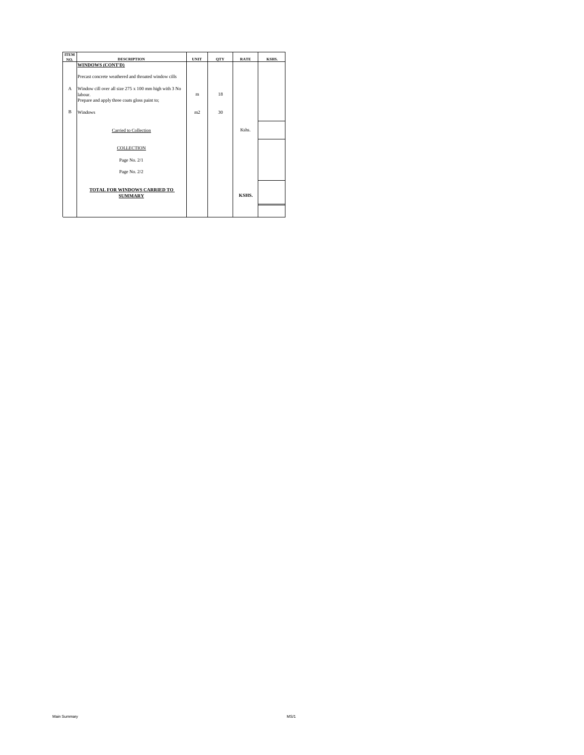| <b>ITEM</b>  |                                                                                                                                                                                                      |                |              |             |       |
|--------------|------------------------------------------------------------------------------------------------------------------------------------------------------------------------------------------------------|----------------|--------------|-------------|-------|
| NO.          | <b>DESCRIPTION</b>                                                                                                                                                                                   | <b>UNIT</b>    | <b>OTY</b>   | <b>RATE</b> | KSHS. |
| A            | <b>WINDOWS (CONT'D)</b><br>Precast concrete weathered and throated window cills<br>Window cill over all size 275 x 100 mm high with 3 No<br>labour.<br>Prepare and apply three coats gloss paint to; | m              | 18           |             |       |
| <sub>R</sub> | Windows                                                                                                                                                                                              | m <sub>2</sub> | $30^{\circ}$ |             |       |
|              | Carried to Collection                                                                                                                                                                                |                |              | Kshs.       |       |
|              | <b>COLLECTION</b>                                                                                                                                                                                    |                |              |             |       |
|              | Page No. 2/1                                                                                                                                                                                         |                |              |             |       |
|              | Page No. 2/2                                                                                                                                                                                         |                |              |             |       |
|              | <b>TOTAL FOR WINDOWS CARRIED TO</b><br><b>SUMMARY</b>                                                                                                                                                |                |              | KSHS.       |       |
|              |                                                                                                                                                                                                      |                |              |             |       |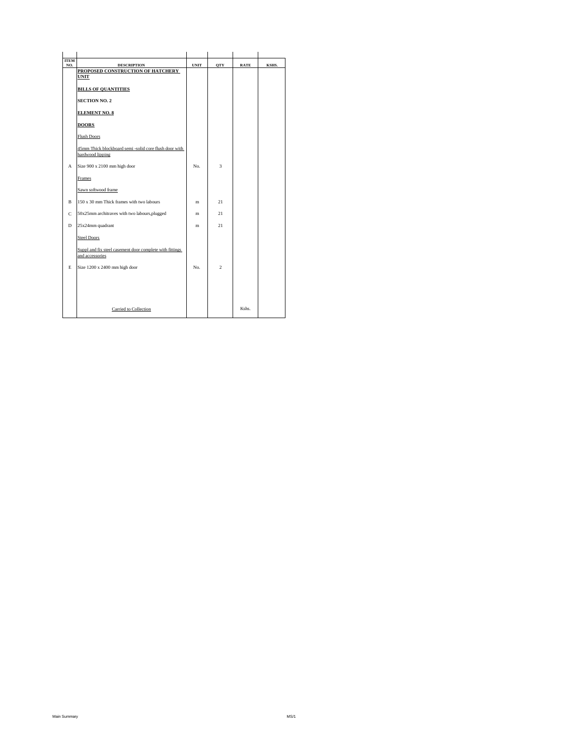| <b>ITEM</b><br>NO. | <b>DESCRIPTION</b>                                                          | <b>UNIT</b> | <b>OTY</b>          | <b>RATE</b> | KSHS. |
|--------------------|-----------------------------------------------------------------------------|-------------|---------------------|-------------|-------|
|                    | PROPOSED CONSTRUCTION OF HATCHERY                                           |             |                     |             |       |
|                    | <b>UNIT</b>                                                                 |             |                     |             |       |
|                    | <b>BILLS OF QUANTITIES</b>                                                  |             |                     |             |       |
|                    | <b>SECTION NO. 2</b>                                                        |             |                     |             |       |
|                    | <b>ELEMENT NO. 8</b>                                                        |             |                     |             |       |
|                    | <b>DOORS</b>                                                                |             |                     |             |       |
|                    | <b>Flush Doors</b>                                                          |             |                     |             |       |
|                    | 45mm Thick blockboard semi-solid core flush door with                       |             |                     |             |       |
|                    | hardwood lipping                                                            |             |                     |             |       |
| A                  | Size 900 x 2100 mm high door                                                | No.         | $\ddot{\mathbf{3}}$ |             |       |
|                    | Frames                                                                      |             |                     |             |       |
|                    | Sawn softwood frame                                                         |             |                     |             |       |
| B                  | 150 x 30 mm Thick frames with two labours                                   | m           | 2.1                 |             |       |
| $\mathbf C$        | 50x25mm architraves with two labours, plugged                               | m           | 2.1                 |             |       |
| D                  | 25x24mm quadrant                                                            | m           | 21                  |             |       |
|                    | <b>Steel Doors</b>                                                          |             |                     |             |       |
|                    | Suppl and fix steel casement door complete with fittings<br>and accessories |             |                     |             |       |
| E                  | Size 1200 x 2400 mm high door                                               | No.         | $\overline{c}$      |             |       |
|                    |                                                                             |             |                     |             |       |
|                    |                                                                             |             |                     |             |       |
|                    |                                                                             |             |                     |             |       |
|                    |                                                                             |             |                     |             |       |
|                    | Carried to Collection                                                       |             |                     | Kshs.       |       |
|                    |                                                                             |             |                     |             |       |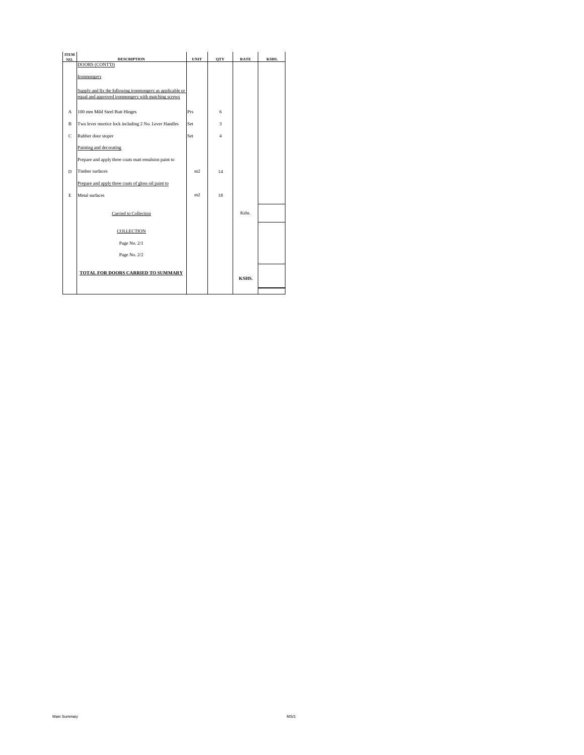| <b>ITEM</b><br>NO. | <b>DESCRIPTION</b>                                                                                               | <b>UNIT</b>    | <b>OTY</b>     | <b>RATE</b> | KSHS. |
|--------------------|------------------------------------------------------------------------------------------------------------------|----------------|----------------|-------------|-------|
|                    | DOORS (CONT'D)                                                                                                   |                |                |             |       |
|                    | Ironmongery                                                                                                      |                |                |             |       |
|                    | Supply and fix the following ironmongery as applicable or<br>equal and approved ironmongery with matching screws |                |                |             |       |
| A                  | 100 mm Mild Steel Butt Hinges                                                                                    | Prs            | 6              |             |       |
| $\mathbf B$        | Two lever mortice lock including 2 No. Lever Handles                                                             | Set            | 3              |             |       |
| $\mathbf C$        | Rubber door stoper                                                                                               | Set            | $\overline{4}$ |             |       |
|                    | Painting and decorating                                                                                          |                |                |             |       |
|                    | Prepare and apply three coats matt emulsion paint to                                                             |                |                |             |       |
| D                  | Timber surfaces                                                                                                  | m <sub>2</sub> | 14             |             |       |
|                    | Prepare and apply three coats of gloss oil paint to                                                              |                |                |             |       |
| E                  | Metal surfaces                                                                                                   | m2             | 18             |             |       |
|                    | Carried to Collection                                                                                            |                |                | Kshs.       |       |
|                    | <b>COLLECTION</b>                                                                                                |                |                |             |       |
|                    | Page No. 2/1                                                                                                     |                |                |             |       |
|                    | Page No. 2/2                                                                                                     |                |                |             |       |
|                    | TOTAL FOR DOORS CARRIED TO SUMMARY                                                                               |                |                | KSHS.       |       |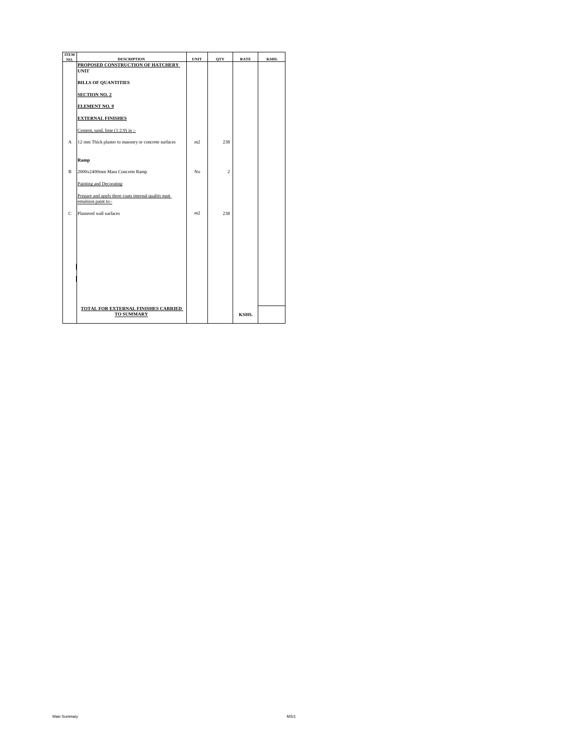| <b>ITEM</b><br>NO. | <b>DESCRIPTION</b>                                                         | <b>UNIT</b>    | <b>OTY</b>     | <b>RATE</b> | KSHS. |
|--------------------|----------------------------------------------------------------------------|----------------|----------------|-------------|-------|
|                    | PROPOSED CONSTRUCTION OF HATCHERY                                          |                |                |             |       |
|                    | <b>UNIT</b>                                                                |                |                |             |       |
|                    | <b>BILLS OF QUANTITIES</b>                                                 |                |                |             |       |
|                    | <b>SECTION NO. 2</b>                                                       |                |                |             |       |
|                    | <b>ELEMENT NO. 9</b>                                                       |                |                |             |       |
|                    | <b>EXTERNAL FINISHES</b>                                                   |                |                |             |       |
|                    | Cement, sand, lime (1:2:9) in :-                                           |                |                |             |       |
| A                  | 12 mm Thick plaster to masonry or concrete surfaces                        | m <sub>2</sub> | 238            |             |       |
|                    |                                                                            |                |                |             |       |
|                    | Ramp                                                                       |                |                |             |       |
| $\mathbf{B}$       | 2000x2400mm Mass Concrete Ramp                                             | No             | $\mathfrak{D}$ |             |       |
|                    | Painting and Decorating                                                    |                |                |             |       |
|                    | Prepare and apply three coats internal quality matt<br>emulsion paint to:- |                |                |             |       |
| $\mathbf C$        | Plastered wall surfaces                                                    | m <sub>2</sub> | 238            |             |       |
|                    |                                                                            |                |                |             |       |
|                    |                                                                            |                |                |             |       |
|                    |                                                                            |                |                |             |       |
|                    |                                                                            |                |                |             |       |
|                    |                                                                            |                |                |             |       |
|                    |                                                                            |                |                |             |       |
|                    |                                                                            |                |                |             |       |
|                    | TOTAL FOR EXTERNAL FINISHES CARRIED<br><b>TO SUMMARY</b>                   |                |                | KSHS.       |       |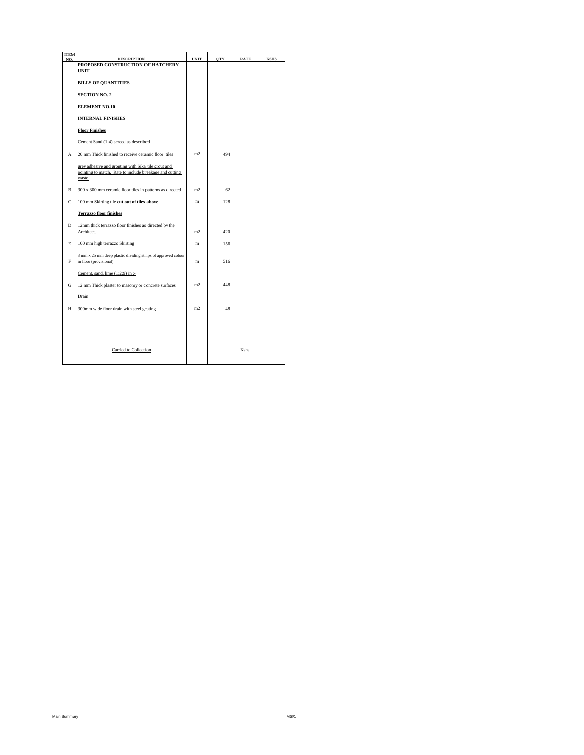| <b>ITEM</b><br>NO. | <b>DESCRIPTION</b>                                                                                                      | <b>UNIT</b>    | <b>OTY</b> | <b>RATE</b> | KSHS. |
|--------------------|-------------------------------------------------------------------------------------------------------------------------|----------------|------------|-------------|-------|
|                    | PROPOSED CONSTRUCTION OF HATCHERY                                                                                       |                |            |             |       |
|                    | <b>UNIT</b>                                                                                                             |                |            |             |       |
|                    | <b>BILLS OF QUANTITIES</b>                                                                                              |                |            |             |       |
|                    | <b>SECTION NO. 2</b>                                                                                                    |                |            |             |       |
|                    | <b>ELEMENT NO.10</b>                                                                                                    |                |            |             |       |
|                    | <b>INTERNAL FINISHES</b>                                                                                                |                |            |             |       |
|                    | <b>Floor Finishes</b>                                                                                                   |                |            |             |       |
|                    | Cement Sand (1:4) screed as described                                                                                   |                |            |             |       |
| А                  | 20 mm Thick finished to receive ceramic floor tiles                                                                     | m <sub>2</sub> | 494        |             |       |
|                    | grey adhesive and grouting with Sika tile grout and<br>pointing to match. Rate to include breakage and cutting<br>waste |                |            |             |       |
| $\mathbf B$        | 300 x 300 mm ceramic floor tiles in patterns as directed                                                                | m <sub>2</sub> | 62         |             |       |
| $\mathsf C$        | 100 mm Skirting tile cut out of tiles above                                                                             | m              | 128        |             |       |
|                    | <b>Terrazzo floor finishes</b>                                                                                          |                |            |             |       |
| D                  | 12mm thick terrazzo floor finishes as directed by the<br>Architect.                                                     | m <sub>2</sub> | 420        |             |       |
| E                  | 100 mm high terrazzo Skirting                                                                                           | m              | 156        |             |       |
| F                  | 3 mm x 25 mm deep plastic dividing strips of approved colour<br>in floor (provisional)                                  | m              | 516        |             |       |
|                    | Cement, sand, lime (1:2:9) in :-                                                                                        |                |            |             |       |
| G                  | 12 mm Thick plaster to masonry or concrete surfaces                                                                     | m <sub>2</sub> | 448        |             |       |
|                    | Drain                                                                                                                   |                |            |             |       |
| Н                  | 300mm wide floor drain with steel grating                                                                               | m <sub>2</sub> | 48         |             |       |
|                    |                                                                                                                         |                |            |             |       |
|                    |                                                                                                                         |                |            |             |       |
|                    | Carried to Collection                                                                                                   |                |            | Kshs.       |       |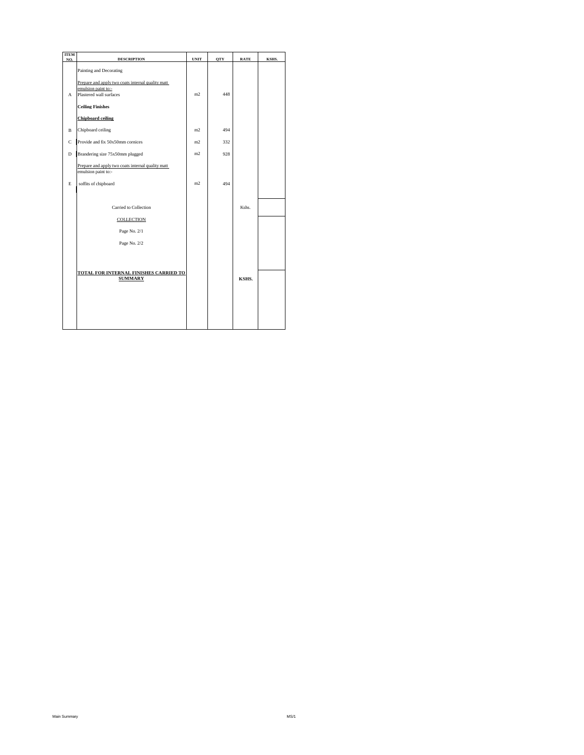| <b>ITEM</b><br>NO. | <b>DESCRIPTION</b>                                                                                  | <b>UNIT</b>    | <b>OTY</b> | <b>RATE</b> | KSHS. |
|--------------------|-----------------------------------------------------------------------------------------------------|----------------|------------|-------------|-------|
|                    | Painting and Decorating                                                                             |                |            |             |       |
| A                  | Prepare and apply two coats internal quality matt<br>emulsion paint to:-<br>Plastered wall surfaces | m <sub>2</sub> | 448        |             |       |
|                    | <b>Ceiling Finishes</b>                                                                             |                |            |             |       |
|                    | <b>Chipboard ceiling</b>                                                                            |                |            |             |       |
| B                  | Chipboard ceiling                                                                                   | m <sub>2</sub> | 494        |             |       |
| C                  | Provide and fix 50x50mm cornices                                                                    | m <sub>2</sub> | 332        |             |       |
| D                  | Brandering size 75x50mm plugged                                                                     | m <sub>2</sub> | 928        |             |       |
|                    | Prepare and apply two coats internal quality matt<br>emulsion paint to:-                            |                |            |             |       |
| E                  | soffits of chipboard                                                                                | m <sub>2</sub> | 494        |             |       |
|                    |                                                                                                     |                |            |             |       |
|                    | Carried to Collection                                                                               |                |            | Kshs.       |       |
|                    | <b>COLLECTION</b>                                                                                   |                |            |             |       |
|                    | Page No. 2/1                                                                                        |                |            |             |       |
|                    | Page No. 2/2                                                                                        |                |            |             |       |
|                    |                                                                                                     |                |            |             |       |
|                    | TOTAL FOR INTERNAL FINISHES CARRIED TO                                                              |                |            |             |       |
|                    | <b>SUMMARY</b>                                                                                      |                |            | KSHS.       |       |
|                    |                                                                                                     |                |            |             |       |
|                    |                                                                                                     |                |            |             |       |
|                    |                                                                                                     |                |            |             |       |
|                    |                                                                                                     |                |            |             |       |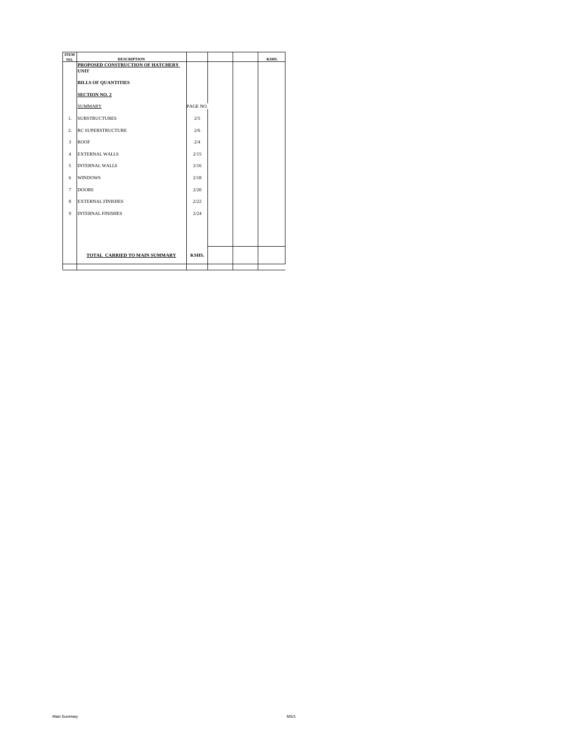| <b>ITEM</b>             |                                                         |          |  |       |
|-------------------------|---------------------------------------------------------|----------|--|-------|
| NO.                     | <b>DESCRIPTION</b><br>PROPOSED CONSTRUCTION OF HATCHERY |          |  | KSHS. |
|                         | <b>UNIT</b>                                             |          |  |       |
|                         | <b>BILLS OF QUANTITIES</b>                              |          |  |       |
|                         | <b>SECTION NO. 2</b>                                    |          |  |       |
|                         | <b>SUMMARY</b>                                          | PAGE NO. |  |       |
| $\mathbf{1}$ .          | <b>SUBSTRUCTURES</b>                                    | 2/5      |  |       |
| $\overline{2}$ .        | <b>RC SUPERSTRUCTURE</b>                                | 2/6      |  |       |
| $\overline{\mathbf{3}}$ | <b>ROOF</b>                                             | 2/4      |  |       |
| $\overline{4}$          | <b>EXTERNAL WALLS</b>                                   | 2/15     |  |       |
| 5                       | <b>INTERNAL WALLS</b>                                   | 2/16     |  |       |
| 6                       | <b>WINDOWS</b>                                          | 2/18     |  |       |
| $\tau$                  | <b>DOORS</b>                                            | 2.00     |  |       |
| 8                       | <b>EXTERNAL FINISHES</b>                                | 2/22     |  |       |
| $\mathbf{Q}$            | <b>INTERNAL FINISHES</b>                                | 2/24     |  |       |
|                         |                                                         |          |  |       |
|                         |                                                         |          |  |       |
|                         | TOTAL CARRIED TO MAIN SUMMARY                           | KSHS.    |  |       |
|                         |                                                         |          |  |       |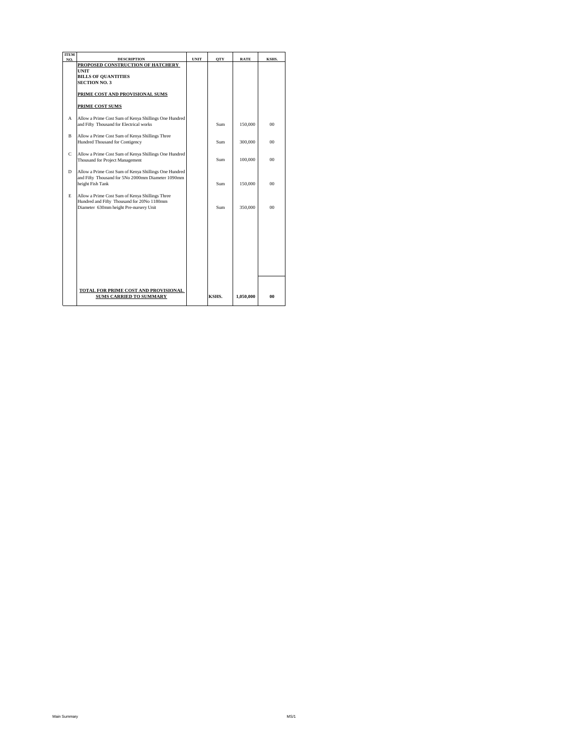| <b>ITEM</b><br>NO. | <b>DESCRIPTION</b>                                                                                                                      | <b>UNIT</b> | <b>OTY</b> | <b>RATE</b> | KSHS.   |
|--------------------|-----------------------------------------------------------------------------------------------------------------------------------------|-------------|------------|-------------|---------|
|                    | PROPOSED CONSTRUCTION OF HATCHERY                                                                                                       |             |            |             |         |
|                    | <b>UNIT</b>                                                                                                                             |             |            |             |         |
|                    | <b>BILLS OF OUANTITIES</b>                                                                                                              |             |            |             |         |
|                    | <b>SECTION NO. 3</b>                                                                                                                    |             |            |             |         |
|                    | PRIME COST AND PROVISIONAL SUMS                                                                                                         |             |            |             |         |
|                    | PRIME COST SUMS                                                                                                                         |             |            |             |         |
| A                  | Allow a Prime Cost Sum of Kenya Shillings One Hundred<br>and Fifty Thousand for Electrical works                                        |             | Sum        | 150,000     | $^{00}$ |
| <sub>R</sub>       | Allow a Prime Cost Sum of Kenya Shillings Three<br>Hundred Thousand for Contigency                                                      |             | Sum        | 300,000     | $00 \,$ |
| C                  | Allow a Prime Cost Sum of Kenya Shillings One Hundred<br>Thousand for Project Management                                                |             | Sum        | 100,000     | $^{00}$ |
| D                  | Allow a Prime Cost Sum of Kenya Shillings One Hundred<br>and Fifty Thousand for 5No 2000mm Diameter 1090mm<br>height Fish Tank          |             | Sum        | 150,000     | $^{00}$ |
| E                  | Allow a Prime Cost Sum of Kenya Shillings Three<br>Hundred and Fifty Thousand for 20No 1180mm<br>Diameter 630mm height Pre-nursery Unit |             | Sum        | 350,000     | $^{00}$ |
|                    |                                                                                                                                         |             |            |             |         |
|                    |                                                                                                                                         |             |            |             |         |
|                    |                                                                                                                                         |             |            |             |         |
|                    |                                                                                                                                         |             |            |             |         |
|                    | TOTAL FOR PRIME COST AND PROVISIONAL<br><b>SUMS CARRIED TO SUMMARY</b>                                                                  |             | KSHS.      | 1.050.000   | 00      |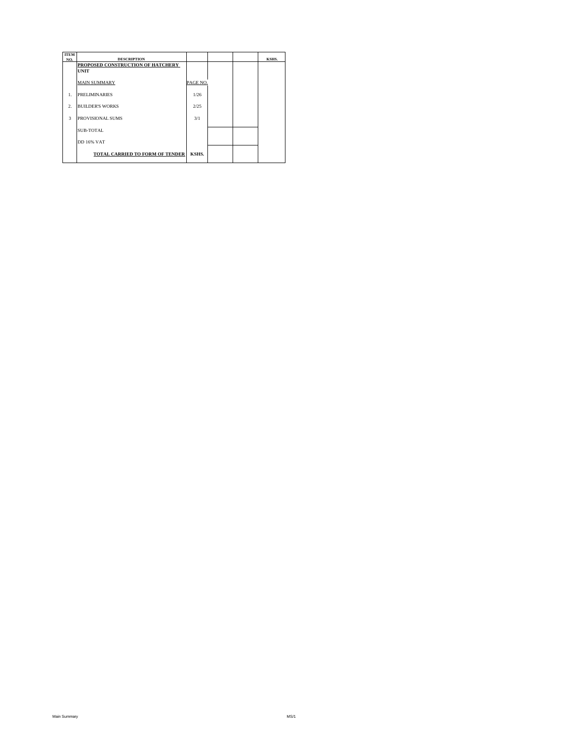| <b>ITEM</b><br>NO. | <b>DESCRIPTION</b>                     |          |  | KSHS. |
|--------------------|----------------------------------------|----------|--|-------|
|                    | PROPOSED CONSTRUCTION OF HATCHERY      |          |  |       |
|                    | <b>UNIT</b>                            |          |  |       |
|                    | <b>MAIN SUMMARY</b>                    | PAGE NO. |  |       |
| 1.                 | <b>PRELIMINARIES</b>                   | 1/26     |  |       |
| $\overline{2}$ .   | <b>BUILDER'S WORKS</b>                 | 2/25     |  |       |
| $\mathbf{3}$       | PROVISIONAL SUMS                       | 3/1      |  |       |
|                    | <b>SUB-TOTAL</b>                       |          |  |       |
|                    | <b>DD 16% VAT</b>                      |          |  |       |
|                    | <b>TOTAL CARRIED TO FORM OF TENDER</b> | KSHS.    |  |       |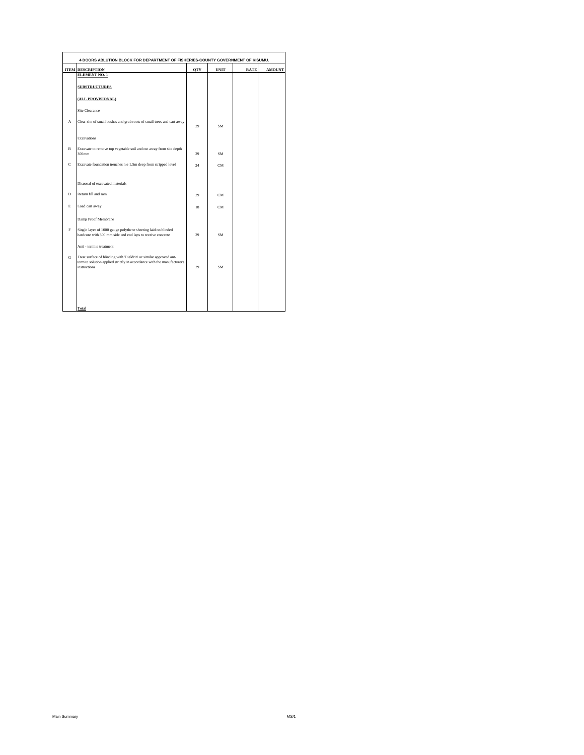| 4 DOORS ABLUTION BLOCK FOR DEPARTMENT OF FISHERIES-COUNTY GOVERNMENT OF KISUMU. |                                                                                                                                                                      |            |             |             |               |  |
|---------------------------------------------------------------------------------|----------------------------------------------------------------------------------------------------------------------------------------------------------------------|------------|-------------|-------------|---------------|--|
|                                                                                 | <b>ITEM DESCRIPTION</b>                                                                                                                                              | <b>OTY</b> | <b>UNIT</b> | <b>RATE</b> | <b>AMOUNT</b> |  |
|                                                                                 | <b>ELEMENT NO. 1</b>                                                                                                                                                 |            |             |             |               |  |
|                                                                                 | <b>SUBSTRUCTURES</b>                                                                                                                                                 |            |             |             |               |  |
|                                                                                 | (ALL PROVISIONAL)                                                                                                                                                    |            |             |             |               |  |
|                                                                                 | Site Clearance                                                                                                                                                       |            |             |             |               |  |
| A                                                                               | Clear site of small bushes and grub roots of small trees and cart away                                                                                               | 29         | <b>SM</b>   |             |               |  |
|                                                                                 | Excavations                                                                                                                                                          |            |             |             |               |  |
| $\overline{B}$                                                                  | Excavate to remove top vegetable soil and cut away from site depth<br>$300$ mm                                                                                       | 29         | SM          |             |               |  |
| c                                                                               | Excavate foundation trenches n.e 1.5m deep from stripped level                                                                                                       | 24         | <b>CM</b>   |             |               |  |
|                                                                                 | Disposal of excavated materials                                                                                                                                      |            |             |             |               |  |
| D                                                                               | Return fill and ram                                                                                                                                                  | 29         | CM          |             |               |  |
| E                                                                               | Load cart away                                                                                                                                                       | 18         | CM          |             |               |  |
|                                                                                 | Damp Proof Membrane                                                                                                                                                  |            |             |             |               |  |
| E                                                                               | Single layer of 1000 gauge polythene sheeting laid on blinded<br>hardcore with 300 mm side and end laps to receive concrete                                          | 29         | SM          |             |               |  |
|                                                                                 | Anti - termite treatment                                                                                                                                             |            |             |             |               |  |
| G                                                                               | Treat surface of blinding with 'Dieldrin' or similar approved ant-<br>termite solution applied strictly in accordance with the manufacturer's<br><i>instructions</i> | 29         | <b>SM</b>   |             |               |  |
|                                                                                 |                                                                                                                                                                      |            |             |             |               |  |
|                                                                                 |                                                                                                                                                                      |            |             |             |               |  |
|                                                                                 | <b>Total</b>                                                                                                                                                         |            |             |             |               |  |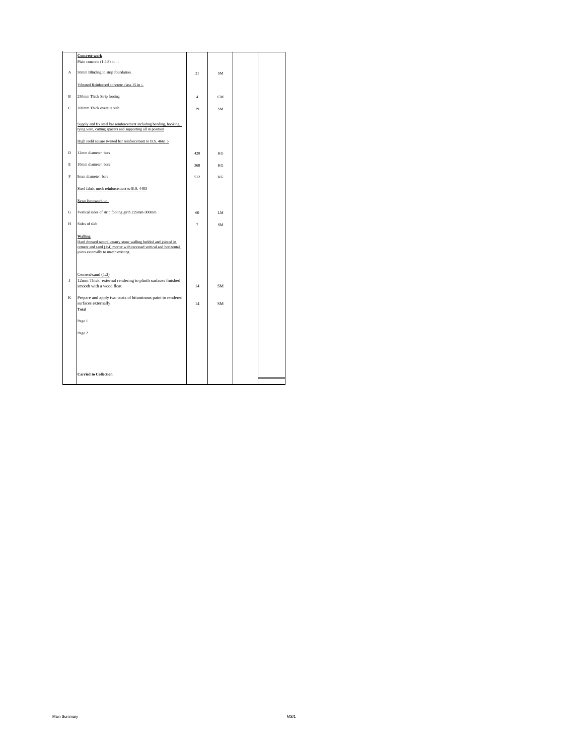|              | <b>Concrete</b> work<br>Plain concrete (1:4:8) in : -                                                                                                                                          |                |    |  |
|--------------|------------------------------------------------------------------------------------------------------------------------------------------------------------------------------------------------|----------------|----|--|
| $\mathbf{A}$ | 50mm Blinding to strip foundation.                                                                                                                                                             | 21             | SM |  |
|              | Vibrated Reinforced concrete class 15 in :-                                                                                                                                                    |                |    |  |
| $\mathbf{B}$ | 250mm Thick Strip footing                                                                                                                                                                      | $\overline{4}$ | CM |  |
| c            | 200mm Thick oversite slab                                                                                                                                                                      | 29             | SM |  |
|              | Supply and fix steel bar reinforcement including bending, hooking,<br>tying wire, cutting spacers and supporting all in position                                                               |                |    |  |
|              | High yield square twisted bar reinforcement to B.S. 4661 :-                                                                                                                                    |                |    |  |
| D            | 12mm diameter bars                                                                                                                                                                             | 420            | KG |  |
| E            | 10mm diameter bars                                                                                                                                                                             | 368            | KG |  |
| F            | 8mm diameter bars                                                                                                                                                                              | 512            | KG |  |
|              | Steel fabric mesh reinforcement to B.S. 4483                                                                                                                                                   |                |    |  |
|              | Sawn formwork to:                                                                                                                                                                              |                |    |  |
| G            | Vertical sides of strip footing girth 225mm-300mm                                                                                                                                              | 60             | LM |  |
| H            | Sides of slab                                                                                                                                                                                  | $\overline{7}$ | SM |  |
|              | <b>Walling</b><br>Hard dressed natural quarry stone walling bedded and jointed in<br>cement and sand (1:4) mortar with recessed vertical and horizontal<br>joints externally to match existing |                |    |  |
| J            | Cement/sand (1:3)<br>12mm Thick external rendering to plinth surfaces finished<br>smooth with a wood float                                                                                     | 14             | SM |  |
| K            | Prepare and apply two coats of bituminous paint to rendered                                                                                                                                    |                |    |  |
|              | surfaces externally<br><b>Total</b>                                                                                                                                                            | 14             | SM |  |
|              | Page 1                                                                                                                                                                                         |                |    |  |
|              | Page 2                                                                                                                                                                                         |                |    |  |
|              |                                                                                                                                                                                                |                |    |  |
|              |                                                                                                                                                                                                |                |    |  |
|              |                                                                                                                                                                                                |                |    |  |
|              | <b>Carried to Collection</b>                                                                                                                                                                   |                |    |  |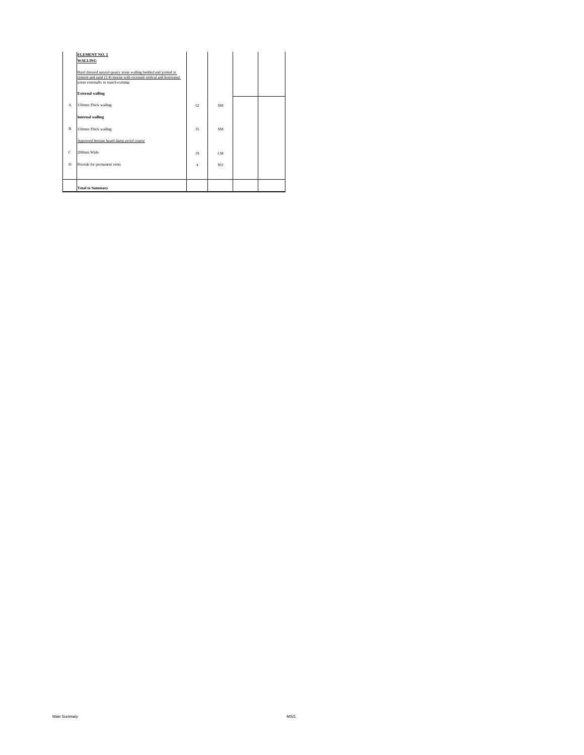|   | <b>ELEMENT NO. 2</b><br><b>WALLING</b><br>Hard dressed natural quarry stone walling bedded and jointed in<br>cement and sand (1:4) mortar with recessed vertical and horizontal<br>joints externally to match existing |                |           |  |
|---|------------------------------------------------------------------------------------------------------------------------------------------------------------------------------------------------------------------------|----------------|-----------|--|
|   | <b>External walling</b>                                                                                                                                                                                                |                |           |  |
| A | 150mm Thick walling                                                                                                                                                                                                    | 52             | <b>SM</b> |  |
|   | <b>Internal walling</b>                                                                                                                                                                                                |                |           |  |
| B | 150mm Thick walling                                                                                                                                                                                                    | 35             | SM        |  |
|   | Approved hessian based damp proof course                                                                                                                                                                               |                |           |  |
| c | 200mm Wide                                                                                                                                                                                                             | 19             | IM.       |  |
| D | Provide for permanent vents                                                                                                                                                                                            | $\overline{4}$ | NO.       |  |
|   |                                                                                                                                                                                                                        |                |           |  |
|   | <b>Total to Summary</b>                                                                                                                                                                                                |                |           |  |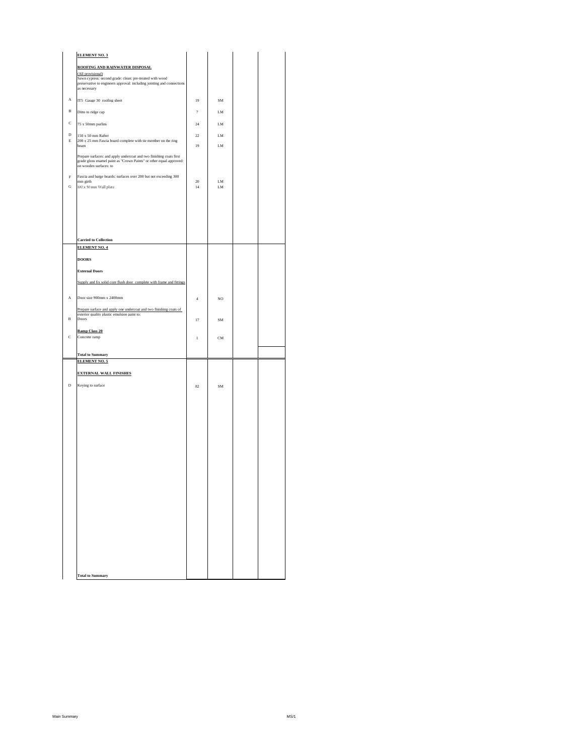|              | <b>ELEMENT NO. 3</b>                                                                                                                                                 |                |           |  |
|--------------|----------------------------------------------------------------------------------------------------------------------------------------------------------------------|----------------|-----------|--|
|              | ROOFING AND RAINWATER DISPOSAL                                                                                                                                       |                |           |  |
|              | (All provisional)<br>Sawn cypress: second grade: clean: pre-treated with wood                                                                                        |                |           |  |
|              | preservative to engineers approval: including jointing and connections<br>as necessary                                                                               |                |           |  |
| $_{\rm A}$   | IT5 Gauge 30 roofing sheet                                                                                                                                           |                |           |  |
|              |                                                                                                                                                                      | 19             | SM        |  |
| B            | Ditto to ridge cap                                                                                                                                                   | $\tau$         | LM        |  |
| C            | 75 x 50mm purlins                                                                                                                                                    | $24\,$         | LM        |  |
| $\mathbf D$  | 150 x 50 mm Rafter                                                                                                                                                   | $22\,$         | LM        |  |
| E            | 200 x 25 mm Fascia board complete with tie member on the ring<br>beam                                                                                                | 19             | LM        |  |
|              | Prepare surfaces: and apply undercoat and two finishing coats first<br>grade gloss enamel paint as "Crown Paints" or other equal approved:<br>on wooden surfaces: to |                |           |  |
| $\rm _F$     | Fascia and barge boards: surfaces over 200 but not exceeding 300                                                                                                     |                |           |  |
| G            | mm girth<br>$100$ x $50$ mm Wall plate                                                                                                                               | $20\,$<br>14   | LM<br>LM  |  |
|              |                                                                                                                                                                      |                |           |  |
|              |                                                                                                                                                                      |                |           |  |
|              |                                                                                                                                                                      |                |           |  |
|              |                                                                                                                                                                      |                |           |  |
|              |                                                                                                                                                                      |                |           |  |
|              | <b>Carried to Collection</b><br><b>ELEMENT NO. 4</b>                                                                                                                 |                |           |  |
|              | <b>DOORS</b>                                                                                                                                                         |                |           |  |
|              |                                                                                                                                                                      |                |           |  |
|              | <b>External Doors</b>                                                                                                                                                |                |           |  |
|              | Supply and fix solid core flush door complete with frame and fittings                                                                                                |                |           |  |
| A            | Door size 900mm x 2400mm                                                                                                                                             | $\overline{4}$ | NO        |  |
|              |                                                                                                                                                                      |                |           |  |
|              | Prepare surface and apply one undercoat and two finishing coats of<br>exterior quality plastic emulsion paint to:                                                    |                |           |  |
| $\, {\bf B}$ | Doors                                                                                                                                                                | 17             | SM        |  |
| C            | <b>Ramp Class 20</b><br>Concrete ramp                                                                                                                                | $\mathbf{1}$   | <b>CM</b> |  |
|              |                                                                                                                                                                      |                |           |  |
|              | <b>Total to Summary</b>                                                                                                                                              |                |           |  |
|              | <b>ELEMENT NO. 5</b>                                                                                                                                                 |                |           |  |
|              | <b>EXTERNAL WALL FINISHES</b>                                                                                                                                        |                |           |  |
| $\,$ D       | Keying to surface                                                                                                                                                    | 82             | SM        |  |
|              |                                                                                                                                                                      |                |           |  |
|              |                                                                                                                                                                      |                |           |  |
|              |                                                                                                                                                                      |                |           |  |
|              |                                                                                                                                                                      |                |           |  |
|              |                                                                                                                                                                      |                |           |  |
|              |                                                                                                                                                                      |                |           |  |
|              |                                                                                                                                                                      |                |           |  |
|              |                                                                                                                                                                      |                |           |  |
|              |                                                                                                                                                                      |                |           |  |
|              |                                                                                                                                                                      |                |           |  |
|              |                                                                                                                                                                      |                |           |  |
|              |                                                                                                                                                                      |                |           |  |
|              |                                                                                                                                                                      |                |           |  |
|              |                                                                                                                                                                      |                |           |  |
|              |                                                                                                                                                                      |                |           |  |
|              |                                                                                                                                                                      |                |           |  |
|              |                                                                                                                                                                      |                |           |  |
|              |                                                                                                                                                                      |                |           |  |
|              | <b>Total to Summary</b>                                                                                                                                              |                |           |  |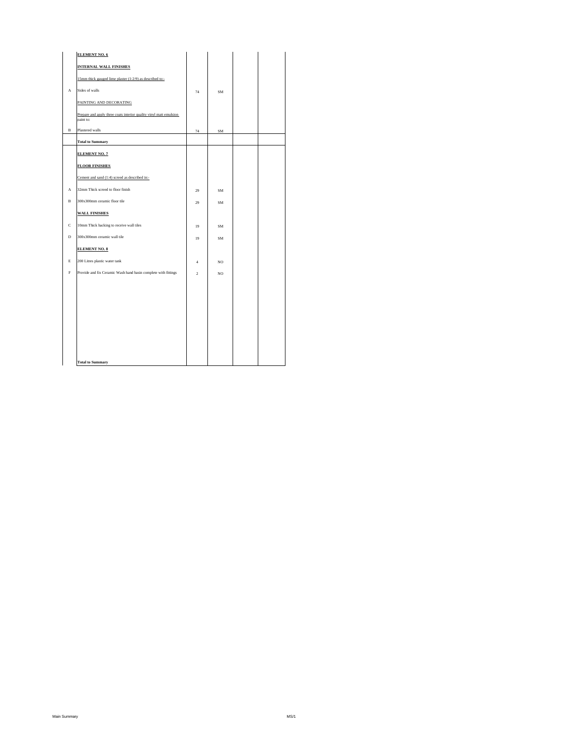|             | <b>ELEMENT NO. 6</b>                                                            |                |     |  |
|-------------|---------------------------------------------------------------------------------|----------------|-----|--|
|             | <b>INTERNAL WALL FINISHES</b>                                                   |                |     |  |
|             | 15mm thick gauged lime plaster (1:2:9) as described to:-                        |                |     |  |
| А           | Sides of walls                                                                  | 74             | SM  |  |
|             | PAINTING AND DECORATING                                                         |                |     |  |
|             | Prepare and apply three coats interior quality vinyl matt emulsion<br>paint to: |                |     |  |
| B           | Plastered walls                                                                 | 74             | SM  |  |
|             | <b>Total to Summary</b>                                                         |                |     |  |
|             | <b>ELEMENT NO. 7</b>                                                            |                |     |  |
|             | <b>FLOOR FINISHES</b>                                                           |                |     |  |
|             | Cement and sand (1:4) screed as described in:-                                  |                |     |  |
| А           | 32mm Thick screed to floor finish                                               | 29             | SM  |  |
| в           | 300x300mm ceramic floor tile                                                    | 29             | SM  |  |
|             | <b>WALL FINISHES</b>                                                            |                |     |  |
| $\mathbf c$ | 10mm Thick backing to receive wall tiles                                        | 19             | SM  |  |
| D           | 300x300mm ceramic wall tile                                                     | 19             | SM  |  |
|             | <b>ELEMENT NO. 8</b>                                                            |                |     |  |
| E           | 200 Litres plastic water tank                                                   | $\overline{4}$ | NO. |  |
| $\mathbf F$ | Provide and fix Ceramic Wash hand basin complete with fittings                  | $\overline{c}$ | NO. |  |
|             |                                                                                 |                |     |  |
|             |                                                                                 |                |     |  |
|             |                                                                                 |                |     |  |
|             |                                                                                 |                |     |  |
|             |                                                                                 |                |     |  |
|             |                                                                                 |                |     |  |
|             | <b>Total to Summary</b>                                                         |                |     |  |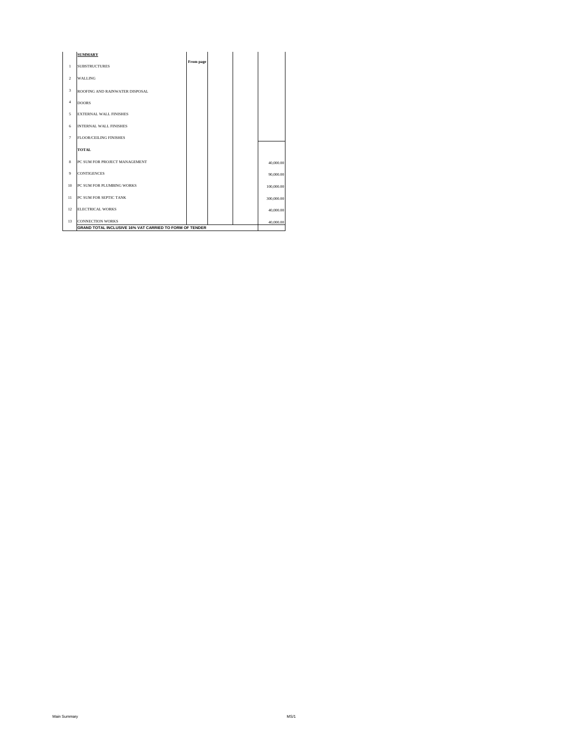|                | <b>SUMMARY</b>                                          |           |  |            |
|----------------|---------------------------------------------------------|-----------|--|------------|
| $\mathbf{1}$   | <b>SUBSTRUCTURES</b>                                    | From page |  |            |
| $\overline{2}$ | <b>WALLING</b>                                          |           |  |            |
| $\sqrt{3}$     | ROOFING AND RAINWATER DISPOSAL                          |           |  |            |
| $\overline{4}$ | <b>DOORS</b>                                            |           |  |            |
| 5              | <b>EXTERNAL WALL FINISHES</b>                           |           |  |            |
| 6              | <b>INTERNAL WALL FINISHES</b>                           |           |  |            |
| $\tau$         | <b>FLOOR/CEILING FINISHES</b>                           |           |  |            |
|                | <b>TOTAL</b>                                            |           |  |            |
| 8              | PC SUM FOR PROJECT MANAGEMENT                           |           |  | 40,000.00  |
| 9              | <b>CONTIGENCES</b>                                      |           |  | 90,000.00  |
| 10             | PC SUM FOR PLUMBING WORKS                               |           |  | 100,000.00 |
| 11             | PC SUM FOR SEPTIC TANK                                  |           |  | 300,000.00 |
| 12             | <b>ELECTRICAL WORKS</b>                                 |           |  | 40,000.00  |
| 13             | <b>CONNECTION WORKS</b>                                 |           |  | 40,000,00  |
|                | GRAND TOTAL INCLUSIVE 16% VAT CARRIED TO FORM OF TENDER |           |  |            |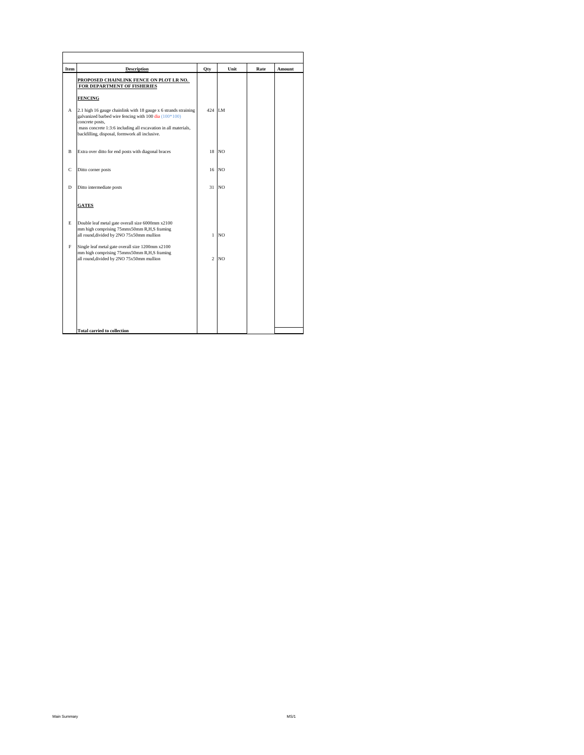| Item | <b>Description</b>                                                                                                                                                                                                                                                                | Qty            | Unit           | Rate | Amount |
|------|-----------------------------------------------------------------------------------------------------------------------------------------------------------------------------------------------------------------------------------------------------------------------------------|----------------|----------------|------|--------|
|      | PROPOSED CHAINLINK FENCE ON PLOT LR NO.<br>FOR DEPARTMENT OF FISHERIES                                                                                                                                                                                                            |                |                |      |        |
| A    | <b>FENCING</b><br>2.1 high 16 gauge chainlink with 18 gauge x 6 strands straining<br>galvanized barbed wire fencing with 100 dia (100*100)<br>concrete posts,<br>mass concrete 1:3:6 including all excavation in all materials,<br>backfilling, disposal, formwork all inclusive. | 424 LM         |                |      |        |
| B    | Extra over ditto for end posts with diagonal braces                                                                                                                                                                                                                               | 18             | N <sub>O</sub> |      |        |
| C    | Ditto corner posts                                                                                                                                                                                                                                                                | 16             | <b>NO</b>      |      |        |
| D    | Ditto intermediate posts                                                                                                                                                                                                                                                          | 31             | <b>NO</b>      |      |        |
|      | <b>GATES</b>                                                                                                                                                                                                                                                                      |                |                |      |        |
| E    | Double leaf metal gate overall size 6000mm x2100<br>mm high comprising 75mmx50mm R,H,S framing<br>all round, divided by 2NO 75x50mm mullion                                                                                                                                       | $\mathbf{1}$   | N <sub>O</sub> |      |        |
| F    | Single leaf metal gate overall size 1200mm x2100<br>mm high comprising 75mmx50mm R,H,S framing<br>all round, divided by 2NO 75x50mm mullion                                                                                                                                       | $\overline{c}$ | N <sub>O</sub> |      |        |
|      |                                                                                                                                                                                                                                                                                   |                |                |      |        |
|      |                                                                                                                                                                                                                                                                                   |                |                |      |        |
|      | <b>Total carried to collection</b>                                                                                                                                                                                                                                                |                |                |      |        |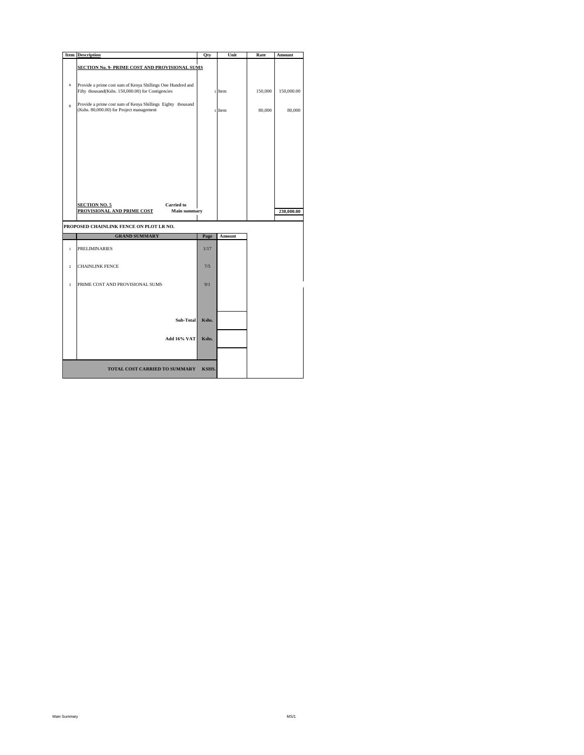|                         | <b>Item</b> Description                                                                                 | Qty   | Unit   | Rate    | Amount     |
|-------------------------|---------------------------------------------------------------------------------------------------------|-------|--------|---------|------------|
|                         |                                                                                                         |       |        |         |            |
|                         | <b>SECTION No. 9- PRIME COST AND PROVISIONAL SUMS</b>                                                   |       |        |         |            |
|                         |                                                                                                         |       |        |         |            |
| A                       | Provide a prime cost sum of Kenya Shillings One Hundred and                                             |       |        |         |            |
|                         | Fifty thousand(Kshs. 150,000.00) for Contigencies                                                       |       | 1 Item | 150,000 | 150,000.00 |
|                         |                                                                                                         |       |        |         |            |
| B                       | Provide a prime cost sum of Kenya Shillings Eighty thousand<br>(Kshs. 80,000.00) for Project management |       |        |         |            |
|                         |                                                                                                         |       | 1 Item | 80,000  | 80,000     |
|                         |                                                                                                         |       |        |         |            |
|                         |                                                                                                         |       |        |         |            |
|                         |                                                                                                         |       |        |         |            |
|                         |                                                                                                         |       |        |         |            |
|                         |                                                                                                         |       |        |         |            |
|                         |                                                                                                         |       |        |         |            |
|                         |                                                                                                         |       |        |         |            |
|                         |                                                                                                         |       |        |         |            |
|                         |                                                                                                         |       |        |         |            |
|                         |                                                                                                         |       |        |         |            |
|                         |                                                                                                         |       |        |         |            |
|                         |                                                                                                         |       |        |         |            |
|                         | <b>Carried</b> to<br><b>SECTION NO. 5</b>                                                               |       |        |         |            |
|                         | PROVISIONAL AND PRIME COST<br><b>Main summary</b>                                                       |       |        |         | 230,000.00 |
|                         |                                                                                                         |       |        |         |            |
|                         | PROPOSED CHAINLINK FENCE ON PLOT LR NO.                                                                 |       |        |         |            |
|                         | <b>GRAND SUMMARY</b>                                                                                    | Page  | Amount |         |            |
|                         | <b>PRELIMINARIES</b>                                                                                    | 1/17  |        |         |            |
| $\mathbf{1}$            |                                                                                                         |       |        |         |            |
|                         |                                                                                                         |       |        |         |            |
| $\overline{2}$          | <b>CHAINLINK FENCE</b>                                                                                  | 7/5   |        |         |            |
|                         |                                                                                                         |       |        |         |            |
|                         |                                                                                                         | 9/1   |        |         |            |
| $\overline{\mathbf{3}}$ | PRIME COST AND PROVISIONAL SUMS                                                                         |       |        |         |            |
|                         |                                                                                                         |       |        |         |            |
|                         |                                                                                                         |       |        |         |            |
|                         |                                                                                                         |       |        |         |            |
|                         |                                                                                                         |       |        |         |            |
|                         | Sub-Total                                                                                               | Kshs. |        |         |            |
|                         |                                                                                                         |       |        |         |            |
|                         | Add 16% VAT                                                                                             | Kshs. |        |         |            |
|                         |                                                                                                         |       |        |         |            |
|                         |                                                                                                         |       |        |         |            |
|                         |                                                                                                         |       |        |         |            |
|                         | <b>TOTAL COST CARRIED TO SUMMARY</b>                                                                    | KSHS. |        |         |            |
|                         |                                                                                                         |       |        |         |            |
|                         |                                                                                                         |       |        |         |            |